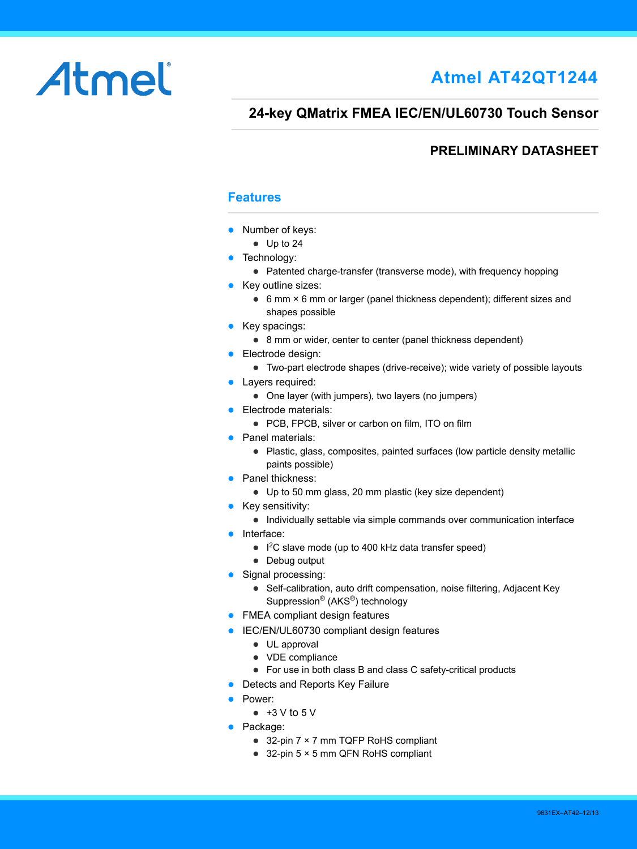# Atmel

# **Atmel AT42QT1244**

### **24-key QMatrix FMEA IEC/EN/UL60730 Touch Sensor**

### **PRELIMINARY DATASHEET**

### **Features**

- Number of keys:
	- Up to 24
- Technology:
	- Patented charge-transfer (transverse mode), with frequency hopping
- Key outline sizes:
	- 6 mm × 6 mm or larger (panel thickness dependent); different sizes and shapes possible
- Key spacings:
	- 8 mm or wider, center to center (panel thickness dependent)
- **Electrode design:** 
	- Two-part electrode shapes (drive-receive); wide variety of possible layouts
- Layers required:
	- One layer (with jumpers), two layers (no jumpers)
- **Electrode materials:** 
	- PCB, FPCB, silver or carbon on film, ITO on film
- Panel materials:
	- Plastic, glass, composites, painted surfaces (low particle density metallic paints possible)
- Panel thickness:
	- Up to 50 mm glass, 20 mm plastic (key size dependent)
- $\bullet$  Key sensitivity:
	- Individually settable via simple commands over communication interface
- Interface:
	- $\bullet$  I<sup>2</sup>C slave mode (up to 400 kHz data transfer speed)
	- Debug output
- Signal processing:
	- Self-calibration, auto drift compensation, noise filtering, Adjacent Key Suppression® (AKS®) technology
- FMEA compliant design features
- **IEC/EN/UL60730 compliant design features** 
	- UL approval
	- VDE compliance
	- For use in both class B and class C safety-critical products
- Detects and Reports Key Failure
- **•** Power:
	- $\bullet$  +3 V to 5 V
- Package:
	- 32-pin 7 × 7 mm TQFP RoHS compliant
	- 32-pin 5 × 5 mm QFN RoHS compliant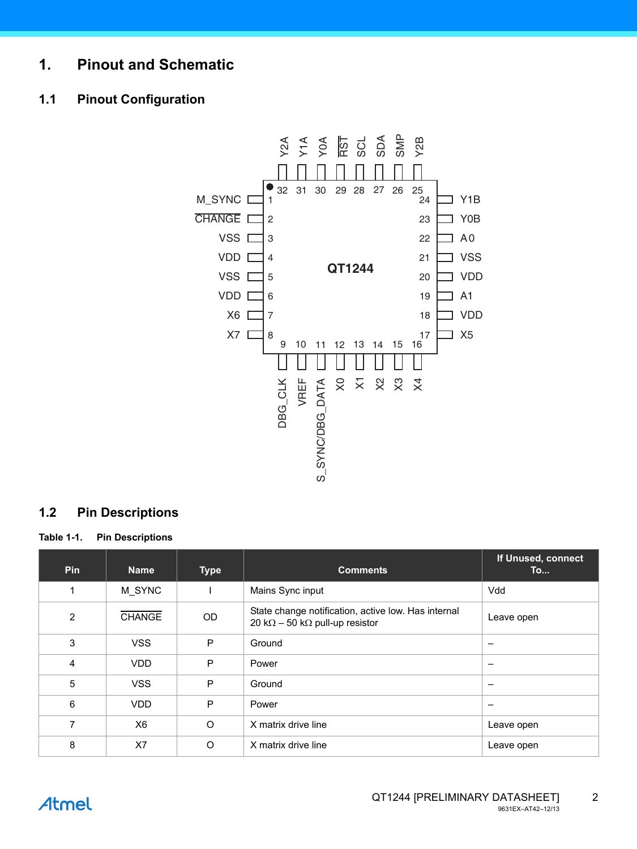### **1. Pinout and Schematic**

### **1.1 Pinout Configuration**



### **1.2 Pin Descriptions**

**Table 1-1. Pin Descriptions** 

| <b>Pin</b>     | <b>Name</b>    | <b>Type</b> | <b>Comments</b>                                                                                       | If Unused, connect<br>To |
|----------------|----------------|-------------|-------------------------------------------------------------------------------------------------------|--------------------------|
| 1              | M SYNC         |             | Mains Sync input                                                                                      | Vdd                      |
| $\overline{2}$ | <b>CHANGE</b>  | OD          | State change notification, active low. Has internal<br>20 k $\Omega$ – 50 k $\Omega$ pull-up resistor | Leave open               |
| 3              | <b>VSS</b>     | P           | Ground                                                                                                |                          |
| 4              | <b>VDD</b>     | P           | Power                                                                                                 |                          |
| 5              | <b>VSS</b>     | P           | Ground                                                                                                | -                        |
| 6              | <b>VDD</b>     | P           | Power                                                                                                 | -                        |
| 7              | X <sub>6</sub> | $\circ$     | X matrix drive line                                                                                   | Leave open               |
| 8              | X7             | $\circ$     | X matrix drive line                                                                                   | Leave open               |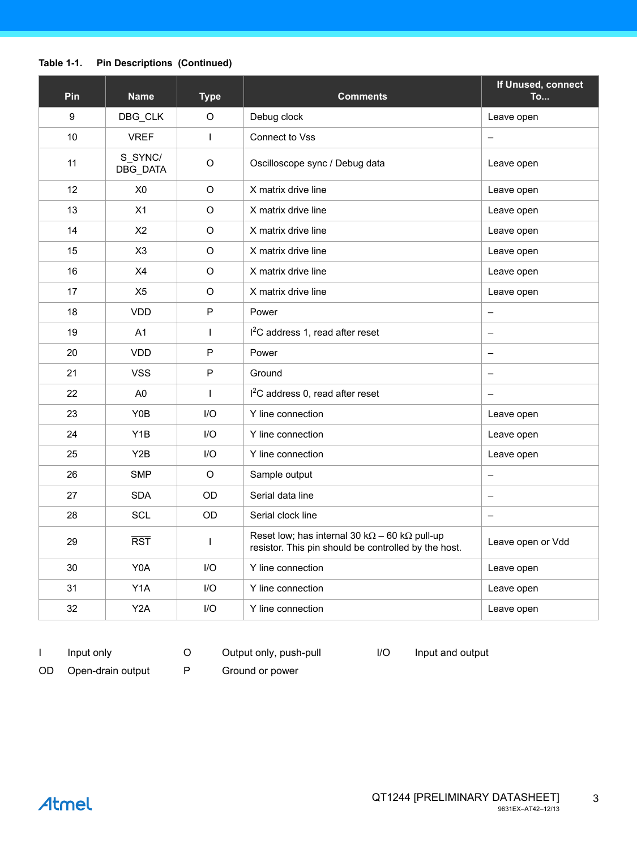### **Table 1-1. Pin Descriptions (Continued)**

| Pin | <b>Name</b>         | <b>Type</b>  | <b>Comments</b>                                                                                                       | If Unused, connect<br>To |
|-----|---------------------|--------------|-----------------------------------------------------------------------------------------------------------------------|--------------------------|
| 9   | DBG_CLK             | $\Omega$     | Debug clock                                                                                                           | Leave open               |
| 10  | <b>VREF</b>         | $\mathbf{I}$ | Connect to Vss                                                                                                        | $\overline{\phantom{m}}$ |
| 11  | S_SYNC/<br>DBG_DATA | O            | Oscilloscope sync / Debug data                                                                                        | Leave open               |
| 12  | X <sub>0</sub>      | O            | X matrix drive line                                                                                                   | Leave open               |
| 13  | X1                  | $\circ$      | X matrix drive line                                                                                                   | Leave open               |
| 14  | X <sub>2</sub>      | O            | X matrix drive line                                                                                                   | Leave open               |
| 15  | X <sub>3</sub>      | $\circ$      | X matrix drive line                                                                                                   | Leave open               |
| 16  | X <sub>4</sub>      | O            | X matrix drive line                                                                                                   | Leave open               |
| 17  | X <sub>5</sub>      | O            | X matrix drive line                                                                                                   | Leave open               |
| 18  | <b>VDD</b>          | P            | Power                                                                                                                 | $\overline{\phantom{0}}$ |
| 19  | A1                  | $\mathbf{I}$ | I <sup>2</sup> C address 1, read after reset                                                                          | $\equiv$                 |
| 20  | <b>VDD</b>          | P            | Power                                                                                                                 | $\overline{\phantom{0}}$ |
| 21  | <b>VSS</b>          | $\mathsf{P}$ | Ground                                                                                                                | $\equiv$                 |
| 22  | A <sub>0</sub>      | $\mathbf{I}$ | $12C$ address 0, read after reset                                                                                     | $\overline{\phantom{0}}$ |
| 23  | Y0B                 | $II$         | Y line connection                                                                                                     | Leave open               |
| 24  | Y <sub>1</sub> B    | $II$         | Y line connection                                                                                                     | Leave open               |
| 25  | Y <sub>2</sub> B    | I/O          | Y line connection                                                                                                     | Leave open               |
| 26  | <b>SMP</b>          | $\circ$      | Sample output                                                                                                         | $\overline{\phantom{0}}$ |
| 27  | <b>SDA</b>          | <b>OD</b>    | Serial data line                                                                                                      | $\overline{\phantom{0}}$ |
| 28  | SCL                 | OD           | Serial clock line                                                                                                     | $\equiv$                 |
| 29  | $\overline{RST}$    | $\mathbf{I}$ | Reset low; has internal 30 k $\Omega$ – 60 k $\Omega$ pull-up<br>resistor. This pin should be controlled by the host. | Leave open or Vdd        |
| 30  | Y0A                 | $II$         | Y line connection                                                                                                     | Leave open               |
| 31  | Y <sub>1</sub> A    | I/O          | Y line connection                                                                                                     | Leave open               |
| 32  | Y2A                 | $II$         | Y line connection                                                                                                     | Leave open               |

OD Open-drain output P Ground or power

I Input only C Output only, push-pull I/O Input and output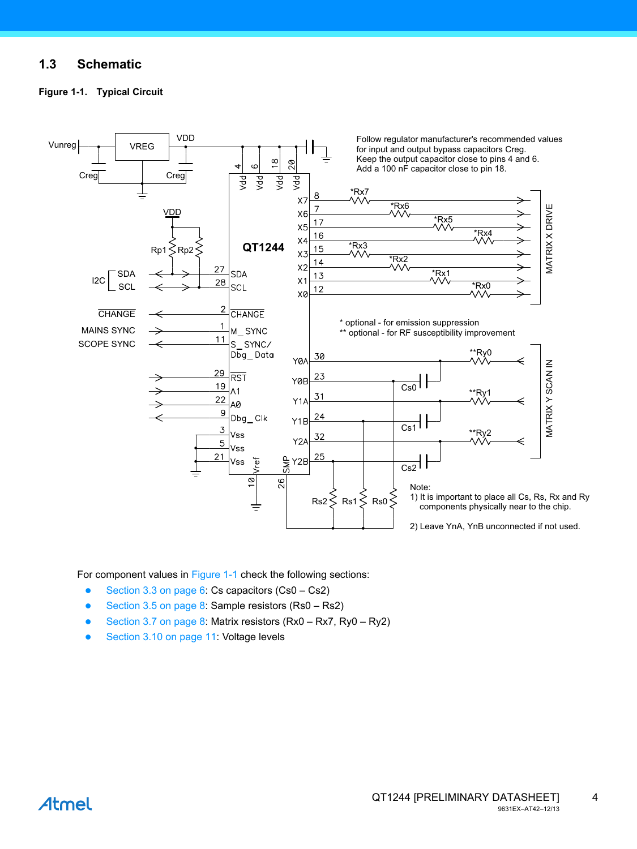### **1.3 Schematic**

<span id="page-3-0"></span>



For component values in [Figure 1-1](#page-3-0) check the following sections:

- [Section 3.3 on page 6](#page-5-0): Cs capacitors (Cs0 Cs2)
- [Section 3.5 on page 8](#page-7-0): Sample resistors (Rs0 Rs2)
- [Section 3.7 on page 8](#page-7-1): Matrix resistors (Rx0 Rx7, Ry0 Ry2)
- [Section 3.10 on page 11:](#page-10-0) Voltage levels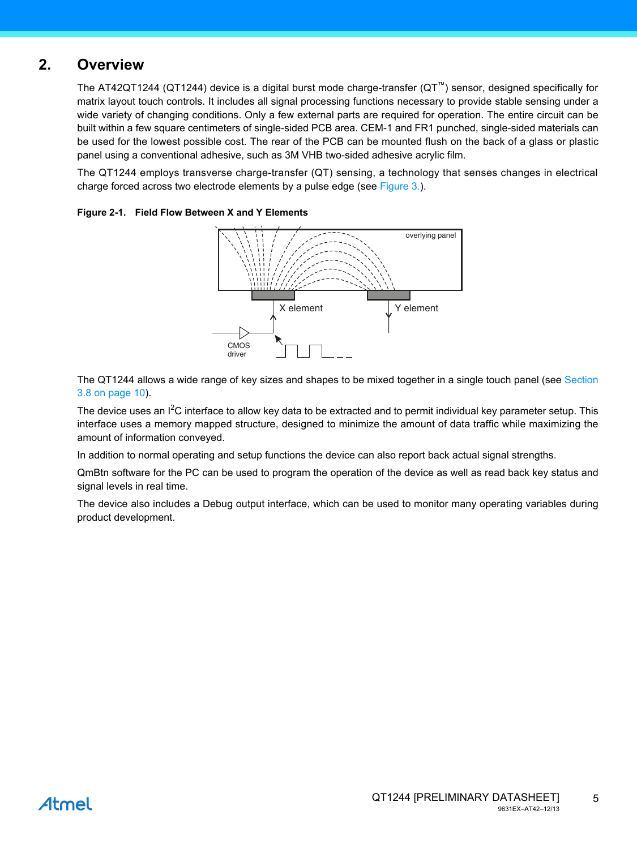### **2. Overview**

The AT42QT1244 (QT1244) device is a digital burst mode charge-transfer (QT™) sensor, designed specifically for matrix layout touch controls. It includes all signal processing functions necessary to provide stable sensing under a wide variety of changing conditions. Only a few external parts are required for operation. The entire circuit can be built within a few square centimeters of single-sided PCB area. CEM-1 and FR1 punched, single-sided materials can be used for the lowest possible cost. The rear of the PCB can be mounted flush on the back of a glass or plastic panel using a conventional adhesive, such as 3M VHB two-sided adhesive acrylic film.

The QT1244 employs transverse charge-transfer (QT) sensing, a technology that senses changes in electrical charge forced across two electrode elements by a pulse edge (see [Figure 3.\)](#page-5-1).



#### **Figure 2-1. Field Flow Between X and Y Elements**

The QT1244 allows a wide range of key sizes and shapes to be mixed together in a single touch panel (see [Section](#page-9-0) [3.8 on page 10](#page-9-0)).

The device uses an I<sup>2</sup>C interface to allow key data to be extracted and to permit individual key parameter setup. This interface uses a memory mapped structure, designed to minimize the amount of data traffic while maximizing the amount of information conveyed.

In addition to normal operating and setup functions the device can also report back actual signal strengths.

QmBtn software for the PC can be used to program the operation of the device as well as read back key status and signal levels in real time.

The device also includes a Debug output interface, which can be used to monitor many operating variables during product development.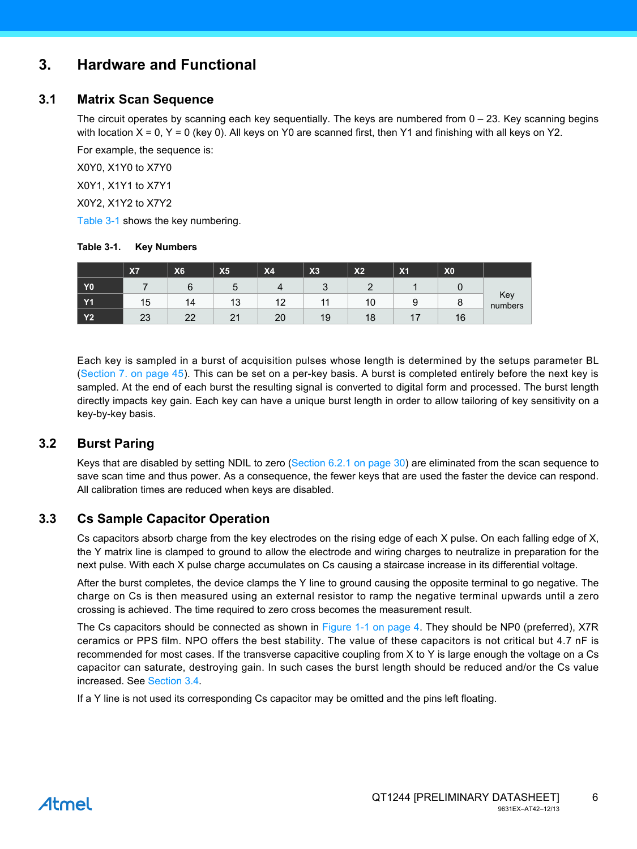### <span id="page-5-1"></span>**3. Hardware and Functional**

### **3.1 Matrix Scan Sequence**

The circuit operates by scanning each key sequentially. The keys are numbered from 0 – 23. Key scanning begins with location  $X = 0$ ,  $Y = 0$  (key 0). All keys on Y0 are scanned first, then Y1 and finishing with all keys on Y2.

For example, the sequence is:

X0Y0, X1Y0 to X7Y0

X0Y1, X1Y1 to X7Y1

X0Y2, X1Y2 to X7Y2

[Table 3-1](#page-5-2) shows the key numbering.

#### <span id="page-5-2"></span>**Table 3-1. Key Numbers**

|                | <b>X7</b> | X <sub>6</sub>  | X5        | <b>X4</b> | X <sub>3</sub>  | X <sub>2</sub> | X <sub>1</sub> | X <sub>0</sub> |                |
|----------------|-----------|-----------------|-----------|-----------|-----------------|----------------|----------------|----------------|----------------|
| Y <sub>0</sub> |           | 6               | ∽<br>ັ    |           | $\sqrt{2}$<br>u |                |                |                |                |
| <b>Y1</b>      | 15        | 14              | 10<br>ں ا | 12        |                 | 10             | £<br>u<br>◡    | o              | Key<br>numbers |
| <b>Y2</b>      | 23        | nn<br><u>__</u> | n,<br>▴   | 20        | 19              | 1 O<br>10      | . –<br>. .     | 16             |                |

Each key is sampled in a burst of acquisition pulses whose length is determined by the setups parameter BL [\(Section 7. on page 45](#page-44-0)). This can be set on a per-key basis. A burst is completed entirely before the next key is sampled. At the end of each burst the resulting signal is converted to digital form and processed. The burst length directly impacts key gain. Each key can have a unique burst length in order to allow tailoring of key sensitivity on a key-by-key basis.

### **3.2 Burst Paring**

Keys that are disabled by setting NDIL to zero ([Section 6.2.1 on page 30\)](#page-29-0) are eliminated from the scan sequence to save scan time and thus power. As a consequence, the fewer keys that are used the faster the device can respond. All calibration times are reduced when keys are disabled.

### <span id="page-5-0"></span>**3.3 Cs Sample Capacitor Operation**

Cs capacitors absorb charge from the key electrodes on the rising edge of each X pulse. On each falling edge of X, the Y matrix line is clamped to ground to allow the electrode and wiring charges to neutralize in preparation for the next pulse. With each X pulse charge accumulates on Cs causing a staircase increase in its differential voltage.

After the burst completes, the device clamps the Y line to ground causing the opposite terminal to go negative. The charge on Cs is then measured using an external resistor to ramp the negative terminal upwards until a zero crossing is achieved. The time required to zero cross becomes the measurement result.

The Cs capacitors should be connected as shown in [Figure 1-1 on page 4](#page-3-0). They should be NP0 (preferred), X7R ceramics or PPS film. NPO offers the best stability. The value of these capacitors is not critical but 4.7 nF is recommended for most cases. If the transverse capacitive coupling from X to Y is large enough the voltage on a Cs capacitor can saturate, destroying gain. In such cases the burst length should be reduced and/or the Cs value increased. See [Section 3.4](#page-6-0).

If a Y line is not used its corresponding Cs capacitor may be omitted and the pins left floating.

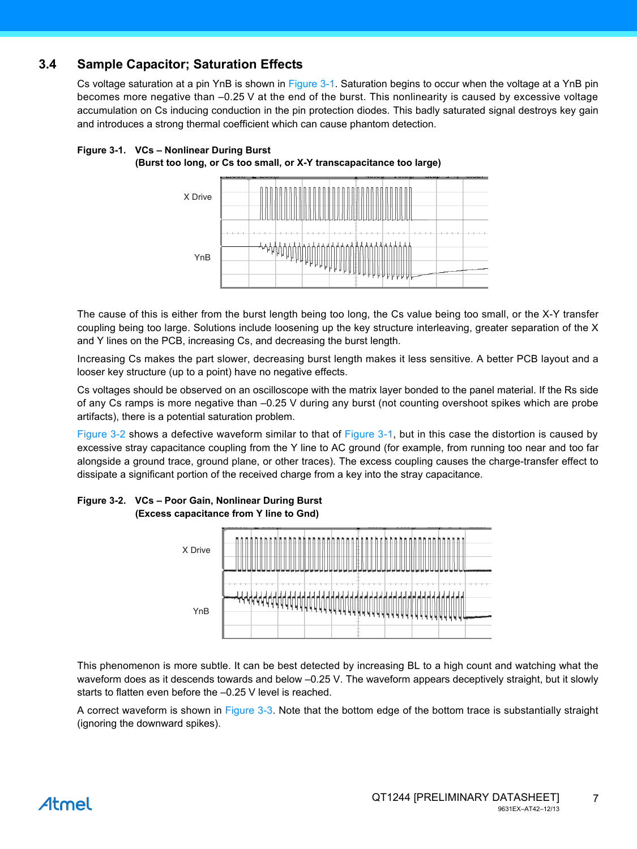### <span id="page-6-0"></span>**3.4 Sample Capacitor; Saturation Effects**

Cs voltage saturation at a pin YnB is shown in [Figure 3-1](#page-6-1). Saturation begins to occur when the voltage at a YnB pin becomes more negative than –0.25 V at the end of the burst. This nonlinearity is caused by excessive voltage accumulation on Cs inducing conduction in the pin protection diodes. This badly saturated signal destroys key gain and introduces a strong thermal coefficient which can cause phantom detection.

#### <span id="page-6-1"></span>**Figure 3-1. VCs – Nonlinear During Burst (Burst too long, or Cs too small, or X-Y transcapacitance too large)**



The cause of this is either from the burst length being too long, the Cs value being too small, or the X-Y transfer coupling being too large. Solutions include loosening up the key structure interleaving, greater separation of the X and Y lines on the PCB, increasing Cs, and decreasing the burst length.

Increasing Cs makes the part slower, decreasing burst length makes it less sensitive. A better PCB layout and a looser key structure (up to a point) have no negative effects.

Cs voltages should be observed on an oscilloscope with the matrix layer bonded to the panel material. If the Rs side of any Cs ramps is more negative than –0.25 V during any burst (not counting overshoot spikes which are probe artifacts), there is a potential saturation problem.

[Figure 3-2](#page-6-2) shows a defective waveform similar to that of [Figure 3-1,](#page-6-1) but in this case the distortion is caused by excessive stray capacitance coupling from the Y line to AC ground (for example, from running too near and too far alongside a ground trace, ground plane, or other traces). The excess coupling causes the charge-transfer effect to dissipate a significant portion of the received charge from a key into the stray capacitance.



#### <span id="page-6-2"></span>**Figure 3-2. VCs – Poor Gain, Nonlinear During Burst (Excess capacitance from Y line to Gnd)**

This phenomenon is more subtle. It can be best detected by increasing BL to a high count and watching what the waveform does as it descends towards and below –0.25 V. The waveform appears deceptively straight, but it slowly starts to flatten even before the –0.25 V level is reached.

A correct waveform is shown in [Figure 3-3](#page-7-2). Note that the bottom edge of the bottom trace is substantially straight (ignoring the downward spikes).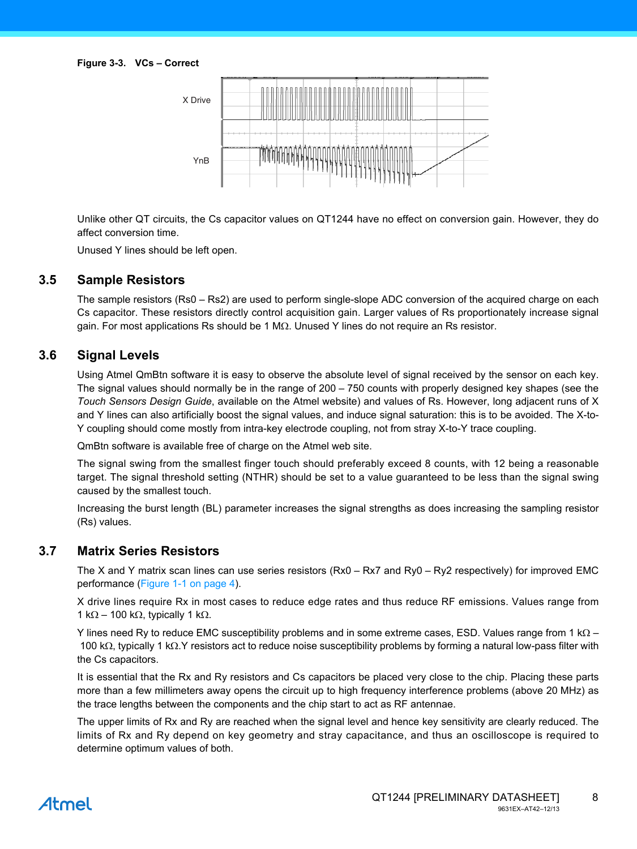<span id="page-7-2"></span>

Unlike other QT circuits, the Cs capacitor values on QT1244 have no effect on conversion gain. However, they do affect conversion time.

Unused Y lines should be left open.

#### <span id="page-7-0"></span>**3.5 Sample Resistors**

The sample resistors (Rs0 – Rs2) are used to perform single-slope ADC conversion of the acquired charge on each Cs capacitor. These resistors directly control acquisition gain. Larger values of Rs proportionately increase signal gain. For most applications Rs should be 1 M $\Omega$ . Unused Y lines do not require an Rs resistor.

### **3.6 Signal Levels**

Using Atmel QmBtn software it is easy to observe the absolute level of signal received by the sensor on each key. The signal values should normally be in the range of 200 – 750 counts with properly designed key shapes (see the *Touch Sensors Design Guide*, available on the Atmel website) and values of Rs. However, long adjacent runs of X and Y lines can also artificially boost the signal values, and induce signal saturation: this is to be avoided. The X-to-Y coupling should come mostly from intra-key electrode coupling, not from stray X-to-Y trace coupling.

QmBtn software is available free of charge on the Atmel web site.

The signal swing from the smallest finger touch should preferably exceed 8 counts, with 12 being a reasonable target. The signal threshold setting (NTHR) should be set to a value guaranteed to be less than the signal swing caused by the smallest touch.

Increasing the burst length (BL) parameter increases the signal strengths as does increasing the sampling resistor (Rs) values.

#### <span id="page-7-1"></span>**3.7 Matrix Series Resistors**

The X and Y matrix scan lines can use series resistors (Rx0 – Rx7 and Ry0 – Ry2 respectively) for improved EMC performance [\(Figure 1-1 on page 4](#page-3-0)).

X drive lines require Rx in most cases to reduce edge rates and thus reduce RF emissions. Values range from 1 k $\Omega$  – 100 k $\Omega$ , typically 1 k $\Omega$ .

Y lines need Ry to reduce EMC susceptibility problems and in some extreme cases, ESD. Values range from 1 k $\Omega$  – 100 k $\Omega$ , typically 1 k $\Omega$ . Y resistors act to reduce noise susceptibility problems by forming a natural low-pass filter with the Cs capacitors.

It is essential that the Rx and Ry resistors and Cs capacitors be placed very close to the chip. Placing these parts more than a few millimeters away opens the circuit up to high frequency interference problems (above 20 MHz) as the trace lengths between the components and the chip start to act as RF antennae.

The upper limits of Rx and Ry are reached when the signal level and hence key sensitivity are clearly reduced. The limits of Rx and Ry depend on key geometry and stray capacitance, and thus an oscilloscope is required to determine optimum values of both.

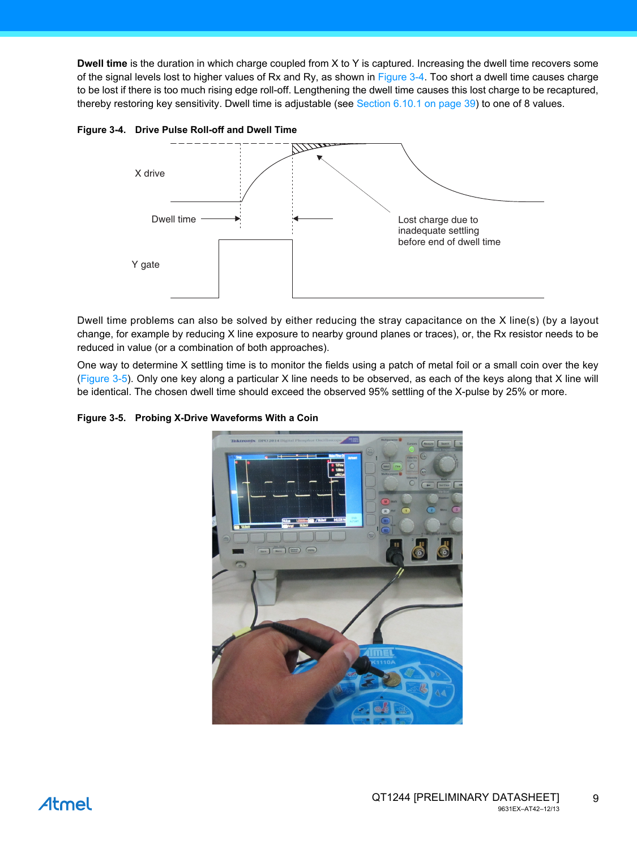**Dwell time** is the duration in which charge coupled from X to Y is captured. Increasing the dwell time recovers some of the signal levels lost to higher values of Rx and Ry, as shown in [Figure 3-4.](#page-8-0) Too short a dwell time causes charge to be lost if there is too much rising edge roll-off. Lengthening the dwell time causes this lost charge to be recaptured, thereby restoring key sensitivity. Dwell time is adjustable (see [Section 6.10.1 on page 39](#page-38-0)) to one of 8 values.



<span id="page-8-0"></span>**Figure 3-4. Drive Pulse Roll-off and Dwell Time** 

Dwell time problems can also be solved by either reducing the stray capacitance on the X line(s) (by a layout change, for example by reducing X line exposure to nearby ground planes or traces), or, the Rx resistor needs to be reduced in value (or a combination of both approaches).

One way to determine X settling time is to monitor the fields using a patch of metal foil or a small coin over the key [\(Figure 3-5\)](#page-8-1). Only one key along a particular X line needs to be observed, as each of the keys along that X line will be identical. The chosen dwell time should exceed the observed 95% settling of the X-pulse by 25% or more.

<span id="page-8-1"></span>**Figure 3-5. Probing X-Drive Waveforms With a Coin** 

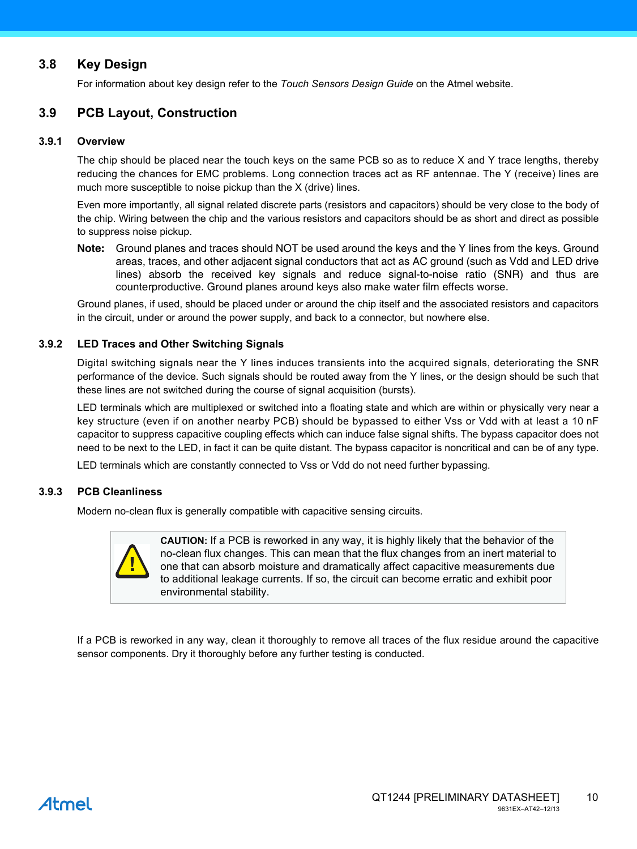### <span id="page-9-0"></span>**3.8 Key Design**

For information about key design refer to the *Touch Sensors Design Guide* on the Atmel website.

### **3.9 PCB Layout, Construction**

#### **3.9.1 Overview**

The chip should be placed near the touch keys on the same PCB so as to reduce X and Y trace lengths, thereby reducing the chances for EMC problems. Long connection traces act as RF antennae. The Y (receive) lines are much more susceptible to noise pickup than the X (drive) lines.

Even more importantly, all signal related discrete parts (resistors and capacitors) should be very close to the body of the chip. Wiring between the chip and the various resistors and capacitors should be as short and direct as possible to suppress noise pickup.

**Note:** Ground planes and traces should NOT be used around the keys and the Y lines from the keys. Ground areas, traces, and other adjacent signal conductors that act as AC ground (such as Vdd and LED drive lines) absorb the received key signals and reduce signal-to-noise ratio (SNR) and thus are counterproductive. Ground planes around keys also make water film effects worse.

Ground planes, if used, should be placed under or around the chip itself and the associated resistors and capacitors in the circuit, under or around the power supply, and back to a connector, but nowhere else.

#### **3.9.2 LED Traces and Other Switching Signals**

Digital switching signals near the Y lines induces transients into the acquired signals, deteriorating the SNR performance of the device. Such signals should be routed away from the Y lines, or the design should be such that these lines are not switched during the course of signal acquisition (bursts).

LED terminals which are multiplexed or switched into a floating state and which are within or physically very near a key structure (even if on another nearby PCB) should be bypassed to either Vss or Vdd with at least a 10 nF capacitor to suppress capacitive coupling effects which can induce false signal shifts. The bypass capacitor does not need to be next to the LED, in fact it can be quite distant. The bypass capacitor is noncritical and can be of any type.

LED terminals which are constantly connected to Vss or Vdd do not need further bypassing.

#### **3.9.3 PCB Cleanliness**

Modern no-clean flux is generally compatible with capacitive sensing circuits.



**CAUTION:** If a PCB is reworked in any way, it is highly likely that the behavior of the no-clean flux changes. This can mean that the flux changes from an inert material to one that can absorb moisture and dramatically affect capacitive measurements due to additional leakage currents. If so, the circuit can become erratic and exhibit poor environmental stability.

If a PCB is reworked in any way, clean it thoroughly to remove all traces of the flux residue around the capacitive sensor components. Dry it thoroughly before any further testing is conducted.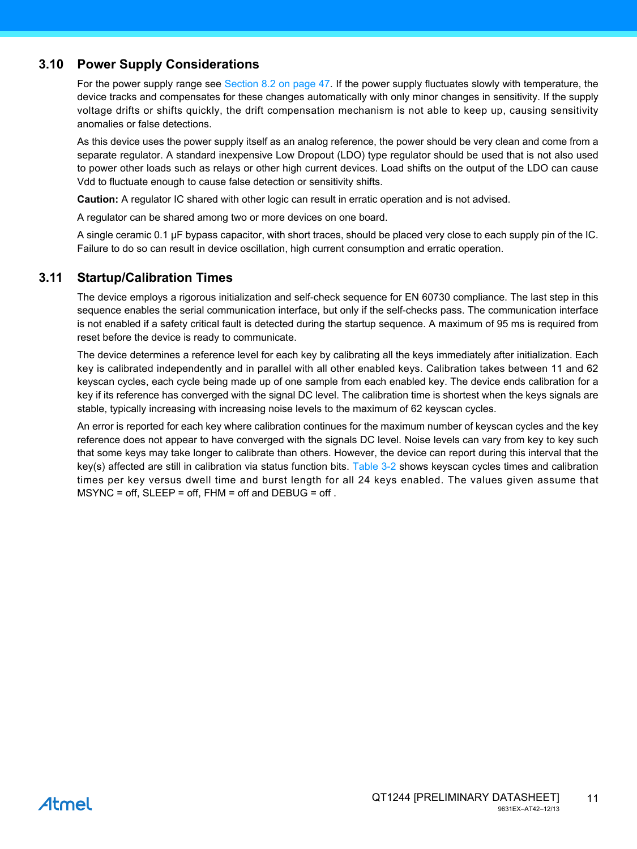### <span id="page-10-0"></span>**3.10 Power Supply Considerations**

For the power supply range see [Section 8.2 on page 47.](#page-46-0) If the power supply fluctuates slowly with temperature, the device tracks and compensates for these changes automatically with only minor changes in sensitivity. If the supply voltage drifts or shifts quickly, the drift compensation mechanism is not able to keep up, causing sensitivity anomalies or false detections.

As this device uses the power supply itself as an analog reference, the power should be very clean and come from a separate regulator. A standard inexpensive Low Dropout (LDO) type regulator should be used that is not also used to power other loads such as relays or other high current devices. Load shifts on the output of the LDO can cause Vdd to fluctuate enough to cause false detection or sensitivity shifts.

**Caution:** A regulator IC shared with other logic can result in erratic operation and is not advised.

A regulator can be shared among two or more devices on one board.

A single ceramic 0.1 µF bypass capacitor, with short traces, should be placed very close to each supply pin of the IC. Failure to do so can result in device oscillation, high current consumption and erratic operation.

### <span id="page-10-1"></span>**3.11 Startup/Calibration Times**

The device employs a rigorous initialization and self-check sequence for EN 60730 compliance. The last step in this sequence enables the serial communication interface, but only if the self-checks pass. The communication interface is not enabled if a safety critical fault is detected during the startup sequence. A maximum of 95 ms is required from reset before the device is ready to communicate.

The device determines a reference level for each key by calibrating all the keys immediately after initialization. Each key is calibrated independently and in parallel with all other enabled keys. Calibration takes between 11 and 62 keyscan cycles, each cycle being made up of one sample from each enabled key. The device ends calibration for a key if its reference has converged with the signal DC level. The calibration time is shortest when the keys signals are stable, typically increasing with increasing noise levels to the maximum of 62 keyscan cycles.

An error is reported for each key where calibration continues for the maximum number of keyscan cycles and the key reference does not appear to have converged with the signals DC level. Noise levels can vary from key to key such that some keys may take longer to calibrate than others. However, the device can report during this interval that the key(s) affected are still in calibration via status function bits. [Table 3-2](#page-11-0) shows keyscan cycles times and calibration times per key versus dwell time and burst length for all 24 keys enabled. The values given assume that  $MSYNC = off$ ,  $SLEEP = off$ ,  $FHM = off$  and  $DEBUG = off$ .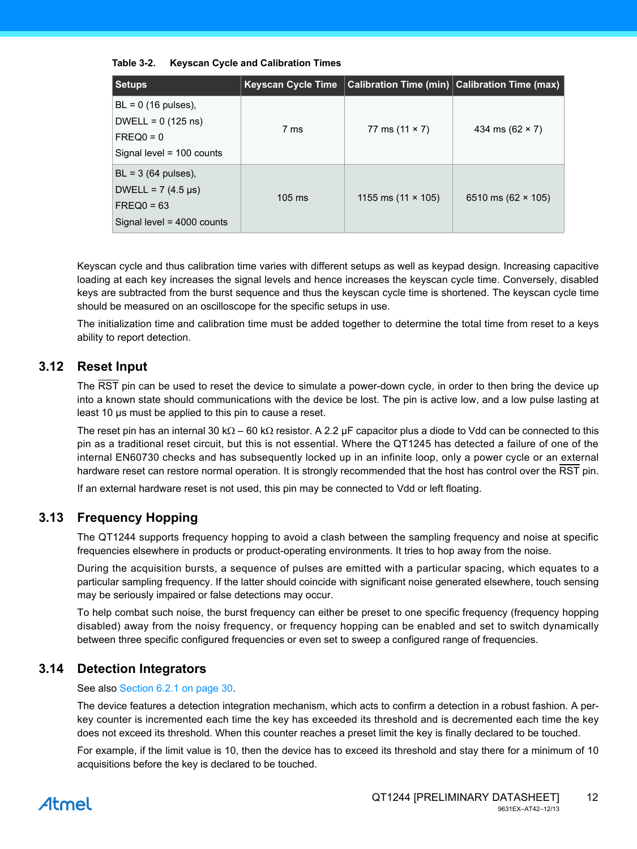| <b>Setups</b>                                                                                      | <b>Keyscan Cycle Time</b> |                           | <b>Calibration Time (min)</b> Calibration Time (max) |
|----------------------------------------------------------------------------------------------------|---------------------------|---------------------------|------------------------------------------------------|
| $BL = 0$ (16 pulses),<br>DWELL = $0(125 \text{ ns})$<br>$FREQ0 = 0$<br>Signal level = $100$ counts | 7 ms                      | 77 ms $(11 \times 7)$     | 434 ms $(62 \times 7)$                               |
| $BL = 3$ (64 pulses),<br>DWELL = $7(4.5 \,\mu s)$<br>$FREQ0 = 63$<br>Signal level = $4000$ counts  | $105 \text{ ms}$          | 1155 ms $(11 \times 105)$ | 6510 ms $(62 \times 105)$                            |

#### <span id="page-11-0"></span>**Table 3-2. Keyscan Cycle and Calibration Times**

Keyscan cycle and thus calibration time varies with different setups as well as keypad design. Increasing capacitive loading at each key increases the signal levels and hence increases the keyscan cycle time. Conversely, disabled keys are subtracted from the burst sequence and thus the keyscan cycle time is shortened. The keyscan cycle time should be measured on an oscilloscope for the specific setups in use.

The initialization time and calibration time must be added together to determine the total time from reset to a keys ability to report detection.

### **3.12 Reset Input**

The RST pin can be used to reset the device to simulate a power-down cycle, in order to then bring the device up into a known state should communications with the device be lost. The pin is active low, and a low pulse lasting at least 10 µs must be applied to this pin to cause a reset.

The reset pin has an internal 30 k $\Omega$  – 60 k $\Omega$  resistor. A 2.2 µF capacitor plus a diode to Vdd can be connected to this pin as a traditional reset circuit, but this is not essential. Where the QT1245 has detected a failure of one of the internal EN60730 checks and has subsequently locked up in an infinite loop, only a power cycle or an external hardware reset can restore normal operation. It is strongly recommended that the host has control over the RST pin.

If an external hardware reset is not used, this pin may be connected to Vdd or left floating.

### **3.13 Frequency Hopping**

The QT1244 supports frequency hopping to avoid a clash between the sampling frequency and noise at specific frequencies elsewhere in products or product-operating environments. It tries to hop away from the noise.

During the acquisition bursts, a sequence of pulses are emitted with a particular spacing, which equates to a particular sampling frequency. If the latter should coincide with significant noise generated elsewhere, touch sensing may be seriously impaired or false detections may occur.

To help combat such noise, the burst frequency can either be preset to one specific frequency (frequency hopping disabled) away from the noisy frequency, or frequency hopping can be enabled and set to switch dynamically between three specific configured frequencies or even set to sweep a configured range of frequencies.

### **3.14 Detection Integrators**

See also [Section 6.2.1 on page 30](#page-29-0).

The device features a detection integration mechanism, which acts to confirm a detection in a robust fashion. A perkey counter is incremented each time the key has exceeded its threshold and is decremented each time the key does not exceed its threshold. When this counter reaches a preset limit the key is finally declared to be touched.

For example, if the limit value is 10, then the device has to exceed its threshold and stay there for a minimum of 10 acquisitions before the key is declared to be touched.

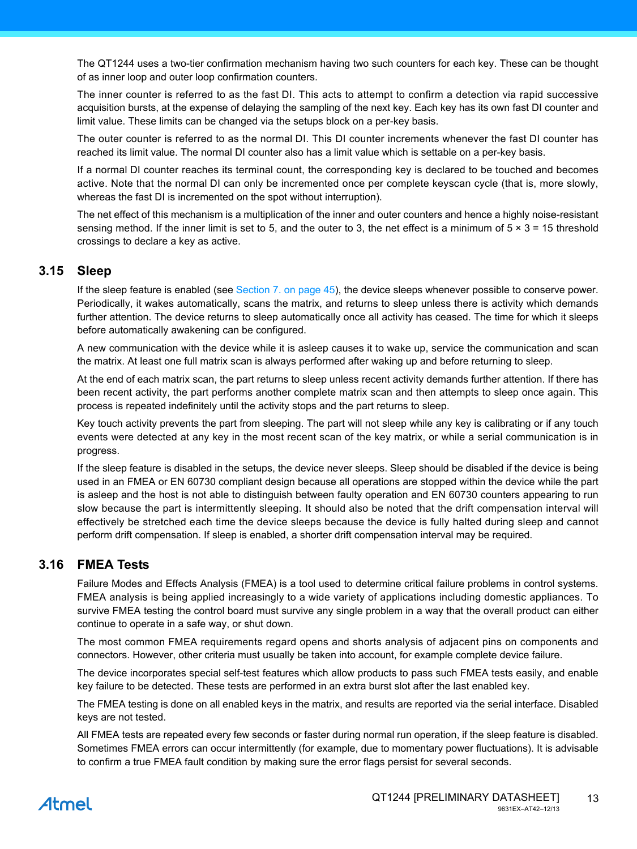The QT1244 uses a two-tier confirmation mechanism having two such counters for each key. These can be thought of as inner loop and outer loop confirmation counters.

The inner counter is referred to as the fast DI. This acts to attempt to confirm a detection via rapid successive acquisition bursts, at the expense of delaying the sampling of the next key. Each key has its own fast DI counter and limit value. These limits can be changed via the setups block on a per-key basis.

The outer counter is referred to as the normal DI. This DI counter increments whenever the fast DI counter has reached its limit value. The normal DI counter also has a limit value which is settable on a per-key basis.

If a normal DI counter reaches its terminal count, the corresponding key is declared to be touched and becomes active. Note that the normal DI can only be incremented once per complete keyscan cycle (that is, more slowly, whereas the fast DI is incremented on the spot without interruption).

The net effect of this mechanism is a multiplication of the inner and outer counters and hence a highly noise-resistant sensing method. If the inner limit is set to 5, and the outer to 3, the net effect is a minimum of  $5 \times 3 = 15$  threshold crossings to declare a key as active.

### **3.15 Sleep**

If the sleep feature is enabled (see [Section 7. on page 45](#page-44-0)), the device sleeps whenever possible to conserve power. Periodically, it wakes automatically, scans the matrix, and returns to sleep unless there is activity which demands further attention. The device returns to sleep automatically once all activity has ceased. The time for which it sleeps before automatically awakening can be configured.

A new communication with the device while it is asleep causes it to wake up, service the communication and scan the matrix. At least one full matrix scan is always performed after waking up and before returning to sleep.

At the end of each matrix scan, the part returns to sleep unless recent activity demands further attention. If there has been recent activity, the part performs another complete matrix scan and then attempts to sleep once again. This process is repeated indefinitely until the activity stops and the part returns to sleep.

Key touch activity prevents the part from sleeping. The part will not sleep while any key is calibrating or if any touch events were detected at any key in the most recent scan of the key matrix, or while a serial communication is in progress.

If the sleep feature is disabled in the setups, the device never sleeps. Sleep should be disabled if the device is being used in an FMEA or EN 60730 compliant design because all operations are stopped within the device while the part is asleep and the host is not able to distinguish between faulty operation and EN 60730 counters appearing to run slow because the part is intermittently sleeping. It should also be noted that the drift compensation interval will effectively be stretched each time the device sleeps because the device is fully halted during sleep and cannot perform drift compensation. If sleep is enabled, a shorter drift compensation interval may be required.

### <span id="page-12-0"></span>**3.16 FMEA Tests**

Failure Modes and Effects Analysis (FMEA) is a tool used to determine critical failure problems in control systems. FMEA analysis is being applied increasingly to a wide variety of applications including domestic appliances. To survive FMEA testing the control board must survive any single problem in a way that the overall product can either continue to operate in a safe way, or shut down.

The most common FMEA requirements regard opens and shorts analysis of adjacent pins on components and connectors. However, other criteria must usually be taken into account, for example complete device failure.

The device incorporates special self-test features which allow products to pass such FMEA tests easily, and enable key failure to be detected. These tests are performed in an extra burst slot after the last enabled key.

The FMEA testing is done on all enabled keys in the matrix, and results are reported via the serial interface. Disabled keys are not tested.

All FMEA tests are repeated every few seconds or faster during normal run operation, if the sleep feature is disabled. Sometimes FMEA errors can occur intermittently (for example, due to momentary power fluctuations). It is advisable to confirm a true FMEA fault condition by making sure the error flags persist for several seconds.

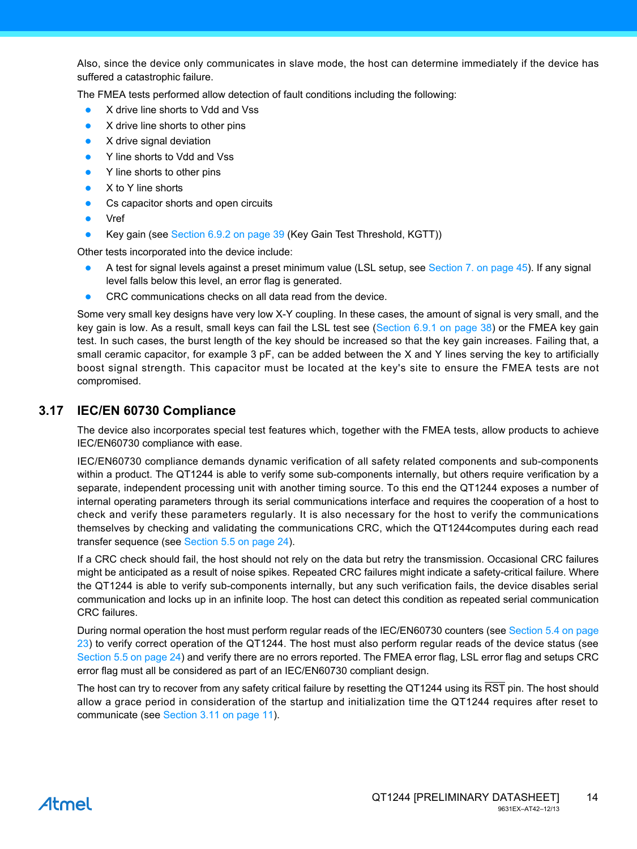Also, since the device only communicates in slave mode, the host can determine immediately if the device has suffered a catastrophic failure.

The FMEA tests performed allow detection of fault conditions including the following:

- X drive line shorts to Vdd and Vss
- X drive line shorts to other pins
- X drive signal deviation
- Y line shorts to Vdd and Vss
- Y line shorts to other pins
- X to Y line shorts
- Cs capacitor shorts and open circuits
- Vref
- Key gain (see [Section 6.9.2 on page 39](#page-38-1) (Key Gain Test Threshold, KGTT))

Other tests incorporated into the device include:

- A test for signal levels against a preset minimum value (LSL setup, see [Section 7. on page 45](#page-44-0)). If any signal level falls below this level, an error flag is generated.
- CRC communications checks on all data read from the device.

Some very small key designs have very low X-Y coupling. In these cases, the amount of signal is very small, and the key gain is low. As a result, small keys can fail the LSL test see ([Section 6.9.1 on page 38\)](#page-37-0) or the FMEA key gain test. In such cases, the burst length of the key should be increased so that the key gain increases. Failing that, a small ceramic capacitor, for example 3 pF, can be added between the X and Y lines serving the key to artificially boost signal strength. This capacitor must be located at the key's site to ensure the FMEA tests are not compromised.

### **3.17 IEC/EN 60730 Compliance**

The device also incorporates special test features which, together with the FMEA tests, allow products to achieve IEC/EN60730 compliance with ease.

IEC/EN60730 compliance demands dynamic verification of all safety related components and sub-components within a product. The QT1244 is able to verify some sub-components internally, but others require verification by a separate, independent processing unit with another timing source. To this end the QT1244 exposes a number of internal operating parameters through its serial communications interface and requires the cooperation of a host to check and verify these parameters regularly. It is also necessary for the host to verify the communications themselves by checking and validating the communications CRC, which the QT1244computes during each read transfer sequence (see [Section 5.5 on page 24](#page-23-0)).

If a CRC check should fail, the host should not rely on the data but retry the transmission. Occasional CRC failures might be anticipated as a result of noise spikes. Repeated CRC failures might indicate a safety-critical failure. Where the QT1244 is able to verify sub-components internally, but any such verification fails, the device disables serial communication and locks up in an infinite loop. The host can detect this condition as repeated serial communication CRC failures.

During normal operation the host must perform regular reads of the IEC/EN60730 counters (see [Section 5.4 on page](#page-22-0) [23\)](#page-22-0) to verify correct operation of the QT1244. The host must also perform regular reads of the device status (see [Section 5.5 on page 24\)](#page-23-0) and verify there are no errors reported. The FMEA error flag, LSL error flag and setups CRC error flag must all be considered as part of an IEC/EN60730 compliant design.

The host can try to recover from any safety critical failure by resetting the QT1244 using its RST pin. The host should allow a grace period in consideration of the startup and initialization time the QT1244 requires after reset to communicate (see [Section 3.11 on page 11](#page-10-1)).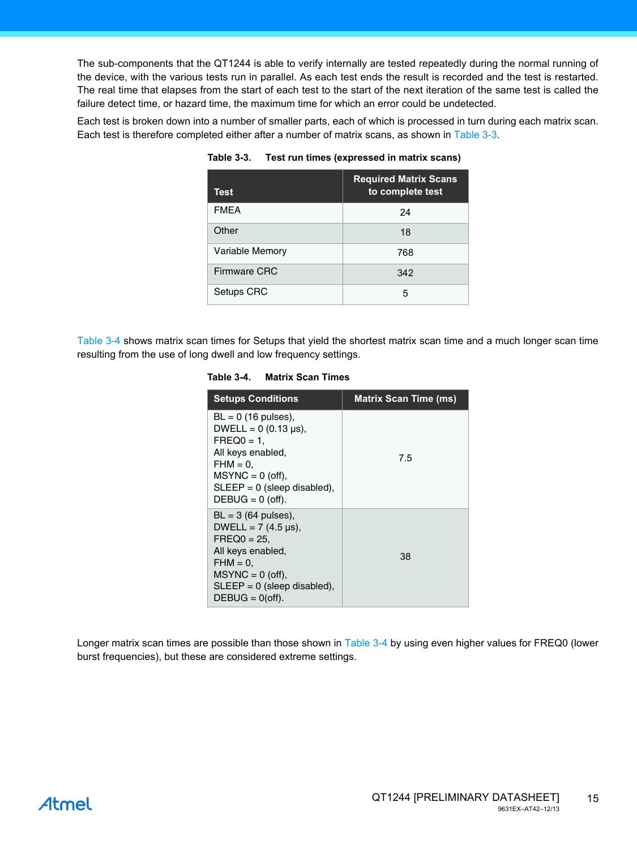The sub-components that the QT1244 is able to verify internally are tested repeatedly during the normal running of the device, with the various tests run in parallel. As each test ends the result is recorded and the test is restarted. The real time that elapses from the start of each test to the start of the next iteration of the same test is called the failure detect time, or hazard time, the maximum time for which an error could be undetected.

Each test is broken down into a number of smaller parts, each of which is processed in turn during each matrix scan. Each test is therefore completed either after a number of matrix scans, as shown in [Table 3-3.](#page-14-0)

| Test                   | <b>Required Matrix Scans</b><br>to complete test |
|------------------------|--------------------------------------------------|
| <b>FMEA</b>            | 24                                               |
| Other                  | 18                                               |
| <b>Variable Memory</b> | 768                                              |
| <b>Firmware CRC</b>    | 342                                              |
| Setups CRC             | 5                                                |

<span id="page-14-0"></span>**Table 3-3. Test run times (expressed in matrix scans)**

[Table 3-4](#page-14-1) shows matrix scan times for Setups that yield the shortest matrix scan time and a much longer scan time resulting from the use of long dwell and low frequency settings.

#### <span id="page-14-1"></span>**Table 3-4. Matrix Scan Times**

| <b>Setups Conditions</b>                                                                                                                                                                   | <b>Matrix Scan Time (ms)</b> |
|--------------------------------------------------------------------------------------------------------------------------------------------------------------------------------------------|------------------------------|
| $BL = 0$ (16 pulses),<br>DWELL = $0(0.13 \text{ µs})$ ,<br>$FREG0 = 1$<br>All keys enabled,<br>$FHM = 0.$<br>$MSYNC = 0$ (off),<br>$SLEEP = 0$ (sleep disabled),<br>$DEBUG = 0$ (off).     | 7.5                          |
| $BL = 3$ (64 pulses),<br>DWELL = $7(4.5 \text{ \mu s})$ ,<br>$FREQ0 = 25.$<br>All keys enabled,<br>$FHM = 0.$<br>$MSYNC = 0$ (off),<br>$SLEEP = 0$ (sleep disabled),<br>$DEBUG = 0$ (off). | 38                           |

Longer matrix scan times are possible than those shown in [Table 3-4](#page-14-1) by using even higher values for FREQ0 (lower burst frequencies), but these are considered extreme settings.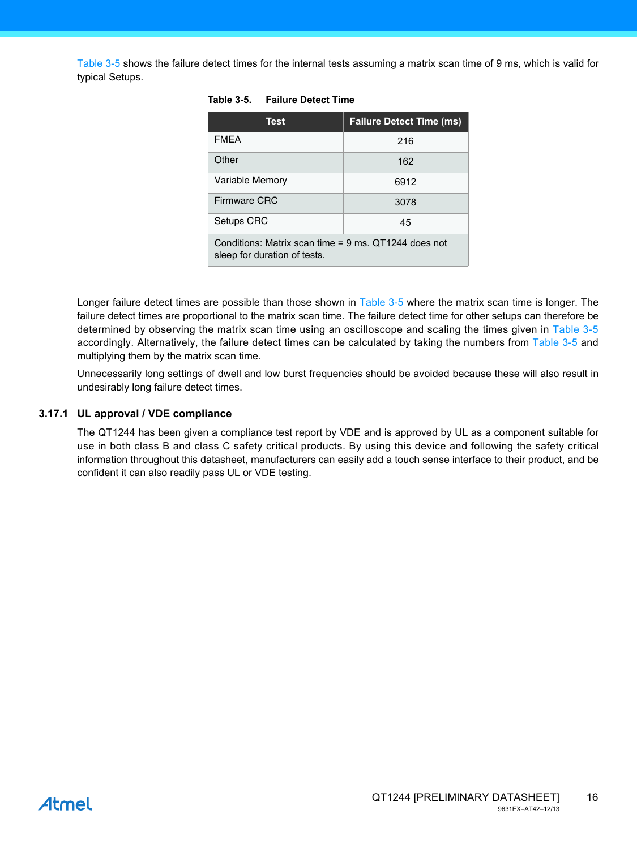[Table 3-5](#page-15-0) shows the failure detect times for the internal tests assuming a matrix scan time of 9 ms, which is valid for typical Setups.

| <b>Test</b>                                                                          | <b>Failure Detect Time (ms)</b> |  |  |  |
|--------------------------------------------------------------------------------------|---------------------------------|--|--|--|
| <b>FMEA</b>                                                                          | 216                             |  |  |  |
| Other                                                                                | 162                             |  |  |  |
| <b>Variable Memory</b>                                                               | 6912                            |  |  |  |
| Firmware CRC                                                                         | 3078                            |  |  |  |
| Setups CRC                                                                           | 45                              |  |  |  |
| Conditions: Matrix scan time = 9 ms. QT1244 does not<br>sleep for duration of tests. |                                 |  |  |  |

#### <span id="page-15-0"></span>**Table 3-5. Failure Detect Time**

Longer failure detect times are possible than those shown in [Table 3-5](#page-15-0) where the matrix scan time is longer. The failure detect times are proportional to the matrix scan time. The failure detect time for other setups can therefore be determined by observing the matrix scan time using an oscilloscope and scaling the times given in [Table 3-5](#page-15-0) accordingly. Alternatively, the failure detect times can be calculated by taking the numbers from [Table 3-5](#page-15-0) and multiplying them by the matrix scan time.

Unnecessarily long settings of dwell and low burst frequencies should be avoided because these will also result in undesirably long failure detect times.

#### **3.17.1 UL approval / VDE compliance**

The QT1244 has been given a compliance test report by VDE and is approved by UL as a component suitable for use in both class B and class C safety critical products. By using this device and following the safety critical information throughout this datasheet, manufacturers can easily add a touch sense interface to their product, and be confident it can also readily pass UL or VDE testing.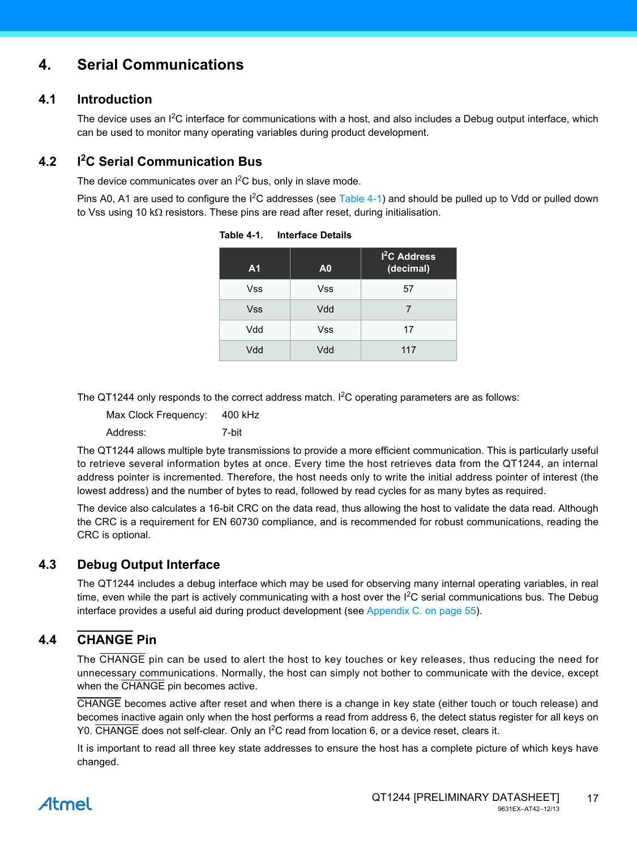### **4. Serial Communications**

### **4.1 Introduction**

The device uses an I<sup>2</sup>C interface for communications with a host, and also includes a Debug output interface, which can be used to monitor many operating variables during product development.

#### **4.2 I<sup>2</sup> C Serial Communication Bus**

The device communicates over an  $I^2C$  bus, only in slave mode.

Pins A0, A1 are used to configure the I<sup>2</sup>C addresses (see [Table 4-1](#page-16-0)) and should be pulled up to Vdd or pulled down to Vss using 10 k $\Omega$  resistors. These pins are read after reset, during initialisation.

| A <sub>1</sub> | A <sub>0</sub> | 1 <sup>2</sup> C Address<br>(decimal) |
|----------------|----------------|---------------------------------------|
| <b>Vss</b>     | <b>Vss</b>     | 57                                    |
| <b>Vss</b>     | Vdd            | 7                                     |
| Vdd            | Vss            | 17                                    |
| Vdd            | Vdd            | 117                                   |

<span id="page-16-0"></span>**Table 4-1. Interface Details**

The QT1244 only responds to the correct address match. I<sup>2</sup>C operating parameters are as follows:

Max Clock Frequency: 400 kHz Address: 7-bit

The QT1244 allows multiple byte transmissions to provide a more efficient communication. This is particularly useful to retrieve several information bytes at once. Every time the host retrieves data from the QT1244, an internal address pointer is incremented. Therefore, the host needs only to write the initial address pointer of interest (the lowest address) and the number of bytes to read, followed by read cycles for as many bytes as required.

The device also calculates a 16-bit CRC on the data read, thus allowing the host to validate the data read. Although the CRC is a requirement for EN 60730 compliance, and is recommended for robust communications, reading the CRC is optional.

### **4.3 Debug Output Interface**

The QT1244 includes a debug interface which may be used for observing many internal operating variables, in real time, even while the part is actively communicating with a host over the  $I^2C$  serial communications bus. The Debug interface provides a useful aid during product development (see [Appendix C. on page 55\)](#page-54-0).

### <span id="page-16-1"></span>**4.4 CHANGE Pin**

The CHANGE pin can be used to alert the host to key touches or key releases, thus reducing the need for unnecessary communications. Normally, the host can simply not bother to communicate with the device, except when the CHANGE pin becomes active.

CHANGE becomes active after reset and when there is a change in key state (either touch or touch release) and becomes inactive again only when the host performs a read from address 6, the detect status register for all keys on Y0. CHANGE does not self-clear. Only an I<sup>2</sup>C read from location 6, or a device reset, clears it.

It is important to read all three key state addresses to ensure the host has a complete picture of which keys have changed.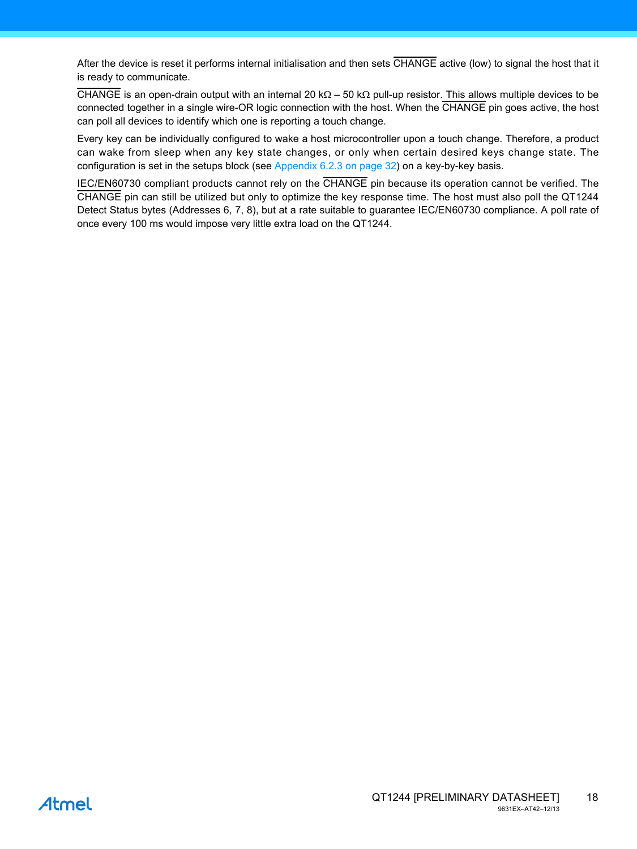After the device is reset it performs internal initialisation and then sets CHANGE active (low) to signal the host that it is ready to communicate.

CHANGE is an open-drain output with an internal 20 k $\Omega$  – 50 k $\Omega$  pull-up resistor. This allows multiple devices to be connected together in a single wire-OR logic connection with the host. When the CHANGE pin goes active, the host can poll all devices to identify which one is reporting a touch change.

Every key can be individually configured to wake a host microcontroller upon a touch change. Therefore, a product can wake from sleep when any key state changes, or only when certain desired keys change state. The configuration is set in the setups block (see [Appendix 6.2.3 on page 32\)](#page-31-0) on a key-by-key basis.

IEC/EN60730 compliant products cannot rely on the CHANGE pin because its operation cannot be verified. The CHANGE pin can still be utilized but only to optimize the key response time. The host must also poll the QT1244 Detect Status bytes (Addresses 6, 7, 8), but at a rate suitable to guarantee IEC/EN60730 compliance. A poll rate of once every 100 ms would impose very little extra load on the QT1244.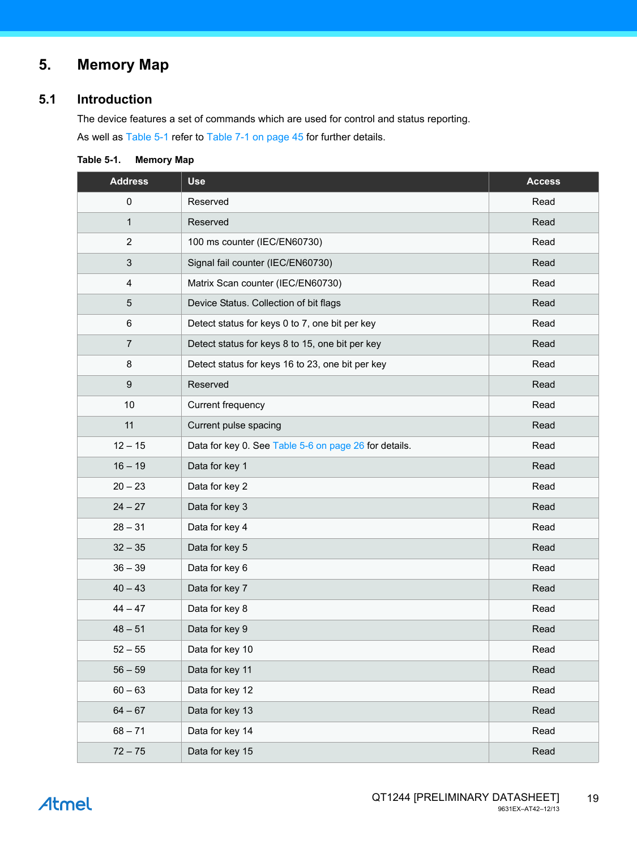# **5. Memory Map**

### <span id="page-18-1"></span>**5.1 Introduction**

The device features a set of commands which are used for control and status reporting. As well as [Table 5-1](#page-18-0) refer to [Table 7-1 on page 45](#page-44-1) for further details.

<span id="page-18-0"></span>

| Table 5-1. |  | <b>Memory Map</b> |  |
|------------|--|-------------------|--|
|------------|--|-------------------|--|

| <b>Address</b>          | <b>Use</b>                                            | <b>Access</b> |
|-------------------------|-------------------------------------------------------|---------------|
| $\pmb{0}$               | Reserved                                              | Read          |
| $\mathbf{1}$            | Reserved                                              | Read          |
| $\sqrt{2}$              | 100 ms counter (IEC/EN60730)                          | Read          |
| $\mathbf{3}$            | Signal fail counter (IEC/EN60730)                     | Read          |
| $\overline{\mathbf{4}}$ | Matrix Scan counter (IEC/EN60730)                     | Read          |
| $\mathbf 5$             | Device Status. Collection of bit flags                | Read          |
| $\,6\,$                 | Detect status for keys 0 to 7, one bit per key        | Read          |
| $\overline{7}$          | Detect status for keys 8 to 15, one bit per key       | Read          |
| $\bf 8$                 | Detect status for keys 16 to 23, one bit per key      | Read          |
| $\boldsymbol{9}$        | Reserved                                              | Read          |
| 10                      | Current frequency                                     | Read          |
| 11                      | Current pulse spacing                                 | Read          |
| $12 - 15$               | Data for key 0. See Table 5-6 on page 26 for details. | Read          |
| $16 - 19$               | Data for key 1                                        | Read          |
| $20 - 23$               | Data for key 2                                        | Read          |
| $24 - 27$               | Data for key 3                                        | Read          |
| $28 - 31$               | Data for key 4                                        | Read          |
| $32 - 35$               | Data for key 5                                        | Read          |
| $36 - 39$               | Data for key 6                                        | Read          |
| $40 - 43$               | Data for key 7                                        | Read          |
| $44 - 47$               | Data for key 8                                        | Read          |
| $48 - 51$               | Data for key 9                                        | Read          |
| $52 - 55$               | Data for key 10                                       | Read          |
| $56 - 59$               | Data for key 11                                       | Read          |
| $60 - 63$               | Data for key 12                                       | Read          |
| $64 - 67$               | Data for key 13                                       | Read          |
| $68 - 71$               | Data for key 14                                       | Read          |
| $72 - 75$               | Data for key 15                                       | Read          |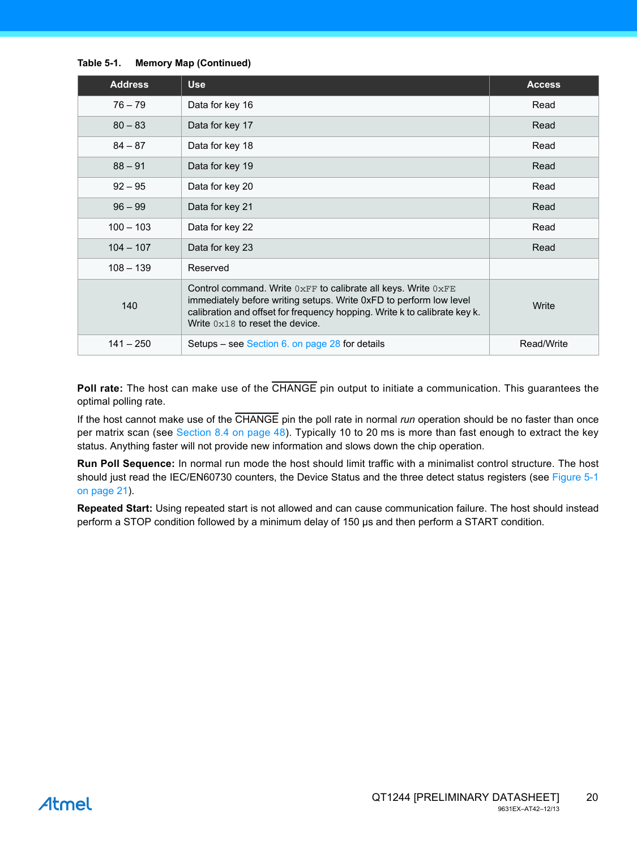#### **Table 5-1. Memory Map (Continued)**

| <b>Address</b> | <b>Use</b>                                                                                                                                                                                                                                                | <b>Access</b> |
|----------------|-----------------------------------------------------------------------------------------------------------------------------------------------------------------------------------------------------------------------------------------------------------|---------------|
| $76 - 79$      | Data for key 16                                                                                                                                                                                                                                           | Read          |
| $80 - 83$      | Data for key 17                                                                                                                                                                                                                                           | Read          |
| $84 - 87$      | Data for key 18                                                                                                                                                                                                                                           | Read          |
| $88 - 91$      | Data for key 19                                                                                                                                                                                                                                           | Read          |
| $92 - 95$      | Data for key 20                                                                                                                                                                                                                                           | Read          |
| $96 - 99$      | Data for key 21                                                                                                                                                                                                                                           | Read          |
| $100 - 103$    | Data for key 22                                                                                                                                                                                                                                           | Read          |
| $104 - 107$    | Data for key 23                                                                                                                                                                                                                                           | Read          |
| $108 - 139$    | Reserved                                                                                                                                                                                                                                                  |               |
| 140            | Control command. Write $0xFF$ to calibrate all keys. Write $0xFE$<br>immediately before writing setups. Write 0xFD to perform low level<br>calibration and offset for frequency hopping. Write k to calibrate key k.<br>Write $0x18$ to reset the device. | Write         |
| $141 - 250$    | Setups – see Section 6. on page 28 for details                                                                                                                                                                                                            | Read/Write    |

**Poll rate:** The host can make use of the CHANGE pin output to initiate a communication. This guarantees the optimal polling rate.

If the host cannot make use of the CHANGE pin the poll rate in normal *run* operation should be no faster than once per matrix scan (see [Section 8.4 on page 48](#page-47-0)). Typically 10 to 20 ms is more than fast enough to extract the key status. Anything faster will not provide new information and slows down the chip operation.

**Run Poll Sequence:** In normal run mode the host should limit traffic with a minimalist control structure. The host should just read the IEC/EN60730 counters, the Device Status and the three detect status registers (see [Figure 5-1](#page-20-0) [on page 21\)](#page-20-0).

**Repeated Start:** Using repeated start is not allowed and can cause communication failure. The host should instead perform a STOP condition followed by a minimum delay of 150 µs and then perform a START condition.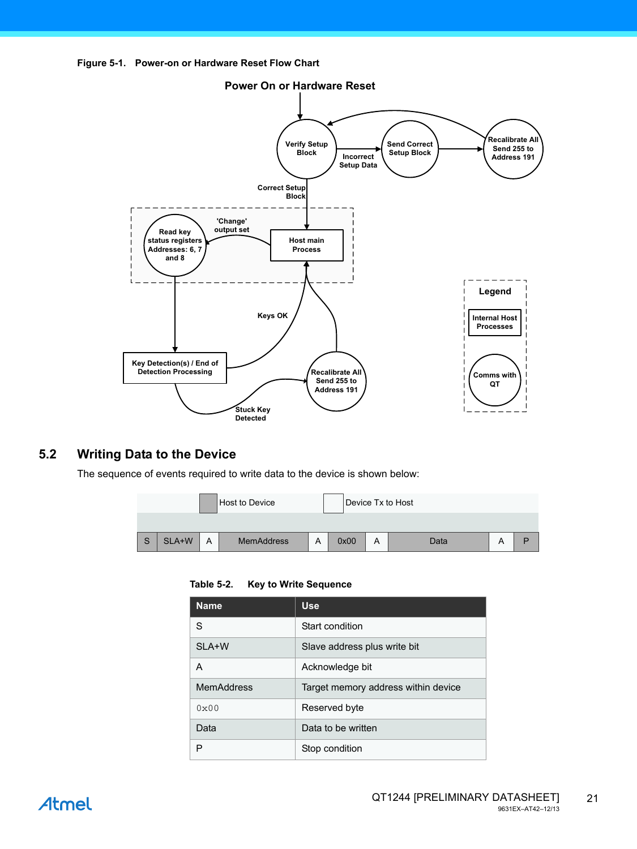<span id="page-20-0"></span>



### **5.2 Writing Data to the Device**

The sequence of events required to write data to the device is shown below:

| <b>Host to Device</b> |                       |       |   |                   |   | Device Tx to Host |   |      |   |   |
|-----------------------|-----------------------|-------|---|-------------------|---|-------------------|---|------|---|---|
|                       |                       |       |   |                   |   |                   |   |      |   |   |
|                       | $\mathbf C$<br>$\cup$ | SLA+W | A | <b>MemAddress</b> | Α | 0x00              | A | Data | A | D |

#### **Table 5-2. Key to Write Sequence**

| <b>Name</b>       | <b>Use</b>                          |
|-------------------|-------------------------------------|
| S                 | Start condition                     |
| SLA+W             | Slave address plus write bit        |
| A                 | Acknowledge bit                     |
| <b>MemAddress</b> | Target memory address within device |
| $0 \times 00$     | Reserved byte                       |
| Data              | Data to be written                  |
| P                 | Stop condition                      |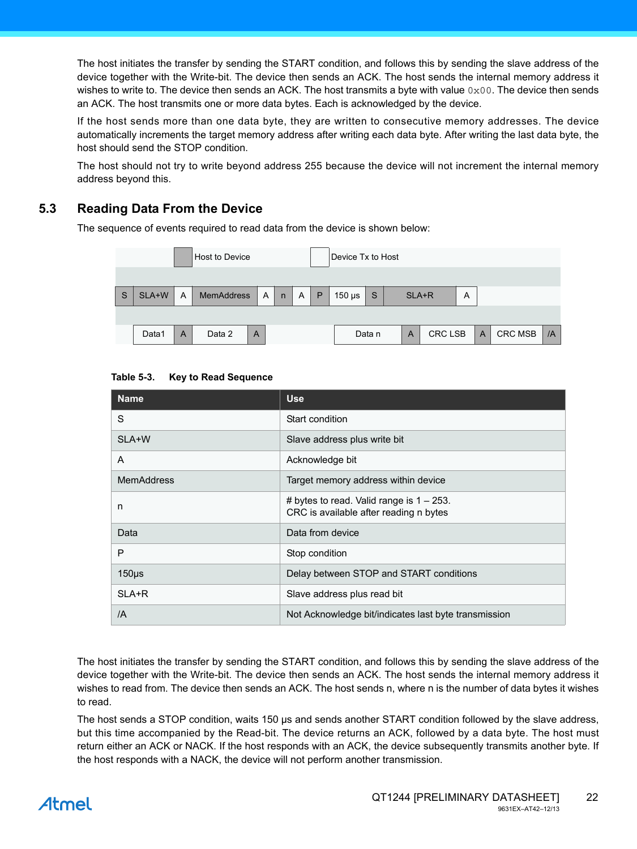The host initiates the transfer by sending the START condition, and follows this by sending the slave address of the device together with the Write-bit. The device then sends an ACK. The host sends the internal memory address it wishes to write to. The device then sends an ACK. The host transmits a byte with value  $0 \times 00$ . The device then sends an ACK. The host transmits one or more data bytes. Each is acknowledged by the device.

If the host sends more than one data byte, they are written to consecutive memory addresses. The device automatically increments the target memory address after writing each data byte. After writing the last data byte, the host should send the STOP condition.

The host should not try to write beyond address 255 because the device will not increment the internal memory address beyond this.

### **5.3 Reading Data From the Device**

The sequence of events required to read data from the device is shown below:

|   | Host to Device<br>Device Tx to Host |   |                   |   |   |              |   |   |               |                                            |            |  |                |                |                |  |  |
|---|-------------------------------------|---|-------------------|---|---|--------------|---|---|---------------|--------------------------------------------|------------|--|----------------|----------------|----------------|--|--|
|   |                                     |   |                   |   |   |              |   |   |               |                                            |            |  |                |                |                |  |  |
| S | SLA+W                               | A | <b>MemAddress</b> |   | A | $\mathsf{n}$ | A | P | $150$ $\mu$ s | S                                          | SLA+R<br>A |  |                |                |                |  |  |
|   |                                     |   |                   |   |   |              |   |   |               |                                            |            |  |                |                |                |  |  |
|   | Data1                               | A | Data 2            | A |   |              |   |   |               | <b>CRC LSB</b><br>Data n<br>$\overline{A}$ |            |  | $\overline{A}$ | <b>CRC MSB</b> | $\overline{A}$ |  |  |

| <b>Use</b>                                                                            |
|---------------------------------------------------------------------------------------|
| Start condition                                                                       |
| Slave address plus write bit                                                          |
| Acknowledge bit                                                                       |
| Target memory address within device                                                   |
| # bytes to read. Valid range is $1 - 253$ .<br>CRC is available after reading n bytes |
| Data from device                                                                      |
| Stop condition                                                                        |
| Delay between STOP and START conditions                                               |
| Slave address plus read bit                                                           |
| Not Acknowledge bit/indicates last byte transmission                                  |
|                                                                                       |

The host initiates the transfer by sending the START condition, and follows this by sending the slave address of the device together with the Write-bit. The device then sends an ACK. The host sends the internal memory address it wishes to read from. The device then sends an ACK. The host sends n, where n is the number of data bytes it wishes to read.

The host sends a STOP condition, waits 150 µs and sends another START condition followed by the slave address, but this time accompanied by the Read-bit. The device returns an ACK, followed by a data byte. The host must return either an ACK or NACK. If the host responds with an ACK, the device subsequently transmits another byte. If the host responds with a NACK, the device will not perform another transmission.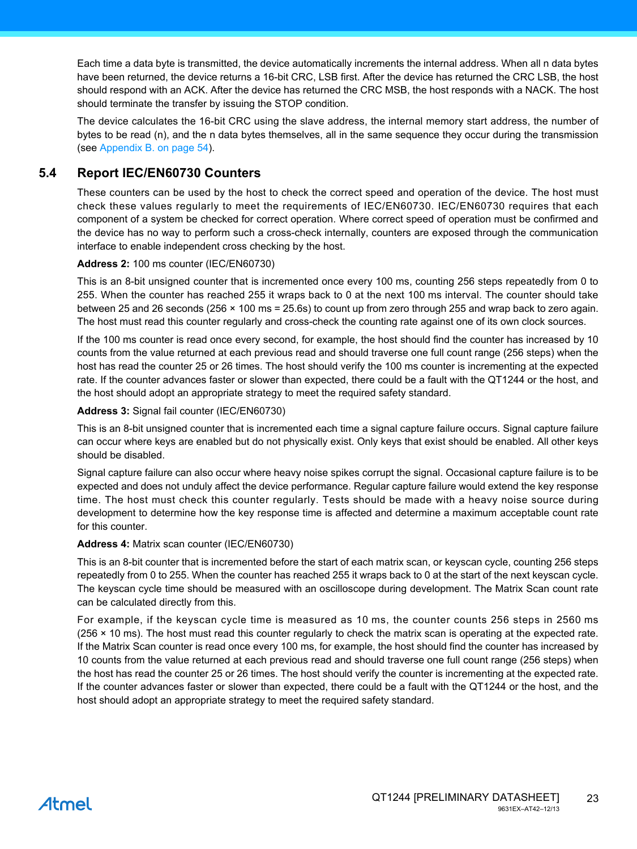Each time a data byte is transmitted, the device automatically increments the internal address. When all n data bytes have been returned, the device returns a 16-bit CRC, LSB first. After the device has returned the CRC LSB, the host should respond with an ACK. After the device has returned the CRC MSB, the host responds with a NACK. The host should terminate the transfer by issuing the STOP condition.

The device calculates the 16-bit CRC using the slave address, the internal memory start address, the number of bytes to be read (n), and the n data bytes themselves, all in the same sequence they occur during the transmission (see [Appendix B. on page 54](#page-53-0)).

#### <span id="page-22-0"></span>**5.4 Report IEC/EN60730 Counters**

These counters can be used by the host to check the correct speed and operation of the device. The host must check these values regularly to meet the requirements of IEC/EN60730. IEC/EN60730 requires that each component of a system be checked for correct operation. Where correct speed of operation must be confirmed and the device has no way to perform such a cross-check internally, counters are exposed through the communication interface to enable independent cross checking by the host.

#### **Address 2:** 100 ms counter (IEC/EN60730)

This is an 8-bit unsigned counter that is incremented once every 100 ms, counting 256 steps repeatedly from 0 to 255. When the counter has reached 255 it wraps back to 0 at the next 100 ms interval. The counter should take between 25 and 26 seconds (256 × 100 ms = 25.6s) to count up from zero through 255 and wrap back to zero again. The host must read this counter regularly and cross-check the counting rate against one of its own clock sources.

If the 100 ms counter is read once every second, for example, the host should find the counter has increased by 10 counts from the value returned at each previous read and should traverse one full count range (256 steps) when the host has read the counter 25 or 26 times. The host should verify the 100 ms counter is incrementing at the expected rate. If the counter advances faster or slower than expected, there could be a fault with the QT1244 or the host, and the host should adopt an appropriate strategy to meet the required safety standard.

**Address 3:** Signal fail counter (IEC/EN60730)

This is an 8-bit unsigned counter that is incremented each time a signal capture failure occurs. Signal capture failure can occur where keys are enabled but do not physically exist. Only keys that exist should be enabled. All other keys should be disabled.

Signal capture failure can also occur where heavy noise spikes corrupt the signal. Occasional capture failure is to be expected and does not unduly affect the device performance. Regular capture failure would extend the key response time. The host must check this counter regularly. Tests should be made with a heavy noise source during development to determine how the key response time is affected and determine a maximum acceptable count rate for this counter.

#### **Address 4:** Matrix scan counter (IEC/EN60730)

This is an 8-bit counter that is incremented before the start of each matrix scan, or keyscan cycle, counting 256 steps repeatedly from 0 to 255. When the counter has reached 255 it wraps back to 0 at the start of the next keyscan cycle. The keyscan cycle time should be measured with an oscilloscope during development. The Matrix Scan count rate can be calculated directly from this.

For example, if the keyscan cycle time is measured as 10 ms, the counter counts 256 steps in 2560 ms (256 × 10 ms). The host must read this counter regularly to check the matrix scan is operating at the expected rate. If the Matrix Scan counter is read once every 100 ms, for example, the host should find the counter has increased by 10 counts from the value returned at each previous read and should traverse one full count range (256 steps) when the host has read the counter 25 or 26 times. The host should verify the counter is incrementing at the expected rate. If the counter advances faster or slower than expected, there could be a fault with the QT1244 or the host, and the host should adopt an appropriate strategy to meet the required safety standard.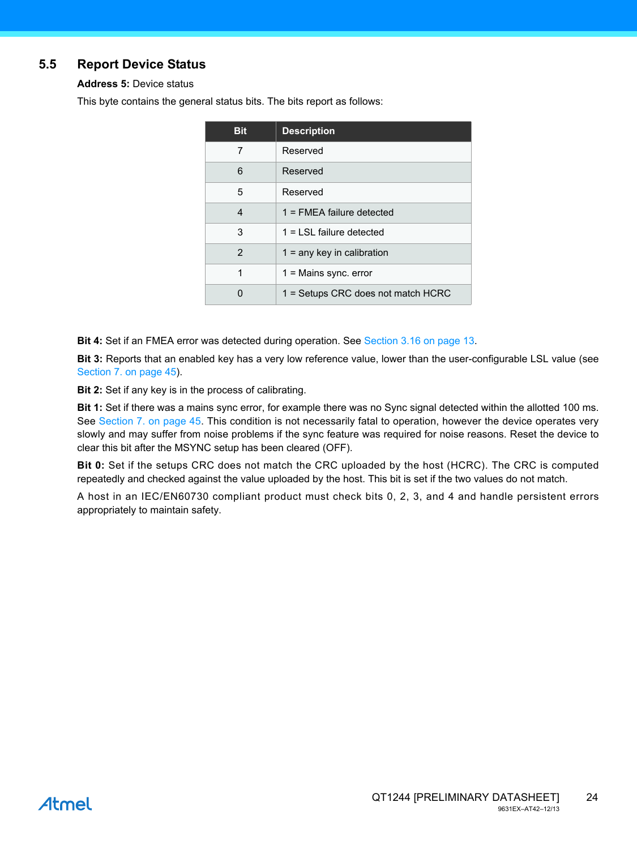### <span id="page-23-0"></span>**5.5 Report Device Status**

**Address 5:** Device status

This byte contains the general status bits. The bits report as follows:

| <b>Bit</b> | <b>Description</b>                 |
|------------|------------------------------------|
| 7          | Reserved                           |
| 6          | Reserved                           |
| 5          | Reserved                           |
| 4          | $1 =$ FMEA failure detected        |
| 3          | $1 =$ LSL failure detected         |
| 2          | $1 =$ any key in calibration       |
| 1          | $1 =$ Mains sync. error            |
|            | 1 = Setups CRC does not match HCRC |

**Bit 4:** Set if an FMEA error was detected during operation. See [Section 3.16 on page 13](#page-12-0).

**Bit 3:** Reports that an enabled key has a very low reference value, lower than the user-configurable LSL value (see [Section 7. on page 45](#page-44-0)).

**Bit 2:** Set if any key is in the process of calibrating.

**Bit 1:** Set if there was a mains sync error, for example there was no Sync signal detected within the allotted 100 ms. See [Section 7. on page 45](#page-44-0). This condition is not necessarily fatal to operation, however the device operates very slowly and may suffer from noise problems if the sync feature was required for noise reasons. Reset the device to clear this bit after the MSYNC setup has been cleared (OFF).

**Bit 0:** Set if the setups CRC does not match the CRC uploaded by the host (HCRC). The CRC is computed repeatedly and checked against the value uploaded by the host. This bit is set if the two values do not match.

A host in an IEC/EN60730 compliant product must check bits 0, 2, 3, and 4 and handle persistent errors appropriately to maintain safety.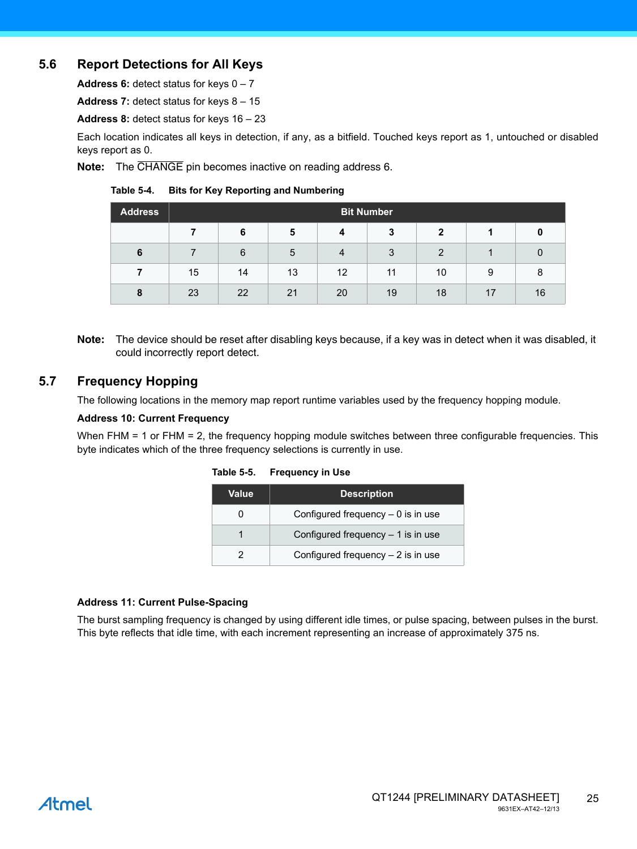### **5.6 Report Detections for All Keys**

**Address 6:** detect status for keys 0 – 7

**Address 7:** detect status for keys 8 – 15

**Address 8:** detect status for keys 16 – 23

Each location indicates all keys in detection, if any, as a bitfield. Touched keys report as 1, untouched or disabled keys report as 0.

**Note:** The CHANGE pin becomes inactive on reading address 6.

#### **Table 5-4. Bits for Key Reporting and Numbering**

| <b>Address</b> | <b>Bit Number</b> |    |    |                |    |              |    |    |  |  |  |
|----------------|-------------------|----|----|----------------|----|--------------|----|----|--|--|--|
|                |                   | 6  | 5  | 4              | 3  | $\mathbf{2}$ |    | 0  |  |  |  |
| 6              |                   | 6  | 5  | $\overline{4}$ | 3  | 2            |    |    |  |  |  |
|                | 15                | 14 | 13 | 12             | 11 | 10           | 9  | 8  |  |  |  |
| 8              | 23                | 22 | 21 | 20             | 19 | 18           | 17 | 16 |  |  |  |

**Note:** The device should be reset after disabling keys because, if a key was in detect when it was disabled, it could incorrectly report detect.

### **5.7 Frequency Hopping**

The following locations in the memory map report runtime variables used by the frequency hopping module.

#### **Address 10: Current Frequency**

When FHM = 1 or FHM = 2, the frequency hopping module switches between three configurable frequencies. This byte indicates which of the three frequency selections is currently in use.

| Value | <b>Description</b>                  |
|-------|-------------------------------------|
|       | Configured frequency $-0$ is in use |
|       | Configured frequency $-1$ is in use |
|       | Configured frequency $-2$ is in use |

#### **Table 5-5. Frequency in Use**

#### **Address 11: Current Pulse-Spacing**

The burst sampling frequency is changed by using different idle times, or pulse spacing, between pulses in the burst. This byte reflects that idle time, with each increment representing an increase of approximately 375 ns.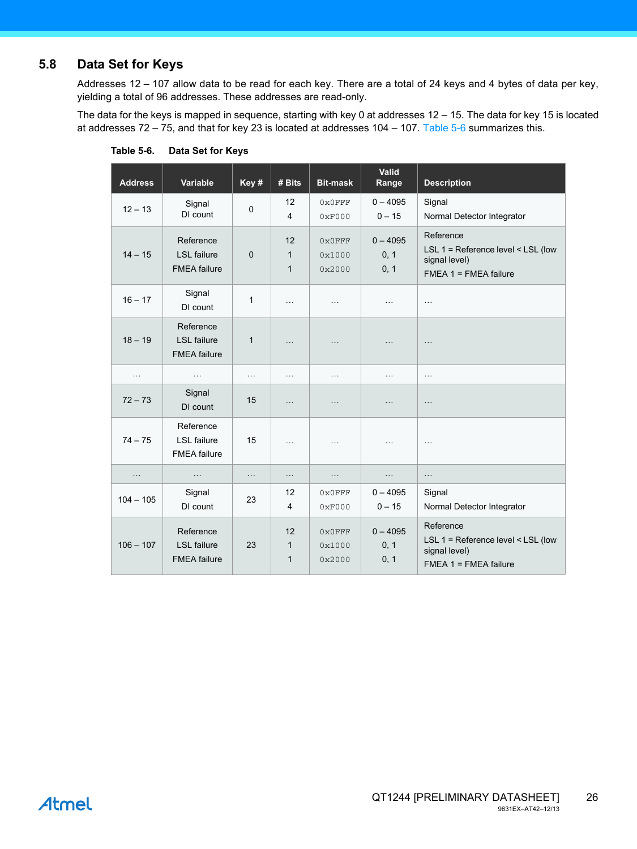### <span id="page-25-1"></span>**5.8 Data Set for Keys**

Addresses 12 – 107 allow data to be read for each key. There are a total of 24 keys and 4 bytes of data per key, yielding a total of 96 addresses. These addresses are read-only.

The data for the keys is mapped in sequence, starting with key 0 at addresses 12 – 15. The data for key 15 is located at addresses 72 – 75, and that for key 23 is located at addresses 104 – 107. [Table 5-6](#page-25-0) summarizes this.

| <b>Address</b> | Variable                                               | Key#         | # Bits                             | <b>Bit-mask</b>            | Valid<br>Range             | <b>Description</b>                                                                            |
|----------------|--------------------------------------------------------|--------------|------------------------------------|----------------------------|----------------------------|-----------------------------------------------------------------------------------------------|
| $12 - 13$      | Signal<br>DI count                                     | $\mathbf 0$  | 12<br>$\overline{\mathbf{4}}$      | $0 \times 0$ FFF<br>0xF000 | $0 - 4095$<br>$0 - 15$     | Signal<br>Normal Detector Integrator                                                          |
| $14 - 15$      | Reference<br><b>LSL</b> failure<br><b>FMEA</b> failure | $\Omega$     | 12<br>$\mathbf{1}$<br>$\mathbf{1}$ | 0x0FFF<br>0x1000<br>0x2000 | $0 - 4095$<br>0, 1<br>0, 1 | Reference<br>LSL 1 = Reference level < LSL (low<br>signal level)<br>$FMEA$ 1 = $FMEA$ failure |
| $16 - 17$      | Signal<br>DI count                                     | $\mathbf{1}$ | $\cdots$                           | $\cdots$                   | $\cdots$                   | $\cdots$                                                                                      |
| $18 - 19$      | Reference<br><b>LSL</b> failure<br><b>FMEA</b> failure | $\mathbf{1}$ | $\cdots$                           | .                          | .                          | $\cdots$                                                                                      |
| $\cdots$       | $\cdots$                                               | $\cdots$     | $\cdots$                           | $\cdots$                   | $\cdots$                   | $\cdots$                                                                                      |
| $72 - 73$      | Signal<br>DI count                                     | 15           | $\cdots$                           | .                          | $\cdots$                   | $\ldots$                                                                                      |
| $74 - 75$      | Reference<br><b>LSL</b> failure<br><b>FMEA</b> failure | 15           | $\cdots$                           | $\cdots$                   | $\cdots$                   | $\cdots$                                                                                      |
| .              | .                                                      | $\ldots$     | $\cdots$                           | .                          | $\cdots$                   | $\ldots$                                                                                      |
| $104 - 105$    | Signal<br>DI count                                     | 23           | 12<br>4                            | $0 \times 0$ FFF<br>0xF000 | $0 - 4095$<br>$0 - 15$     | Signal<br>Normal Detector Integrator                                                          |
| $106 - 107$    | Reference<br><b>LSL</b> failure<br><b>FMEA</b> failure | 23           | 12<br>$\mathbf{1}$<br>$\mathbf{1}$ | 0x0FFF<br>0x1000<br>0x2000 | $0 - 4095$<br>0, 1<br>0, 1 | Reference<br>LSL 1 = Reference level < LSL (low<br>signal level)<br>$FMEA$ 1 = $FMEA$ failure |

<span id="page-25-0"></span>**Table 5-6. Data Set for Keys**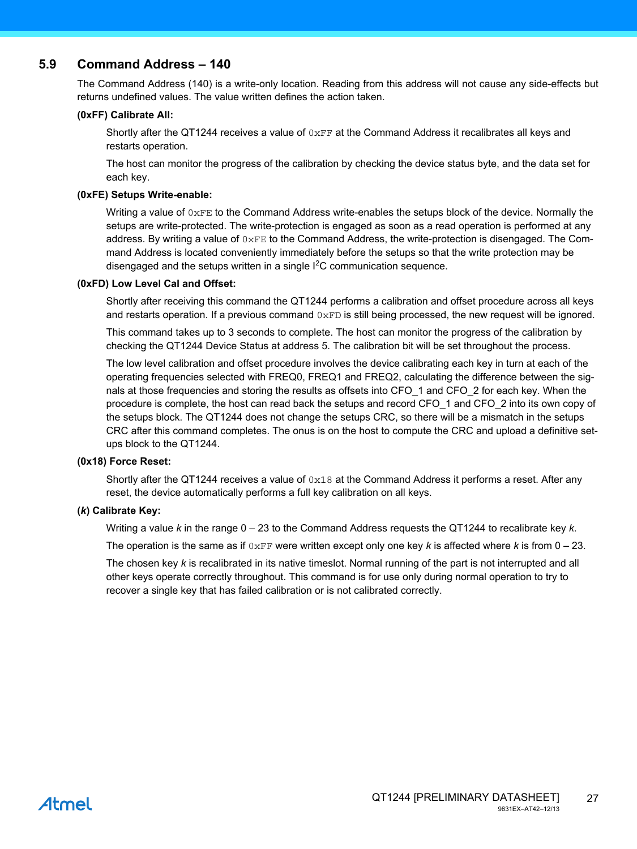### **5.9 Command Address – 140**

The Command Address (140) is a write-only location. Reading from this address will not cause any side-effects but returns undefined values. The value written defines the action taken.

#### **(0xFF) Calibrate All:**

Shortly after the QT1244 receives a value of  $0xFF$  at the Command Address it recalibrates all keys and restarts operation.

The host can monitor the progress of the calibration by checking the device status byte, and the data set for each key.

#### **(0xFE) Setups Write-enable:**

Writing a value of  $0 \times FE$  to the Command Address write-enables the setups block of the device. Normally the setups are write-protected. The write-protection is engaged as soon as a read operation is performed at any address. By writing a value of  $0 \times F$ E to the Command Address, the write-protection is disengaged. The Command Address is located conveniently immediately before the setups so that the write protection may be disengaged and the setups written in a single  $I^2C$  communication sequence.

#### **(0xFD) Low Level Cal and Offset:**

Shortly after receiving this command the QT1244 performs a calibration and offset procedure across all keys and restarts operation. If a previous command  $0 \times FD$  is still being processed, the new request will be ignored.

This command takes up to 3 seconds to complete. The host can monitor the progress of the calibration by checking the QT1244 Device Status at address 5. The calibration bit will be set throughout the process.

The low level calibration and offset procedure involves the device calibrating each key in turn at each of the operating frequencies selected with FREQ0, FREQ1 and FREQ2, calculating the difference between the signals at those frequencies and storing the results as offsets into CFO 1 and CFO 2 for each key. When the procedure is complete, the host can read back the setups and record CFO\_1 and CFO\_2 into its own copy of the setups block. The QT1244 does not change the setups CRC, so there will be a mismatch in the setups CRC after this command completes. The onus is on the host to compute the CRC and upload a definitive setups block to the QT1244.

#### **(0x18) Force Reset:**

Shortly after the QT1244 receives a value of  $0x18$  at the Command Address it performs a reset. After any reset, the device automatically performs a full key calibration on all keys.

#### **(***k***) Calibrate Key:**

Writing a value *k* in the range 0 – 23 to the Command Address requests the QT1244 to recalibrate key *k*.

The operation is the same as if  $0 \times FF$  were written except only one key k is affected where k is from  $0 - 23$ .

The chosen key *k* is recalibrated in its native timeslot. Normal running of the part is not interrupted and all other keys operate correctly throughout. This command is for use only during normal operation to try to recover a single key that has failed calibration or is not calibrated correctly.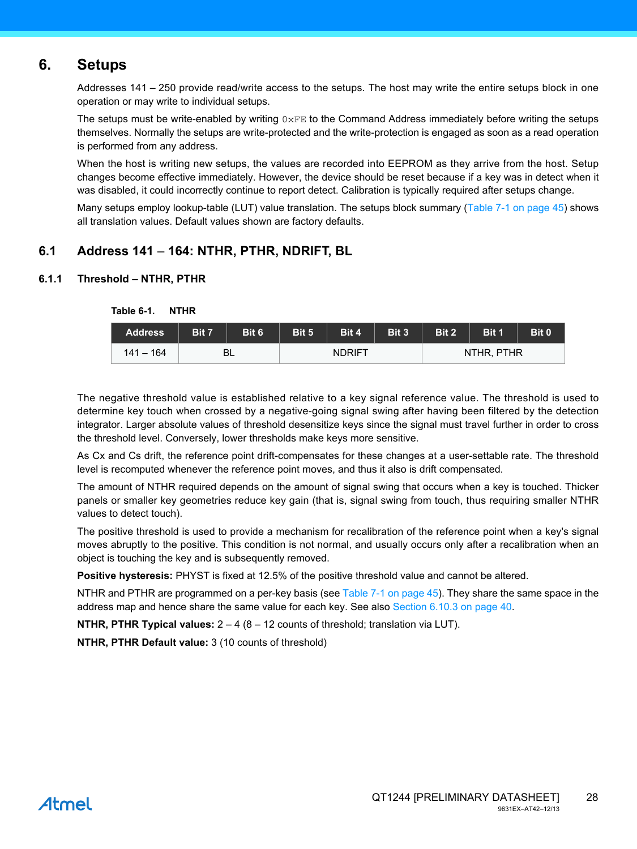### <span id="page-27-0"></span>**6. Setups**

Addresses 141 – 250 provide read/write access to the setups. The host may write the entire setups block in one operation or may write to individual setups.

The setups must be write-enabled by writing  $0 \times FE$  to the Command Address immediately before writing the setups themselves. Normally the setups are write-protected and the write-protection is engaged as soon as a read operation is performed from any address.

When the host is writing new setups, the values are recorded into EEPROM as they arrive from the host. Setup changes become effective immediately. However, the device should be reset because if a key was in detect when it was disabled, it could incorrectly continue to report detect. Calibration is typically required after setups change.

Many setups employ lookup-table (LUT) value translation. The setups block summary ([Table 7-1 on page 45\)](#page-44-1) shows all translation values. Default values shown are factory defaults.

### **6.1 Address 141** – **164: NTHR, PTHR, NDRIFT, BL**

#### **6.1.1 Threshold – NTHR, PTHR**

| <b>Address</b> | Bit 7 | Bit 6 | Bit 5 | Bit 4         | Bit 3 | Bit 2 | Bit 1      | Bit 0 |
|----------------|-------|-------|-------|---------------|-------|-------|------------|-------|
| 141 – 164      |       | BL    |       | <b>NDRIFT</b> |       |       | NTHR, PTHR |       |

**Table 6-1. NTHR**

The negative threshold value is established relative to a key signal reference value. The threshold is used to determine key touch when crossed by a negative-going signal swing after having been filtered by the detection integrator. Larger absolute values of threshold desensitize keys since the signal must travel further in order to cross the threshold level. Conversely, lower thresholds make keys more sensitive.

As Cx and Cs drift, the reference point drift-compensates for these changes at a user-settable rate. The threshold level is recomputed whenever the reference point moves, and thus it also is drift compensated.

The amount of NTHR required depends on the amount of signal swing that occurs when a key is touched. Thicker panels or smaller key geometries reduce key gain (that is, signal swing from touch, thus requiring smaller NTHR values to detect touch).

The positive threshold is used to provide a mechanism for recalibration of the reference point when a key's signal moves abruptly to the positive. This condition is not normal, and usually occurs only after a recalibration when an object is touching the key and is subsequently removed.

**Positive hysteresis:** PHYST is fixed at 12.5% of the positive threshold value and cannot be altered.

NTHR and PTHR are programmed on a per-key basis (see [Table 7-1 on page 45\)](#page-44-1). They share the same space in the address map and hence share the same value for each key. See also [Section 6.10.3 on page 40](#page-39-0).

**NTHR, PTHR Typical values:** 2 – 4 (8 – 12 counts of threshold; translation via LUT).

**NTHR, PTHR Default value:** 3 (10 counts of threshold)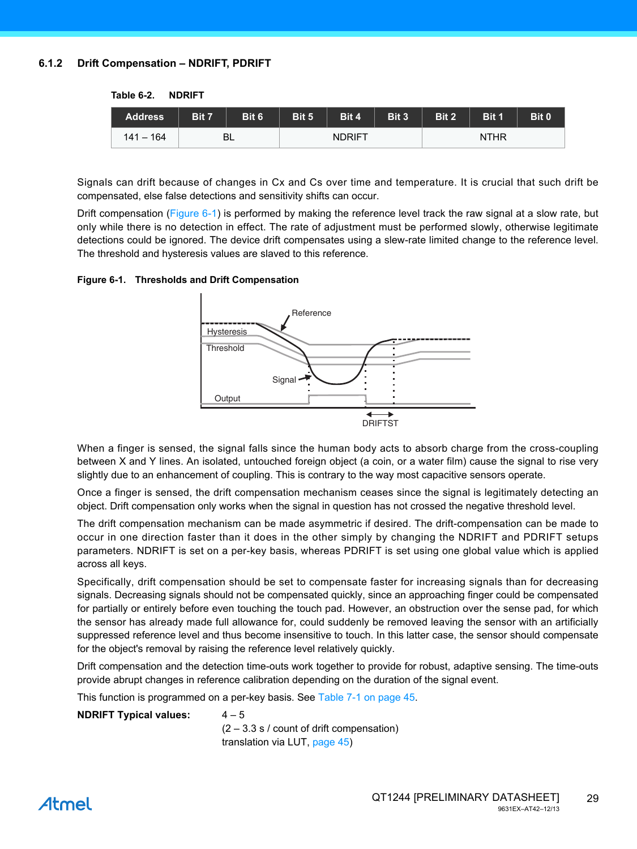#### <span id="page-28-1"></span>**6.1.2 Drift Compensation – NDRIFT, PDRIFT**

**Table 6-2. NDRIFT**

| <b>Address</b> | Bit 7 | Bit 6     | Bit 5 | Bit 4         | Bit 3 | Bit 2 | Bit 1 | Bit 0 |
|----------------|-------|-----------|-------|---------------|-------|-------|-------|-------|
| $141 - 164$    |       | <b>BL</b> |       | <b>NDRIFT</b> |       |       |       |       |

Signals can drift because of changes in Cx and Cs over time and temperature. It is crucial that such drift be compensated, else false detections and sensitivity shifts can occur.

Drift compensation ([Figure 6-1](#page-28-0)) is performed by making the reference level track the raw signal at a slow rate, but only while there is no detection in effect. The rate of adjustment must be performed slowly, otherwise legitimate detections could be ignored. The device drift compensates using a slew-rate limited change to the reference level. The threshold and hysteresis values are slaved to this reference.

#### <span id="page-28-0"></span>**Figure 6-1. Thresholds and Drift Compensation**



When a finger is sensed, the signal falls since the human body acts to absorb charge from the cross-coupling between X and Y lines. An isolated, untouched foreign object (a coin, or a water film) cause the signal to rise very slightly due to an enhancement of coupling. This is contrary to the way most capacitive sensors operate.

Once a finger is sensed, the drift compensation mechanism ceases since the signal is legitimately detecting an object. Drift compensation only works when the signal in question has not crossed the negative threshold level.

The drift compensation mechanism can be made asymmetric if desired. The drift-compensation can be made to occur in one direction faster than it does in the other simply by changing the NDRIFT and PDRIFT setups parameters. NDRIFT is set on a per-key basis, whereas PDRIFT is set using one global value which is applied across all keys.

Specifically, drift compensation should be set to compensate faster for increasing signals than for decreasing signals. Decreasing signals should not be compensated quickly, since an approaching finger could be compensated for partially or entirely before even touching the touch pad. However, an obstruction over the sense pad, for which the sensor has already made full allowance for, could suddenly be removed leaving the sensor with an artificially suppressed reference level and thus become insensitive to touch. In this latter case, the sensor should compensate for the object's removal by raising the reference level relatively quickly.

Drift compensation and the detection time-outs work together to provide for robust, adaptive sensing. The time-outs provide abrupt changes in reference calibration depending on the duration of the signal event.

This function is programmed on a per-key basis. See [Table 7-1 on page 45.](#page-44-1)

#### **NDRIFT Typical values:** 4–5

 $(2 - 3.3 s / \text{count of drift compensation})$ translation via LUT, [page 45\)](#page-44-1)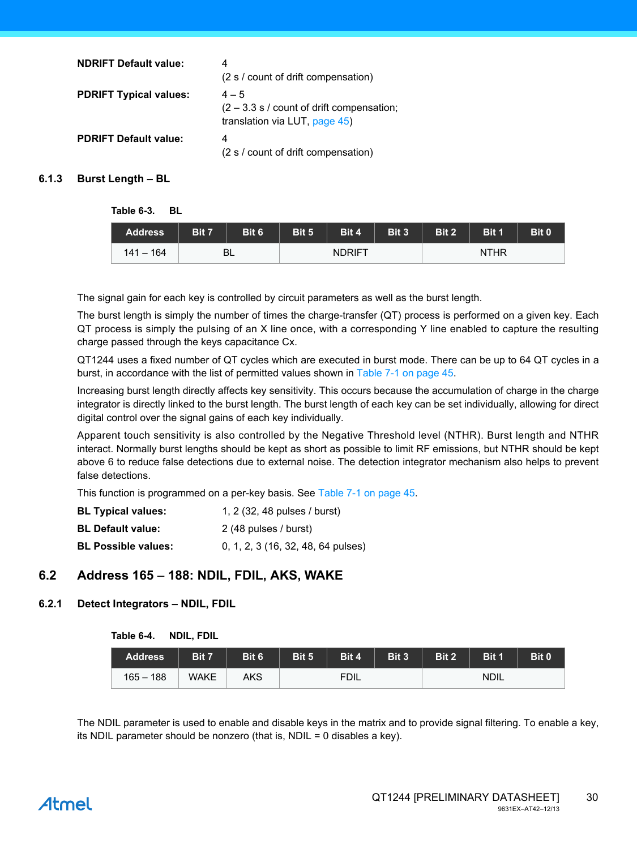| <b>NDRIFT Default value:</b>  | 4<br>(2 s / count of drift compensation)                                                       |
|-------------------------------|------------------------------------------------------------------------------------------------|
| <b>PDRIFT Typical values:</b> | $4 - 5$<br>$(2 - 3.3 s / \text{count of drift compensation})$<br>translation via LUT, page 45) |
| <b>PDRIFT Default value:</b>  | 4<br>(2 s / count of drift compensation)                                                       |

#### **6.1.3 Burst Length – BL**

**Table 6-3. BL**

| <b>Address</b> | Bit 7 | Bit 6 | Bit 5 | Bit 4         | Bit 3 | Bit 2 | Bit 1 | Bit 0 |
|----------------|-------|-------|-------|---------------|-------|-------|-------|-------|
| 141 – 164      |       | BL    |       | <b>NDRIFT</b> |       |       |       |       |

The signal gain for each key is controlled by circuit parameters as well as the burst length.

The burst length is simply the number of times the charge-transfer (QT) process is performed on a given key. Each QT process is simply the pulsing of an X line once, with a corresponding Y line enabled to capture the resulting charge passed through the keys capacitance Cx.

QT1244 uses a fixed number of QT cycles which are executed in burst mode. There can be up to 64 QT cycles in a burst, in accordance with the list of permitted values shown in [Table 7-1 on page 45.](#page-44-1)

Increasing burst length directly affects key sensitivity. This occurs because the accumulation of charge in the charge integrator is directly linked to the burst length. The burst length of each key can be set individually, allowing for direct digital control over the signal gains of each key individually.

Apparent touch sensitivity is also controlled by the Negative Threshold level (NTHR). Burst length and NTHR interact. Normally burst lengths should be kept as short as possible to limit RF emissions, but NTHR should be kept above 6 to reduce false detections due to external noise. The detection integrator mechanism also helps to prevent false detections.

This function is programmed on a per-key basis. See [Table 7-1 on page 45.](#page-44-1)

| <b>BL Typical values:</b>  | 1, 2 (32, 48 pulses / burst)       |
|----------------------------|------------------------------------|
| <b>BL Default value:</b>   | 2 (48 pulses / burst)              |
| <b>BL Possible values:</b> | 0, 1, 2, 3 (16, 32, 48, 64 pulses) |

### **6.2 Address 165** – **188: NDIL, FDIL, AKS, WAKE**

#### <span id="page-29-0"></span>**6.2.1 Detect Integrators – NDIL, FDIL**

| Table 6-4. | NDIL, FDIL |  |
|------------|------------|--|
|------------|------------|--|

| <b>Address</b> | Bit 7       | Bit 6 | Bit 5 | Bit 4       | Bit 3 | Bit 2 | Bit 1       | Bit 0 |
|----------------|-------------|-------|-------|-------------|-------|-------|-------------|-------|
| $165 - 188$    | <b>WAKE</b> | AKS   |       | <b>FDIL</b> |       |       | <b>NDIL</b> |       |

The NDIL parameter is used to enable and disable keys in the matrix and to provide signal filtering. To enable a key, its NDIL parameter should be nonzero (that is, NDIL = 0 disables a key).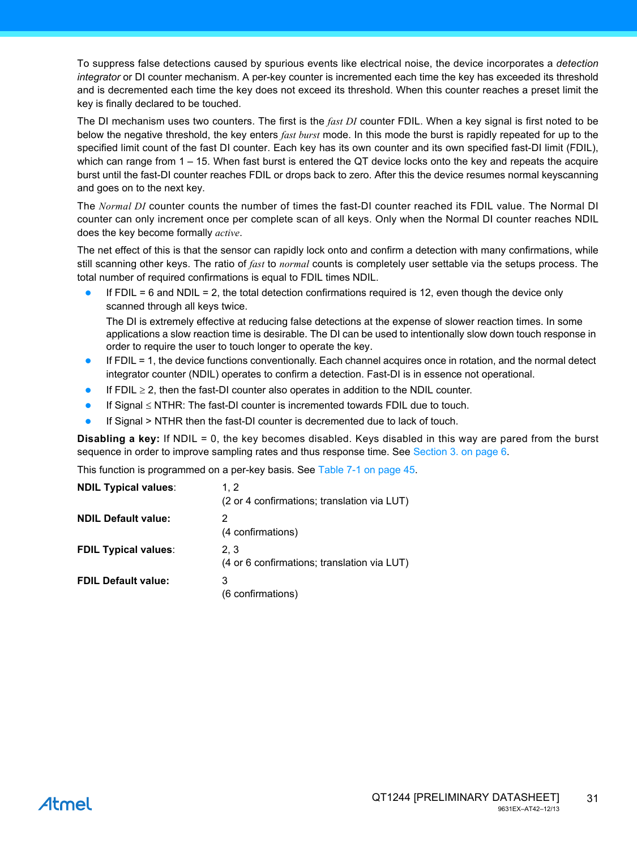To suppress false detections caused by spurious events like electrical noise, the device incorporates a *detection integrator* or DI counter mechanism. A per-key counter is incremented each time the key has exceeded its threshold and is decremented each time the key does not exceed its threshold. When this counter reaches a preset limit the key is finally declared to be touched.

The DI mechanism uses two counters. The first is the *fast DI* counter FDIL. When a key signal is first noted to be below the negative threshold, the key enters *fast burst* mode. In this mode the burst is rapidly repeated for up to the specified limit count of the fast DI counter. Each key has its own counter and its own specified fast-DI limit (FDIL), which can range from 1 – 15. When fast burst is entered the QT device locks onto the key and repeats the acquire burst until the fast-DI counter reaches FDIL or drops back to zero. After this the device resumes normal keyscanning and goes on to the next key.

The *Normal DI* counter counts the number of times the fast-DI counter reached its FDIL value. The Normal DI counter can only increment once per complete scan of all keys. Only when the Normal DI counter reaches NDIL does the key become formally *active*.

The net effect of this is that the sensor can rapidly lock onto and confirm a detection with many confirmations, while still scanning other keys. The ratio of *fast* to *normal* counts is completely user settable via the setups process. The total number of required confirmations is equal to FDIL times NDIL.

If  $FDIL = 6$  and  $NDIL = 2$ , the total detection confirmations required is 12, even though the device only scanned through all keys twice.

The DI is extremely effective at reducing false detections at the expense of slower reaction times. In some applications a slow reaction time is desirable. The DI can be used to intentionally slow down touch response in order to require the user to touch longer to operate the key.

- If FDIL = 1, the device functions conventionally. Each channel acquires once in rotation, and the normal detect integrator counter (NDIL) operates to confirm a detection. Fast-DI is in essence not operational.
- If FDIL  $\geq$  2, then the fast-DI counter also operates in addition to the NDIL counter.
- If Signal  $\leq$  NTHR: The fast-DI counter is incremented towards FDIL due to touch.
- If Signal > NTHR then the fast-DI counter is decremented due to lack of touch.

**Disabling a key:** If NDIL = 0, the key becomes disabled. Keys disabled in this way are pared from the burst sequence in order to improve sampling rates and thus response time. See [Section 3. on page 6](#page-5-1).

This function is programmed on a per-key basis. See [Table 7-1 on page 45.](#page-44-1)

| <b>NDIL Typical values:</b> | 1.2<br>(2 or 4 confirmations; translation via LUT) |
|-----------------------------|----------------------------------------------------|
| <b>NDIL Default value:</b>  | 2<br>(4 confirmations)                             |
| <b>FDIL Typical values:</b> | 2.3<br>(4 or 6 confirmations; translation via LUT) |
| <b>FDIL Default value:</b>  | 3<br>(6 confirmations)                             |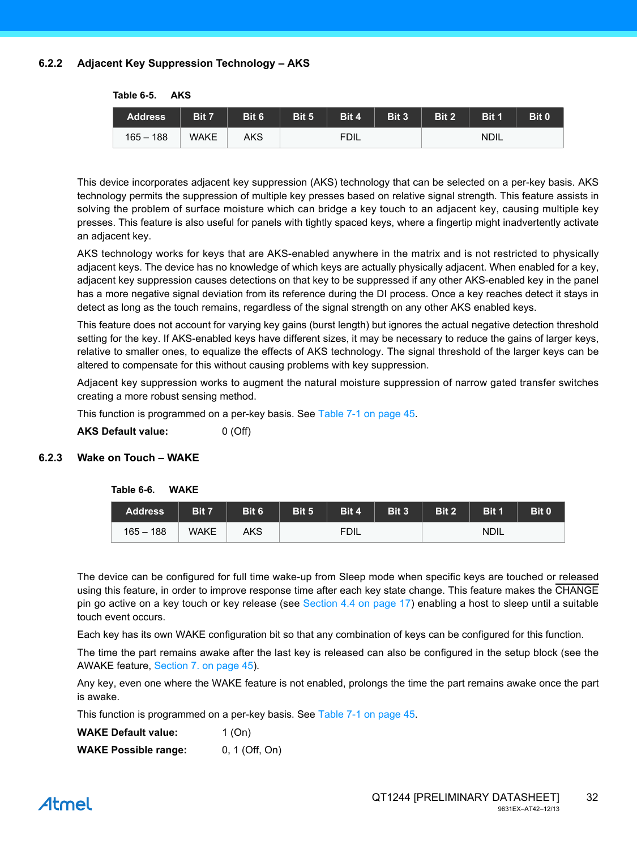#### **6.2.2 Adjacent Key Suppression Technology – AKS**

| <b>Address</b> | Bit 7       | Bit 6 | Bit 5 | Bit 4       | Bit 3 | Bit 2 | Bit 1       | Bit 0 |
|----------------|-------------|-------|-------|-------------|-------|-------|-------------|-------|
| $165 - 188$    | <b>WAKE</b> | AKS   |       | <b>FDIL</b> |       |       | <b>NDIL</b> |       |

**Table 6-5. AKS**

This device incorporates adjacent key suppression (AKS) technology that can be selected on a per-key basis. AKS technology permits the suppression of multiple key presses based on relative signal strength. This feature assists in solving the problem of surface moisture which can bridge a key touch to an adjacent key, causing multiple key presses. This feature is also useful for panels with tightly spaced keys, where a fingertip might inadvertently activate an adjacent key.

AKS technology works for keys that are AKS-enabled anywhere in the matrix and is not restricted to physically adjacent keys. The device has no knowledge of which keys are actually physically adjacent. When enabled for a key, adjacent key suppression causes detections on that key to be suppressed if any other AKS-enabled key in the panel has a more negative signal deviation from its reference during the DI process. Once a key reaches detect it stays in detect as long as the touch remains, regardless of the signal strength on any other AKS enabled keys.

This feature does not account for varying key gains (burst length) but ignores the actual negative detection threshold setting for the key. If AKS-enabled keys have different sizes, it may be necessary to reduce the gains of larger keys, relative to smaller ones, to equalize the effects of AKS technology. The signal threshold of the larger keys can be altered to compensate for this without causing problems with key suppression.

Adjacent key suppression works to augment the natural moisture suppression of narrow gated transfer switches creating a more robust sensing method.

This function is programmed on a per-key basis. See [Table 7-1 on page 45.](#page-44-1)

**AKS Default value:** 0 (Off)

#### <span id="page-31-0"></span>**6.2.3 Wake on Touch – WAKE**

#### **Table 6-6. WAKE**

| <b>Address</b> | <b>Bit 7</b> | Bit 6 | Bit 5 | Bit 4       | Bit 3 | Bit 2 | Bit 1       | Bit 0 |
|----------------|--------------|-------|-------|-------------|-------|-------|-------------|-------|
| $165 - 188$    | <b>WAKE</b>  | AKS   |       | <b>FDIL</b> |       |       | <b>NDIL</b> |       |

The device can be configured for full time wake-up from Sleep mode when specific keys are touched or released using this feature, in order to improve response time after each key state change. This feature makes the CHANGE pin go active on a key touch or key release (see [Section 4.4 on page 17](#page-16-1)) enabling a host to sleep until a suitable touch event occurs.

Each key has its own WAKE configuration bit so that any combination of keys can be configured for this function.

The time the part remains awake after the last key is released can also be configured in the setup block (see the AWAKE feature, [Section 7. on page 45](#page-44-0)).

Any key, even one where the WAKE feature is not enabled, prolongs the time the part remains awake once the part is awake.

This function is programmed on a per-key basis. See [Table 7-1 on page 45.](#page-44-1)

| <b>WAKE Default value:</b>  | 1 (On)         |
|-----------------------------|----------------|
| <b>WAKE Possible range:</b> | 0, 1 (Off, On) |

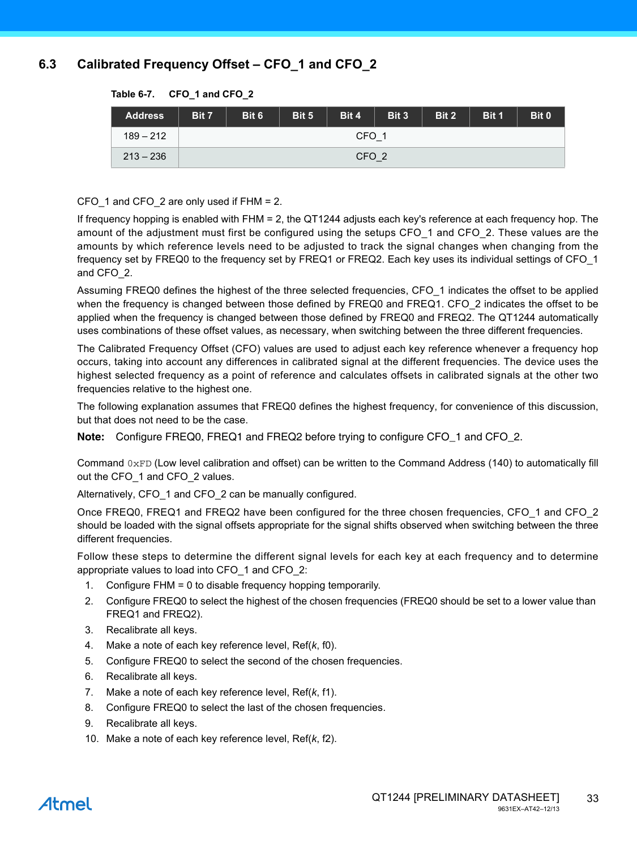### **6.3 Calibrated Frequency Offset – CFO\_1 and CFO\_2**

| <b>Address</b> | Bit 7            | Bit 6 | Bit 5 | Bit 4 | Bit 3 | Bit 2 | Bit 1 | Bit 0 |
|----------------|------------------|-------|-------|-------|-------|-------|-------|-------|
| $189 - 212$    | CFO <sub>1</sub> |       |       |       |       |       |       |       |
| $213 - 236$    | CFO <sub>2</sub> |       |       |       |       |       |       |       |

#### **Table 6-7. CFO\_1 and CFO\_2**

CFO 1 and CFO 2 are only used if FHM = 2.

If frequency hopping is enabled with FHM = 2, the QT1244 adjusts each key's reference at each frequency hop. The amount of the adjustment must first be configured using the setups CFO\_1 and CFO\_2. These values are the amounts by which reference levels need to be adjusted to track the signal changes when changing from the frequency set by FREQ0 to the frequency set by FREQ1 or FREQ2. Each key uses its individual settings of CFO\_1 and CFO\_2.

Assuming FREQ0 defines the highest of the three selected frequencies, CFO\_1 indicates the offset to be applied when the frequency is changed between those defined by FREQ0 and FREQ1. CFO 2 indicates the offset to be applied when the frequency is changed between those defined by FREQ0 and FREQ2. The QT1244 automatically uses combinations of these offset values, as necessary, when switching between the three different frequencies.

The Calibrated Frequency Offset (CFO) values are used to adjust each key reference whenever a frequency hop occurs, taking into account any differences in calibrated signal at the different frequencies. The device uses the highest selected frequency as a point of reference and calculates offsets in calibrated signals at the other two frequencies relative to the highest one.

The following explanation assumes that FREQ0 defines the highest frequency, for convenience of this discussion, but that does not need to be the case.

**Note:** Configure FREQ0, FREQ1 and FREQ2 before trying to configure CFO\_1 and CFO\_2.

Command  $0xFD$  (Low level calibration and offset) can be written to the Command Address (140) to automatically fill out the CFO\_1 and CFO\_2 values.

Alternatively, CFO 1 and CFO 2 can be manually configured.

Once FREQ0, FREQ1 and FREQ2 have been configured for the three chosen frequencies, CFO\_1 and CFO\_2 should be loaded with the signal offsets appropriate for the signal shifts observed when switching between the three different frequencies.

Follow these steps to determine the different signal levels for each key at each frequency and to determine appropriate values to load into CFO\_1 and CFO\_2:

- 1. Configure FHM = 0 to disable frequency hopping temporarily.
- 2. Configure FREQ0 to select the highest of the chosen frequencies (FREQ0 should be set to a lower value than FREQ1 and FREQ2).
- 3. Recalibrate all keys.
- 4. Make a note of each key reference level, Ref(*k*, f0).
- 5. Configure FREQ0 to select the second of the chosen frequencies.
- 6. Recalibrate all keys.
- 7. Make a note of each key reference level, Ref(*k*, f1).
- 8. Configure FREQ0 to select the last of the chosen frequencies.
- 9. Recalibrate all keys.
- 10. Make a note of each key reference level, Ref(*k*, f2).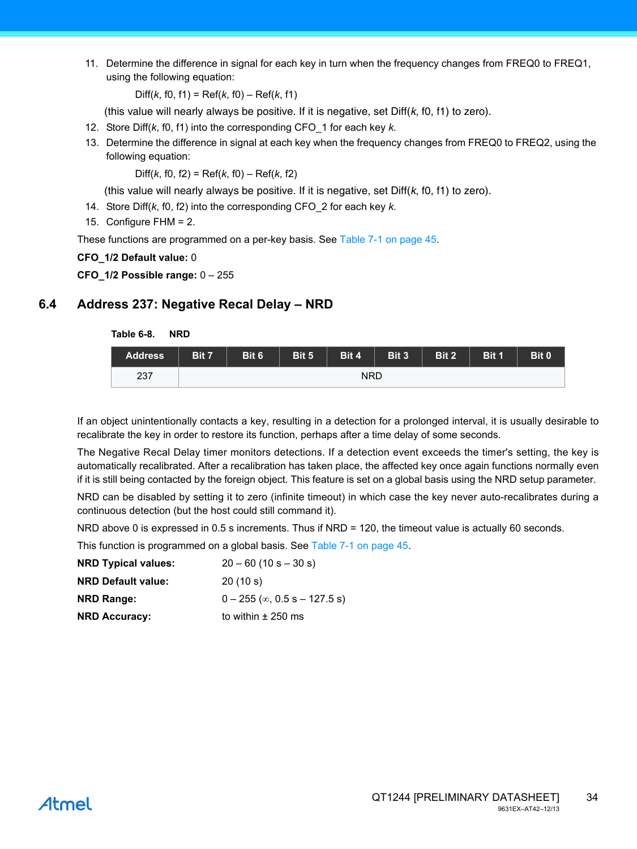11. Determine the difference in signal for each key in turn when the frequency changes from FREQ0 to FREQ1, using the following equation:

Diff(*k*, f0, f1) = Ref(*k*, f0) – Ref(*k*, f1)

(this value will nearly always be positive. If it is negative, set Diff(*k*, f0, f1) to zero).

- 12. Store Diff(*k*, f0, f1) into the corresponding CFO\_1 for each key *k*.
- 13. Determine the difference in signal at each key when the frequency changes from FREQ0 to FREQ2, using the following equation:

Diff(*k*, f0, f2) = Ref(*k*, f0) – Ref(*k*, f2)

(this value will nearly always be positive. If it is negative, set Diff(*k*, f0, f1) to zero).

- 14. Store Diff(*k*, f0, f2) into the corresponding CFO\_2 for each key *k*.
- 15. Configure FHM = 2.

These functions are programmed on a per-key basis. See [Table 7-1 on page 45](#page-44-1).

**CFO\_1/2 Default value:** 0

**CFO\_1/2 Possible range:** 0 – 255

### **6.4 Address 237: Negative Recal Delay – NRD**

**Table 6-8. NRD**

| <b>Address</b> | Bit 7 | Bit 6 | Bit 5 | Bit 4      | Bit 3 | Bit 2 | Bit 1 | Bit 0 |
|----------------|-------|-------|-------|------------|-------|-------|-------|-------|
| 237            |       |       |       | <b>NRD</b> |       |       |       |       |

If an object unintentionally contacts a key, resulting in a detection for a prolonged interval, it is usually desirable to recalibrate the key in order to restore its function, perhaps after a time delay of some seconds.

The Negative Recal Delay timer monitors detections. If a detection event exceeds the timer's setting, the key is automatically recalibrated. After a recalibration has taken place, the affected key once again functions normally even if it is still being contacted by the foreign object. This feature is set on a global basis using the NRD setup parameter.

NRD can be disabled by setting it to zero (infinite timeout) in which case the key never auto-recalibrates during a continuous detection (but the host could still command it).

NRD above 0 is expressed in 0.5 s increments. Thus if NRD = 120, the timeout value is actually 60 seconds.

This function is programmed on a global basis. See [Table 7-1 on page 45.](#page-44-1)

| <b>NRD Typical values:</b> | $20 - 60$ (10 s $- 30$ s)               |
|----------------------------|-----------------------------------------|
| <b>NRD Default value:</b>  | 20(10 s)                                |
| <b>NRD Range:</b>          | $0 - 255$ ( $\infty$ , 0.5 s - 127.5 s) |
| <b>NRD Accuracy:</b>       | to within $\pm$ 250 ms                  |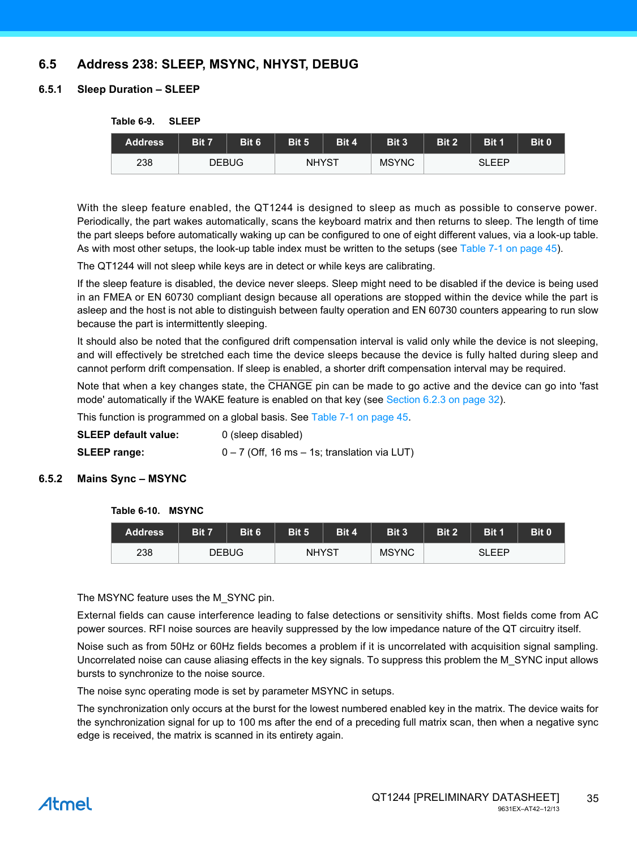### **6.5 Address 238: SLEEP, MSYNC, NHYST, DEBUG**

#### **6.5.1 Sleep Duration – SLEEP**

#### **Table 6-9. SLEEP**

| Address | Bit 7 | Bit 6        | Bit 5        | Bit 4 | Bit 3        | Bit 2 | Bit 1 | Bit 0 |
|---------|-------|--------------|--------------|-------|--------------|-------|-------|-------|
| 238     |       | <b>DEBUG</b> | <b>NHYST</b> |       | <b>MSYNC</b> |       | SLEEP |       |

With the sleep feature enabled, the QT1244 is designed to sleep as much as possible to conserve power. Periodically, the part wakes automatically, scans the keyboard matrix and then returns to sleep. The length of time the part sleeps before automatically waking up can be configured to one of eight different values, via a look-up table. As with most other setups, the look-up table index must be written to the setups (see [Table 7-1 on page 45](#page-44-1)).

The QT1244 will not sleep while keys are in detect or while keys are calibrating.

If the sleep feature is disabled, the device never sleeps. Sleep might need to be disabled if the device is being used in an FMEA or EN 60730 compliant design because all operations are stopped within the device while the part is asleep and the host is not able to distinguish between faulty operation and EN 60730 counters appearing to run slow because the part is intermittently sleeping.

It should also be noted that the configured drift compensation interval is valid only while the device is not sleeping, and will effectively be stretched each time the device sleeps because the device is fully halted during sleep and cannot perform drift compensation. If sleep is enabled, a shorter drift compensation interval may be required.

Note that when a key changes state, the CHANGE pin can be made to go active and the device can go into 'fast mode' automatically if the WAKE feature is enabled on that key (see [Section 6.2.3 on page 32\)](#page-31-0).

This function is programmed on a global basis. See [Table 7-1 on page 45.](#page-44-1)

| SLEEP default value: | 0 (sleep disabled)                               |
|----------------------|--------------------------------------------------|
| <b>SLEEP range:</b>  | $0 - 7$ (Off, 16 ms $-$ 1s; translation via LUT) |

#### **6.5.2 Mains Sync – MSYNC**

#### **Table 6-10. MSYNC**

| Address | Bit 7 | Bit 6        | Bit 5        | Bit 4 | Bit 3        | Bit 2 | Bit 1        | Bit 0 |
|---------|-------|--------------|--------------|-------|--------------|-------|--------------|-------|
| 238     |       | <b>DEBUG</b> | <b>NHYST</b> |       | <b>MSYNC</b> |       | <b>SLEEP</b> |       |

The MSYNC feature uses the M\_SYNC pin.

External fields can cause interference leading to false detections or sensitivity shifts. Most fields come from AC power sources. RFI noise sources are heavily suppressed by the low impedance nature of the QT circuitry itself.

Noise such as from 50Hz or 60Hz fields becomes a problem if it is uncorrelated with acquisition signal sampling. Uncorrelated noise can cause aliasing effects in the key signals. To suppress this problem the M\_SYNC input allows bursts to synchronize to the noise source.

The noise sync operating mode is set by parameter MSYNC in setups.

The synchronization only occurs at the burst for the lowest numbered enabled key in the matrix. The device waits for the synchronization signal for up to 100 ms after the end of a preceding full matrix scan, then when a negative sync edge is received, the matrix is scanned in its entirety again.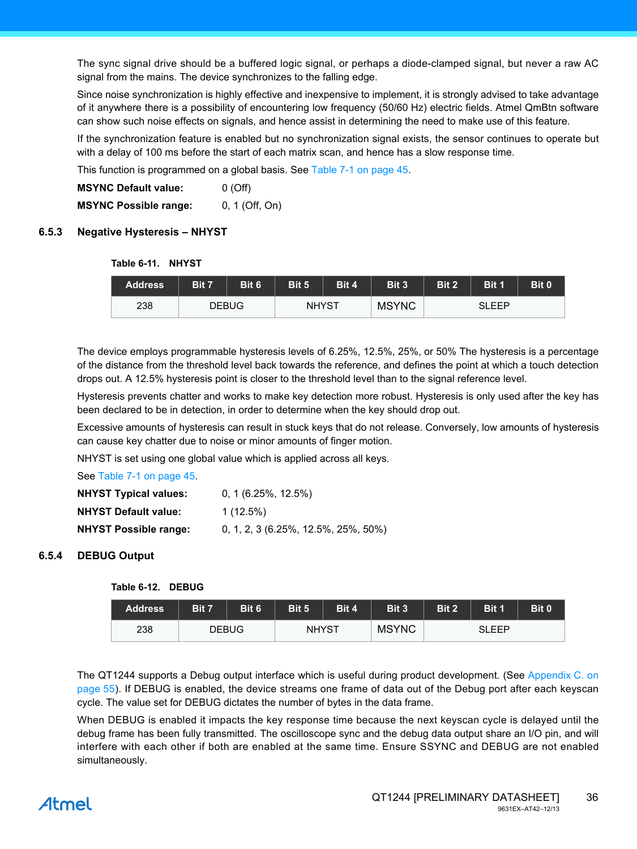The sync signal drive should be a buffered logic signal, or perhaps a diode-clamped signal, but never a raw AC signal from the mains. The device synchronizes to the falling edge.

Since noise synchronization is highly effective and inexpensive to implement, it is strongly advised to take advantage of it anywhere there is a possibility of encountering low frequency (50/60 Hz) electric fields. Atmel QmBtn software can show such noise effects on signals, and hence assist in determining the need to make use of this feature.

If the synchronization feature is enabled but no synchronization signal exists, the sensor continues to operate but with a delay of 100 ms before the start of each matrix scan, and hence has a slow response time.

This function is programmed on a global basis. See [Table 7-1 on page 45.](#page-44-1)

**MSYNC Default value:** 0 (Off) **MSYNC Possible range:** 0, 1 (Off, On)

#### **6.5.3 Negative Hysteresis – NHYST**

#### **Table 6-11. NHYST**

| <b>Address</b> | <b>Bit 7</b> | Bit 6        | Bit 5 | Bit 4        | Bit 3 | Bit 2 | Bit 1 | Bit 0 |
|----------------|--------------|--------------|-------|--------------|-------|-------|-------|-------|
| 238            |              | <b>DEBUG</b> |       | <b>NHYST</b> |       |       | SLEEP |       |

The device employs programmable hysteresis levels of 6.25%, 12.5%, 25%, or 50% The hysteresis is a percentage of the distance from the threshold level back towards the reference, and defines the point at which a touch detection drops out. A 12.5% hysteresis point is closer to the threshold level than to the signal reference level.

Hysteresis prevents chatter and works to make key detection more robust. Hysteresis is only used after the key has been declared to be in detection, in order to determine when the key should drop out.

Excessive amounts of hysteresis can result in stuck keys that do not release. Conversely, low amounts of hysteresis can cause key chatter due to noise or minor amounts of finger motion.

NHYST is set using one global value which is applied across all keys.

See [Table 7-1 on page 45.](#page-44-1)

| <b>NHYST Typical values:</b> | $0, 1$ (6.25%, 12.5%)                 |
|------------------------------|---------------------------------------|
| <b>NHYST Default value:</b>  | $1(12.5\%)$                           |
| <b>NHYST Possible range:</b> | $0, 1, 2, 3$ (6.25%, 12.5%, 25%, 50%) |

#### <span id="page-35-0"></span>**6.5.4 DEBUG Output**

#### **Table 6-12. DEBUG**

| <b>Address</b> | Bit 7 | Bit 6        | Bit 5        | Bit 4 | Bit 3        | Bit 2 | Bit 1        | Bit 0 |
|----------------|-------|--------------|--------------|-------|--------------|-------|--------------|-------|
| 238            |       | <b>DEBUG</b> | <b>NHYST</b> |       | <b>MSYNC</b> |       | <b>SLEEP</b> |       |

The QT1244 supports a Debug output interface which is useful during product development. (See [Appendix C. on](#page-54-0) [page 55](#page-54-0)). If DEBUG is enabled, the device streams one frame of data out of the Debug port after each keyscan cycle. The value set for DEBUG dictates the number of bytes in the data frame.

When DEBUG is enabled it impacts the key response time because the next keyscan cycle is delayed until the debug frame has been fully transmitted. The oscilloscope sync and the debug data output share an I/O pin, and will interfere with each other if both are enabled at the same time. Ensure SSYNC and DEBUG are not enabled simultaneously.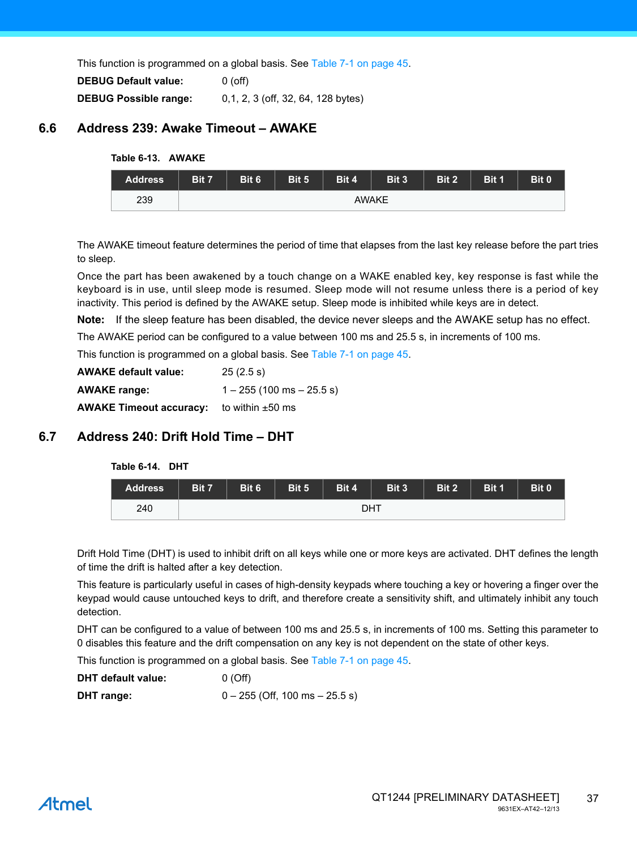This function is programmed on a global basis. See [Table 7-1 on page 45.](#page-44-1)

| <b>DEBUG Default value:</b>  | $0$ (off)                          |
|------------------------------|------------------------------------|
| <b>DEBUG Possible range:</b> | 0,1, 2, 3 (off, 32, 64, 128 bytes) |

### **6.6 Address 239: Awake Timeout – AWAKE**

#### **Table 6-13. AWAKE**

| <b>Address</b> | Bit 7 | Bit 6 | Bit 5 | Bit 4 | Bit 3        | Bit 2 | Bit 1 | Bit 0 |
|----------------|-------|-------|-------|-------|--------------|-------|-------|-------|
| 239            |       |       |       |       | <b>AWAKE</b> |       |       |       |

The AWAKE timeout feature determines the period of time that elapses from the last key release before the part tries to sleep.

Once the part has been awakened by a touch change on a WAKE enabled key, key response is fast while the keyboard is in use, until sleep mode is resumed. Sleep mode will not resume unless there is a period of key inactivity. This period is defined by the AWAKE setup. Sleep mode is inhibited while keys are in detect.

**Note:** If the sleep feature has been disabled, the device never sleeps and the AWAKE setup has no effect.

The AWAKE period can be configured to a value between 100 ms and 25.5 s, in increments of 100 ms.

This function is programmed on a global basis. See [Table 7-1 on page 45.](#page-44-1)

| <b>AWAKE default value:</b>    | 25(2.5 s)                     |
|--------------------------------|-------------------------------|
| <b>AWAKE range:</b>            | $1 - 255$ (100 ms $- 25.5$ s) |
| <b>AWAKE Timeout accuracy:</b> | to within $\pm 50$ ms         |

### **6.7 Address 240: Drift Hold Time – DHT**

|  | Table 6-14. |  | DHT |
|--|-------------|--|-----|
|--|-------------|--|-----|

| <b>Address</b> | Bit 7 | Bit 6 | Bit 5 | Bit 4 | Bit 3 | Bit 2 | Bit 1 | Bit 0 |
|----------------|-------|-------|-------|-------|-------|-------|-------|-------|
| 240            |       |       |       |       | DHT   |       |       |       |

Drift Hold Time (DHT) is used to inhibit drift on all keys while one or more keys are activated. DHT defines the length of time the drift is halted after a key detection.

This feature is particularly useful in cases of high-density keypads where touching a key or hovering a finger over the keypad would cause untouched keys to drift, and therefore create a sensitivity shift, and ultimately inhibit any touch detection.

DHT can be configured to a value of between 100 ms and 25.5 s, in increments of 100 ms. Setting this parameter to 0 disables this feature and the drift compensation on any key is not dependent on the state of other keys.

This function is programmed on a global basis. See [Table 7-1 on page 45.](#page-44-1)

| DHT default value: | 0(Off)                             |
|--------------------|------------------------------------|
| DHT range:         | $0 - 255$ (Off, 100 ms $- 25.5$ s) |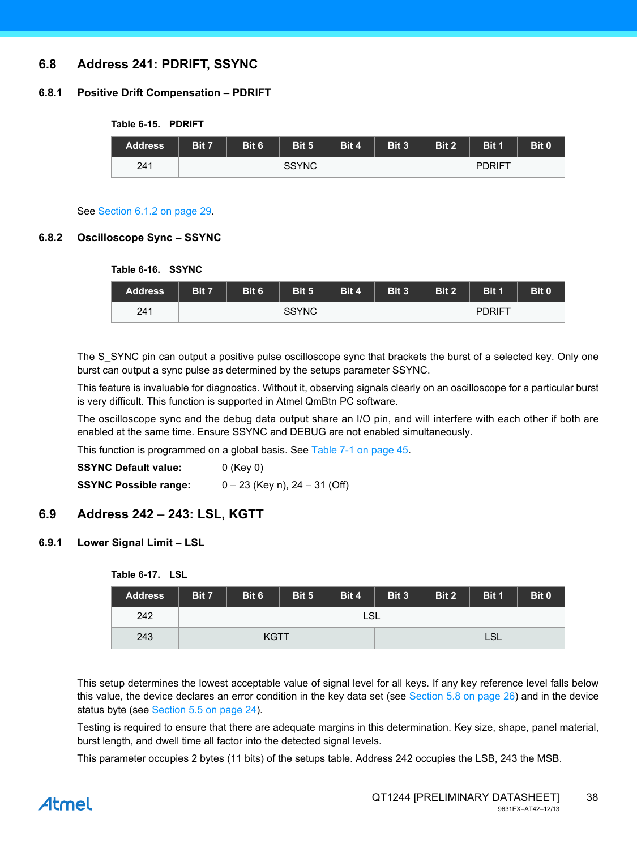### **6.8 Address 241: PDRIFT, SSYNC**

#### **6.8.1 Positive Drift Compensation – PDRIFT**

**Table 6-15. PDRIFT**

| <b>Address</b> | Bit 7 | Bit 6 | Bit 5        | Bit 4 | Bit 3 | Bit 2 | Bit 1         | Bit 0 |
|----------------|-------|-------|--------------|-------|-------|-------|---------------|-------|
| 241            |       |       | <b>SSYNC</b> |       |       |       | <b>PDRIFT</b> |       |

### See [Section 6.1.2 on page 29](#page-28-1).

#### **6.8.2 Oscilloscope Sync – SSYNC**

| Table 6-16. SSYNC |                                           |              |  |  |  |       |               |       |
|-------------------|-------------------------------------------|--------------|--|--|--|-------|---------------|-------|
| <b>Address</b>    | Bit 6<br>Bit 4<br>Bit 3<br>Bit 5<br>Bit 7 |              |  |  |  | Bit 2 | Bit 1         | Bit 0 |
| 241               |                                           | <b>SSYNC</b> |  |  |  |       | <b>PDRIFT</b> |       |

The S SYNC pin can output a positive pulse oscilloscope sync that brackets the burst of a selected key. Only one burst can output a sync pulse as determined by the setups parameter SSYNC.

This feature is invaluable for diagnostics. Without it, observing signals clearly on an oscilloscope for a particular burst is very difficult. This function is supported in Atmel QmBtn PC software.

The oscilloscope sync and the debug data output share an I/O pin, and will interfere with each other if both are enabled at the same time. Ensure SSYNC and DEBUG are not enabled simultaneously.

This function is programmed on a global basis. See [Table 7-1 on page 45.](#page-44-1)

| <b>SSYNC Default value:</b>  | $0$ (Key 0)                     |
|------------------------------|---------------------------------|
| <b>SSYNC Possible range:</b> | $0 - 23$ (Key n), 24 – 31 (Off) |

### **6.9 Address 242** – **243: LSL, KGTT**

#### <span id="page-37-0"></span>**6.9.1 Lower Signal Limit – LSL**

| <b>Table 6-17.</b> | LSL |
|--------------------|-----|
|--------------------|-----|

| <b>Address</b> | Bit 7       | Bit 6 | Bit 5 | Bit 4 | Bit 3 | Bit 2      | Bit 1 | Bit 0 |
|----------------|-------------|-------|-------|-------|-------|------------|-------|-------|
| 242            | <b>LSL</b>  |       |       |       |       |            |       |       |
| 243            | <b>KGTT</b> |       |       |       |       | <b>LSL</b> |       |       |

This setup determines the lowest acceptable value of signal level for all keys. If any key reference level falls below this value, the device declares an error condition in the key data set (see [Section 5.8 on page 26](#page-25-1)) and in the device status byte (see [Section 5.5 on page 24](#page-23-0)).

Testing is required to ensure that there are adequate margins in this determination. Key size, shape, panel material, burst length, and dwell time all factor into the detected signal levels.

This parameter occupies 2 bytes (11 bits) of the setups table. Address 242 occupies the LSB, 243 the MSB.

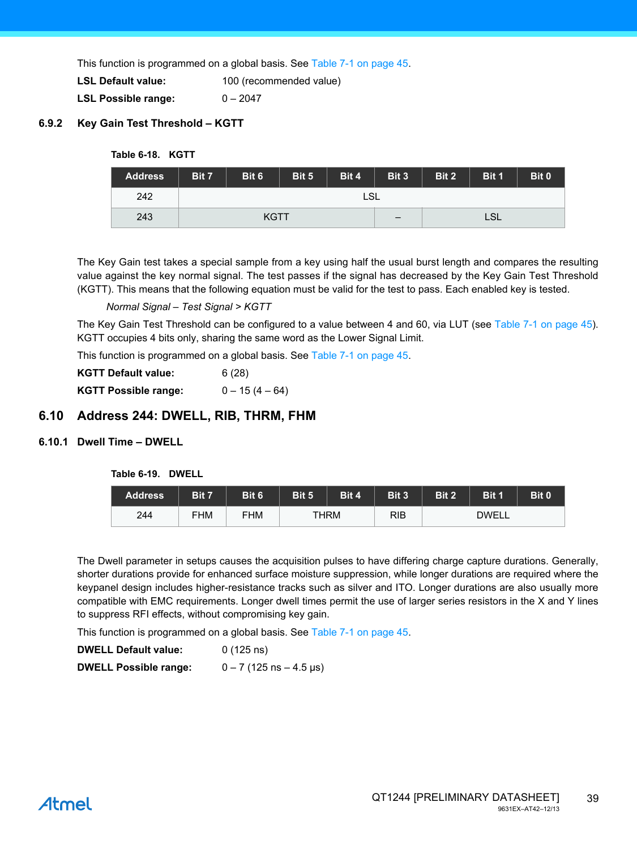This function is programmed on a global basis. See [Table 7-1 on page 45.](#page-44-1)

**LSL Default value:** 100 (recommended value)

**LSL Possible range:** 0 – 2047

#### <span id="page-38-1"></span>**6.9.2 Key Gain Test Threshold – KGTT**

#### **Table 6-18. KGTT**

| <b>Address</b> | Bit 7 | Bit 6 | Bit 5 | Bit 4                    | Bit 3 | Bit 2 | Bit 1 | Bit 0 |
|----------------|-------|-------|-------|--------------------------|-------|-------|-------|-------|
| 242            | LSL   |       |       |                          |       |       |       |       |
| 243            | KGTT  |       |       | $\overline{\phantom{m}}$ |       | LSL   |       |       |

The Key Gain test takes a special sample from a key using half the usual burst length and compares the resulting value against the key normal signal. The test passes if the signal has decreased by the Key Gain Test Threshold (KGTT). This means that the following equation must be valid for the test to pass. Each enabled key is tested.

#### *Normal Signal – Test Signal > KGTT*

The Key Gain Test Threshold can be configured to a value between 4 and 60, via LUT (see [Table 7-1 on page 45](#page-44-1)). KGTT occupies 4 bits only, sharing the same word as the Lower Signal Limit.

This function is programmed on a global basis. See [Table 7-1 on page 45.](#page-44-1)

| <b>KGTT Default value:</b> | 6(28)            |
|----------------------------|------------------|
| KGTT Possible range:       | $0 - 15(4 - 64)$ |

#### **6.10 Address 244: DWELL, RIB, THRM, FHM**

#### <span id="page-38-0"></span>**6.10.1 Dwell Time – DWELL**

#### **Table 6-19. DWELL**

| <b>Address</b> | Bit 7      | Bit 6      | Bit 5 | Bit 4       | Bit 3 | Bit 2 | <b>Bit 1</b> | Bit 0 |
|----------------|------------|------------|-------|-------------|-------|-------|--------------|-------|
| 244            | <b>FHM</b> | <b>FHM</b> |       | <b>THRM</b> | RIB   |       | <b>DWELL</b> |       |

The Dwell parameter in setups causes the acquisition pulses to have differing charge capture durations. Generally, shorter durations provide for enhanced surface moisture suppression, while longer durations are required where the keypanel design includes higher-resistance tracks such as silver and ITO. Longer durations are also usually more compatible with EMC requirements. Longer dwell times permit the use of larger series resistors in the X and Y lines to suppress RFI effects, without compromising key gain.

This function is programmed on a global basis. See [Table 7-1 on page 45.](#page-44-1)

| <b>DWELL Default value:</b>  | $0(125 \text{ ns})$         |
|------------------------------|-----------------------------|
| <b>DWELL Possible range:</b> | $0 - 7$ (125 ns $- 4.5$ µs) |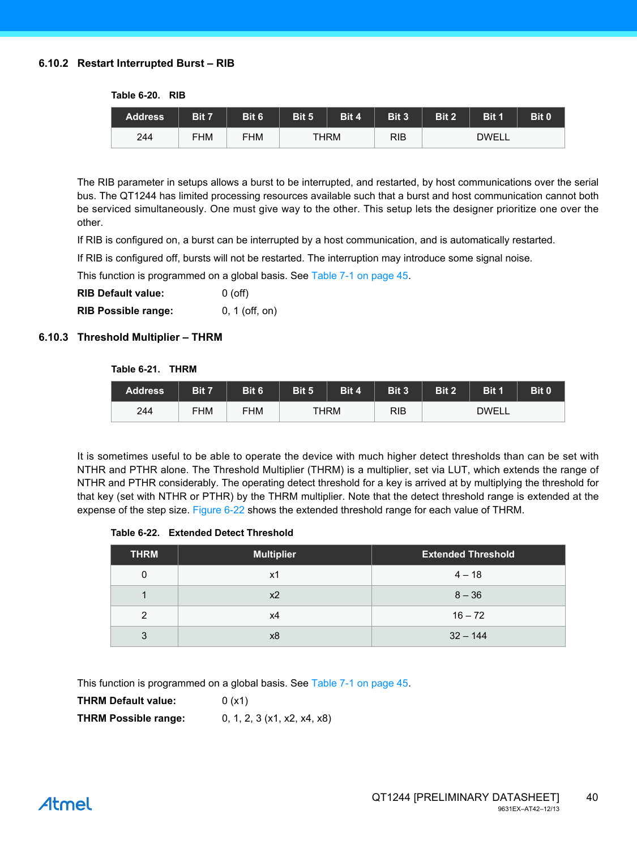#### **6.10.2 Restart Interrupted Burst – RIB**

| Table 6-20. | <b>RIB</b> |
|-------------|------------|
|             |            |

| <b>Address</b> | Bit 7      | Bit 6 | Bit 5 | Bit 4       | Bit 3      | Bit 2 | Bit 1        | Bit 0 |
|----------------|------------|-------|-------|-------------|------------|-------|--------------|-------|
| 244            | <b>FHM</b> | FHM   |       | <b>THRM</b> | <b>RIB</b> |       | <b>DWELL</b> |       |

The RIB parameter in setups allows a burst to be interrupted, and restarted, by host communications over the serial bus. The QT1244 has limited processing resources available such that a burst and host communication cannot both be serviced simultaneously. One must give way to the other. This setup lets the designer prioritize one over the other.

If RIB is configured on, a burst can be interrupted by a host communication, and is automatically restarted.

If RIB is configured off, bursts will not be restarted. The interruption may introduce some signal noise.

This function is programmed on a global basis. See [Table 7-1 on page 45.](#page-44-1)

| <b>RIB Default value:</b> | $0($ off $)$ |
|---------------------------|--------------|
|                           |              |

**RIB Possible range:** 0, 1 (off, on)

#### <span id="page-39-0"></span>**6.10.3 Threshold Multiplier – THRM**

#### **Table 6-21. THRM**

| <b>Address</b> | Bit 7      | Bit 6      | Bit 5 | Bit 4 | Bit 3 | Bit 2 | Bit 1 | Bit 0 |
|----------------|------------|------------|-------|-------|-------|-------|-------|-------|
| 244            | <b>FHM</b> | <b>FHM</b> |       | THRM  | RIB   |       | DWELL |       |

It is sometimes useful to be able to operate the device with much higher detect thresholds than can be set with NTHR and PTHR alone. The Threshold Multiplier (THRM) is a multiplier, set via LUT, which extends the range of NTHR and PTHR considerably. The operating detect threshold for a key is arrived at by multiplying the threshold for that key (set with NTHR or PTHR) by the THRM multiplier. Note that the detect threshold range is extended at the expense of the step size. [Figure 6-22](#page-39-1) shows the extended threshold range for each value of THRM.

#### <span id="page-39-1"></span>**Table 6-22. Extended Detect Threshold**

| <b>THRM</b>    | <b>Multiplier</b> | <b>Extended Threshold</b> |
|----------------|-------------------|---------------------------|
| 0              | x1                | $4 - 18$                  |
|                | x <sub>2</sub>    | $8 - 36$                  |
| $\overline{2}$ | х4                | $16 - 72$                 |
| 3              | x8                | $32 - 144$                |

This function is programmed on a global basis. See [Table 7-1 on page 45.](#page-44-1)

**THRM Default value:** 0 (x1) **THRM Possible range:** 0, 1, 2, 3 (x1, x2, x4, x8)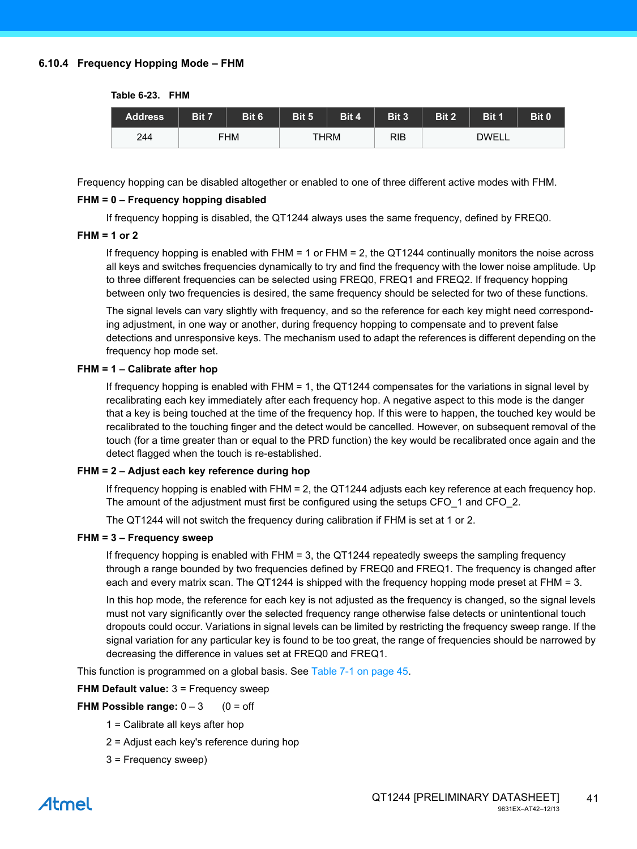#### **6.10.4 Frequency Hopping Mode – FHM**

| Table 6-23. | <b>FHM</b> |
|-------------|------------|
|             |            |

| <b>Address</b> | Bit 7 | Bit 6      | Bit 5 | Bit 4 | Bit 3 | Bit 2        | Bit 1 | Bit 0 |  |
|----------------|-------|------------|-------|-------|-------|--------------|-------|-------|--|
| 244            |       | <b>FHM</b> |       | THRM  | RIB   | <b>DWELL</b> |       |       |  |

Frequency hopping can be disabled altogether or enabled to one of three different active modes with FHM.

#### **FHM = 0 – Frequency hopping disabled**

If frequency hopping is disabled, the QT1244 always uses the same frequency, defined by FREQ0.

#### **FHM = 1 or 2**

If frequency hopping is enabled with FHM = 1 or FHM = 2, the QT1244 continually monitors the noise across all keys and switches frequencies dynamically to try and find the frequency with the lower noise amplitude. Up to three different frequencies can be selected using FREQ0, FREQ1 and FREQ2. If frequency hopping between only two frequencies is desired, the same frequency should be selected for two of these functions.

The signal levels can vary slightly with frequency, and so the reference for each key might need corresponding adjustment, in one way or another, during frequency hopping to compensate and to prevent false detections and unresponsive keys. The mechanism used to adapt the references is different depending on the frequency hop mode set.

#### **FHM = 1 – Calibrate after hop**

If frequency hopping is enabled with FHM = 1, the QT1244 compensates for the variations in signal level by recalibrating each key immediately after each frequency hop. A negative aspect to this mode is the danger that a key is being touched at the time of the frequency hop. If this were to happen, the touched key would be recalibrated to the touching finger and the detect would be cancelled. However, on subsequent removal of the touch (for a time greater than or equal to the PRD function) the key would be recalibrated once again and the detect flagged when the touch is re-established.

#### **FHM = 2 – Adjust each key reference during hop**

If frequency hopping is enabled with FHM = 2, the QT1244 adjusts each key reference at each frequency hop. The amount of the adjustment must first be configured using the setups CFO 1 and CFO 2.

The QT1244 will not switch the frequency during calibration if FHM is set at 1 or 2.

#### **FHM = 3 – Frequency sweep**

If frequency hopping is enabled with FHM = 3, the QT1244 repeatedly sweeps the sampling frequency through a range bounded by two frequencies defined by FREQ0 and FREQ1. The frequency is changed after each and every matrix scan. The QT1244 is shipped with the frequency hopping mode preset at FHM = 3.

In this hop mode, the reference for each key is not adjusted as the frequency is changed, so the signal levels must not vary significantly over the selected frequency range otherwise false detects or unintentional touch dropouts could occur. Variations in signal levels can be limited by restricting the frequency sweep range. If the signal variation for any particular key is found to be too great, the range of frequencies should be narrowed by decreasing the difference in values set at FREQ0 and FREQ1.

This function is programmed on a global basis. See [Table 7-1 on page 45.](#page-44-1)

**FHM Default value:** 3 = Frequency sweep

#### **FHM Possible range:**  $0 - 3$  (0 = off

- 1 = Calibrate all keys after hop
- 2 = Adjust each key's reference during hop
- 3 = Frequency sweep)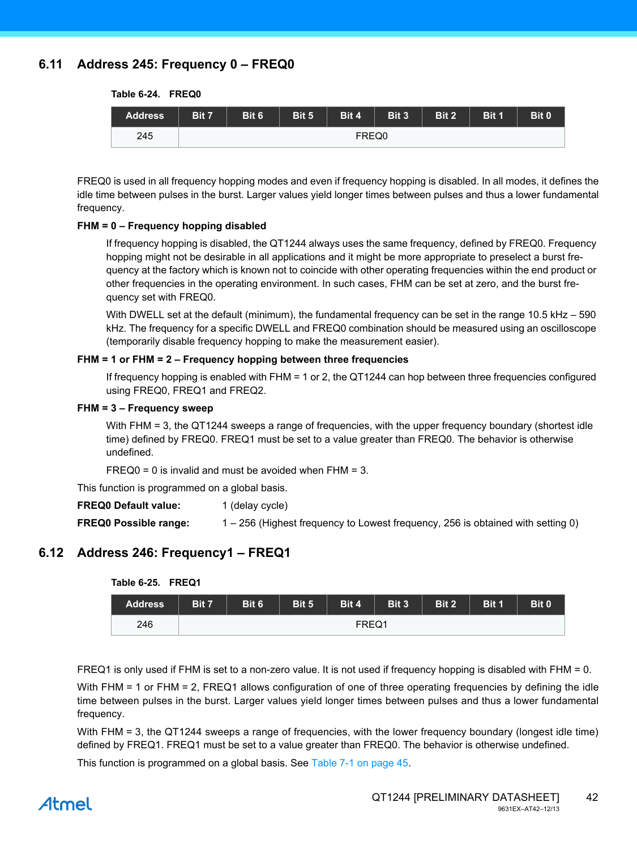### **6.11 Address 245: Frequency 0 – FREQ0**

**Table 6-24. FREQ0**

| <b>Address</b> | Bit 7 | Bit 6 | Bit 5 | Bit 4 | Bit 3 | Bit 2 | Bit 1 | Bit 0 |  |  |  |
|----------------|-------|-------|-------|-------|-------|-------|-------|-------|--|--|--|
| 245            |       | FREQ0 |       |       |       |       |       |       |  |  |  |

FREQ0 is used in all frequency hopping modes and even if frequency hopping is disabled. In all modes, it defines the idle time between pulses in the burst. Larger values yield longer times between pulses and thus a lower fundamental frequency.

#### **FHM = 0 – Frequency hopping disabled**

If frequency hopping is disabled, the QT1244 always uses the same frequency, defined by FREQ0. Frequency hopping might not be desirable in all applications and it might be more appropriate to preselect a burst frequency at the factory which is known not to coincide with other operating frequencies within the end product or other frequencies in the operating environment. In such cases, FHM can be set at zero, and the burst frequency set with FREQ0.

With DWELL set at the default (minimum), the fundamental frequency can be set in the range 10.5 kHz – 590 kHz. The frequency for a specific DWELL and FREQ0 combination should be measured using an oscilloscope (temporarily disable frequency hopping to make the measurement easier).

#### **FHM = 1 or FHM = 2 – Frequency hopping between three frequencies**

If frequency hopping is enabled with FHM = 1 or 2, the QT1244 can hop between three frequencies configured using FREQ0, FREQ1 and FREQ2.

#### **FHM = 3 – Frequency sweep**

With FHM = 3, the QT1244 sweeps a range of frequencies, with the upper frequency boundary (shortest idle time) defined by FREQ0. FREQ1 must be set to a value greater than FREQ0. The behavior is otherwise undefined.

 $FREQ0 = 0$  is invalid and must be avoided when  $FHM = 3$ .

This function is programmed on a global basis.

**FREQ0 Default value:** 1 (delay cycle)

**FREQ0 Possible range:** 1 – 256 (Highest frequency to Lowest frequency, 256 is obtained with setting 0)

### **6.12 Address 246: Frequency1 – FREQ1**

| 10000020.11114. |       |       |       |       |       |              |       |       |  |  |  |  |
|-----------------|-------|-------|-------|-------|-------|--------------|-------|-------|--|--|--|--|
| <b>Address</b>  | Bit 7 | Bit 6 | Bit 5 | Bit 4 | Bit 3 | <b>Bit 2</b> | Bit 1 | Bit 0 |  |  |  |  |
| 246             |       | FREQ1 |       |       |       |              |       |       |  |  |  |  |

**Table 6-25. FREQ1**

FREQ1 is only used if FHM is set to a non-zero value. It is not used if frequency hopping is disabled with FHM = 0.

With FHM = 1 or FHM = 2, FREQ1 allows configuration of one of three operating frequencies by defining the idle time between pulses in the burst. Larger values yield longer times between pulses and thus a lower fundamental frequency.

With FHM = 3, the QT1244 sweeps a range of frequencies, with the lower frequency boundary (longest idle time) defined by FREQ1. FREQ1 must be set to a value greater than FREQ0. The behavior is otherwise undefined.

This function is programmed on a global basis. See [Table 7-1 on page 45.](#page-44-1)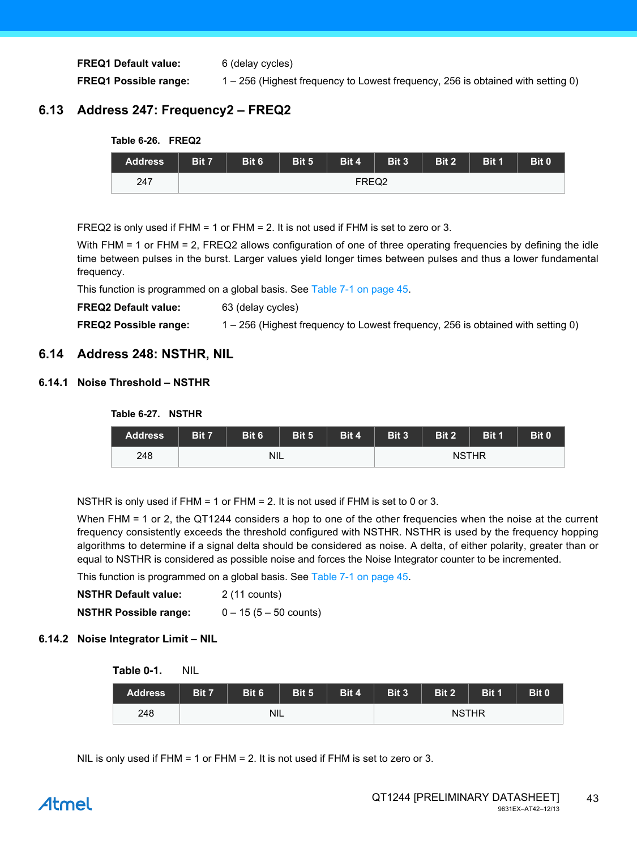**FREQ1 Default value:** 6 (delay cycles) **FREQ1 Possible range:** 1 – 256 (Highest frequency to Lowest frequency, 256 is obtained with setting 0)

### **6.13 Address 247: Frequency2 – FREQ2**



FREQ2 is only used if FHM = 1 or FHM = 2. It is not used if FHM is set to zero or 3.

With FHM = 1 or FHM = 2, FREQ2 allows configuration of one of three operating frequencies by defining the idle time between pulses in the burst. Larger values yield longer times between pulses and thus a lower fundamental frequency.

This function is programmed on a global basis. See [Table 7-1 on page 45.](#page-44-1)

**FREQ2 Default value:** 63 (delay cycles)

**FREQ2 Possible range:** 1 – 256 (Highest frequency to Lowest frequency, 256 is obtained with setting 0)

### **6.14 Address 248: NSTHR, NIL**

#### **6.14.1 Noise Threshold – NSTHR**

**Table 6-27. NSTHR**

| <b>Address</b> | Bit 7 | Bit 6      | Bit 5 | Bit 4 | Bit 3        | Bit 2 | Bit 1 | Bit 0 |  |  |
|----------------|-------|------------|-------|-------|--------------|-------|-------|-------|--|--|
| 248            |       | <b>NIL</b> |       |       | <b>NSTHR</b> |       |       |       |  |  |

NSTHR is only used if FHM = 1 or FHM = 2. It is not used if FHM is set to 0 or 3.

When FHM = 1 or 2, the QT1244 considers a hop to one of the other frequencies when the noise at the current frequency consistently exceeds the threshold configured with NSTHR. NSTHR is used by the frequency hopping algorithms to determine if a signal delta should be considered as noise. A delta, of either polarity, greater than or equal to NSTHR is considered as possible noise and forces the Noise Integrator counter to be incremented.

This function is programmed on a global basis. See [Table 7-1 on page 45.](#page-44-1)

| <b>NSTHR Default value:</b>  | 2 (11 counts)                   |
|------------------------------|---------------------------------|
| <b>NSTHR Possible range:</b> | $0 - 15(5 - 50 \text{ counts})$ |

#### **6.14.2 Noise Integrator Limit – NIL**

| Nil |
|-----|
|     |

| <b>Address</b> | Bit 7 | Bit 6      | Bit 5 | Bit 4 | Bit 3        | Bit 2 | Bit 1 | Bit 0 |  |  |
|----------------|-------|------------|-------|-------|--------------|-------|-------|-------|--|--|
| 248            |       | <b>NIL</b> |       |       | <b>NSTHR</b> |       |       |       |  |  |

NIL is only used if FHM = 1 or FHM = 2. It is not used if FHM is set to zero or 3.

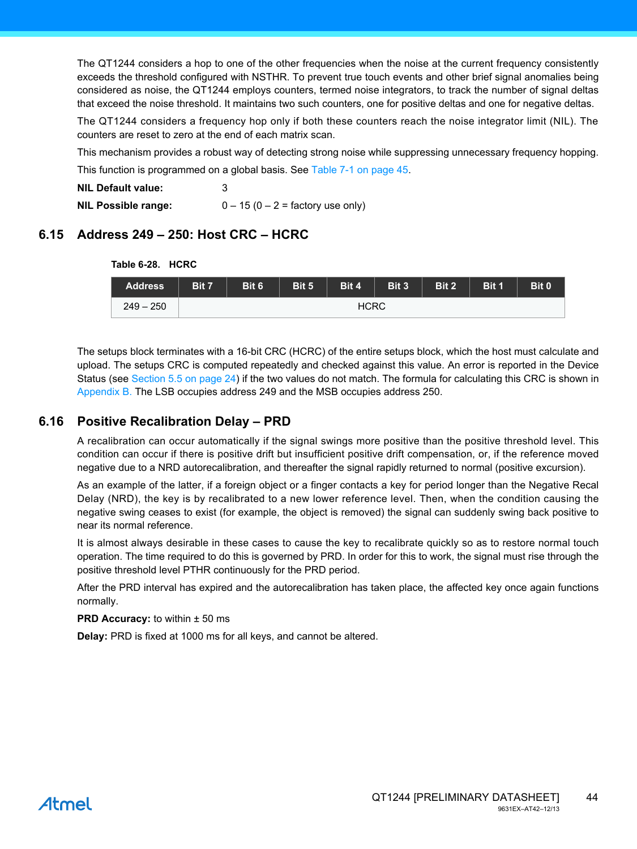The QT1244 considers a hop to one of the other frequencies when the noise at the current frequency consistently exceeds the threshold configured with NSTHR. To prevent true touch events and other brief signal anomalies being considered as noise, the QT1244 employs counters, termed noise integrators, to track the number of signal deltas that exceed the noise threshold. It maintains two such counters, one for positive deltas and one for negative deltas.

The QT1244 considers a frequency hop only if both these counters reach the noise integrator limit (NIL). The counters are reset to zero at the end of each matrix scan.

This mechanism provides a robust way of detecting strong noise while suppressing unnecessary frequency hopping.

This function is programmed on a global basis. See [Table 7-1 on page 45.](#page-44-1)

| <b>NIL Default value:</b>  |                                     |
|----------------------------|-------------------------------------|
| <b>NIL Possible range:</b> | $0 - 15 (0 - 2 =$ factory use only) |

### **6.15 Address 249 – 250: Host CRC – HCRC**

| <b>Table 6-28.</b> | <b>HCRC</b> |
|--------------------|-------------|
|--------------------|-------------|



The setups block terminates with a 16-bit CRC (HCRC) of the entire setups block, which the host must calculate and upload. The setups CRC is computed repeatedly and checked against this value. An error is reported in the Device Status (see [Section 5.5 on page 24](#page-23-0)) if the two values do not match. The formula for calculating this CRC is shown in [Appendix B.](#page-53-0) The LSB occupies address 249 and the MSB occupies address 250.

### **6.16 Positive Recalibration Delay – PRD**

A recalibration can occur automatically if the signal swings more positive than the positive threshold level. This condition can occur if there is positive drift but insufficient positive drift compensation, or, if the reference moved negative due to a NRD autorecalibration, and thereafter the signal rapidly returned to normal (positive excursion).

As an example of the latter, if a foreign object or a finger contacts a key for period longer than the Negative Recal Delay (NRD), the key is by recalibrated to a new lower reference level. Then, when the condition causing the negative swing ceases to exist (for example, the object is removed) the signal can suddenly swing back positive to near its normal reference.

It is almost always desirable in these cases to cause the key to recalibrate quickly so as to restore normal touch operation. The time required to do this is governed by PRD. In order for this to work, the signal must rise through the positive threshold level PTHR continuously for the PRD period.

After the PRD interval has expired and the autorecalibration has taken place, the affected key once again functions normally.

#### **PRD Accuracy:** to within  $\pm$  50 ms

**Delay:** PRD is fixed at 1000 ms for all keys, and cannot be altered.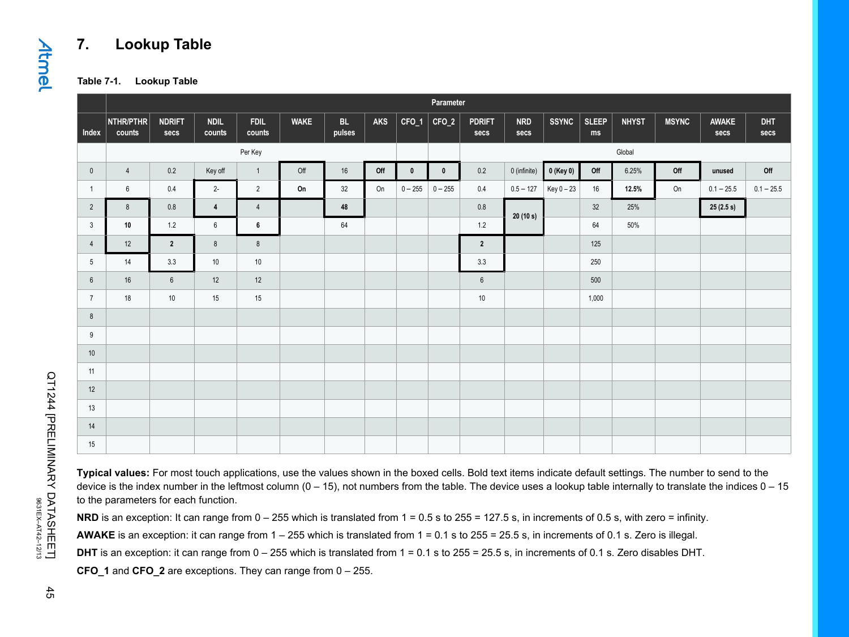### **7. Lookup Table**

**Table 7-1. Lookup Table**

|                 |                     | Parameter             |                       |                       |             |              |     |              |             |                       |                    |              |                    |              |              |               |                    |
|-----------------|---------------------|-----------------------|-----------------------|-----------------------|-------------|--------------|-----|--------------|-------------|-----------------------|--------------------|--------------|--------------------|--------------|--------------|---------------|--------------------|
| Index           | NTHR/PTHR<br>counts | <b>NDRIFT</b><br>secs | <b>NDIL</b><br>counts | <b>FDIL</b><br>counts | <b>WAKE</b> | BL<br>pulses | AKS | $CFO_1$      | CFO_2       | <b>PDRIFT</b><br>secs | <b>NRD</b><br>secs | <b>SSYNC</b> | <b>SLEEP</b><br>ms | <b>NHYST</b> | <b>MSYNC</b> | AWAKE<br>secs | <b>DHT</b><br>secs |
|                 |                     |                       |                       | Per Key               |             |              |     |              |             |                       |                    |              |                    | Global       |              |               |                    |
| $\mathbf 0$     | $\overline{4}$      | 0.2                   | Key off               | $\overline{1}$        | Off         | $16\,$       | Off | $\mathbf{0}$ | $\mathbf 0$ | 0.2                   | 0 (infinite)       | 0 (Key 0)    | Off                | 6.25%        | Off          | unused        | Off                |
| $\overline{1}$  | 6                   | 0.4                   | $2 -$                 | $\overline{2}$        | On          | 32           | On  | $0 - 255$    | $0 - 255$   | 0.4                   | $0.5 - 127$        | Key 0 - 23   | 16                 | 12.5%        | On           | $0.1 - 25.5$  | $0.1 - 25.5$       |
| $\overline{2}$  | 8                   | $0.8\,$               | $\overline{4}$        | $\overline{4}$        |             | 48           |     |              |             | $0.8\,$               | 20(10 s)           |              | 32                 | 25%          |              | 25(2.5 s)     |                    |
| 3               | 10                  | $1.2\,$               | 6                     | 6                     |             | 64           |     |              |             | $1.2$                 |                    |              | 64                 | 50%          |              |               |                    |
| $\overline{4}$  | 12                  | $\overline{2}$        | 8                     | 8                     |             |              |     |              |             | $\overline{2}$        |                    |              | 125                |              |              |               |                    |
| $5\phantom{.0}$ | 14                  | 3.3                   | 10                    | $10$                  |             |              |     |              |             | 3.3                   |                    |              | 250                |              |              |               |                    |
| $6\overline{6}$ | 16                  | $6\phantom{1}$        | 12                    | 12                    |             |              |     |              |             | $6\phantom{.}6$       |                    |              | 500                |              |              |               |                    |
| $\overline{7}$  | 18                  | 10                    | 15                    | 15                    |             |              |     |              |             | $10\,$                |                    |              | 1,000              |              |              |               |                    |
| 8               |                     |                       |                       |                       |             |              |     |              |             |                       |                    |              |                    |              |              |               |                    |
| 9               |                     |                       |                       |                       |             |              |     |              |             |                       |                    |              |                    |              |              |               |                    |
| 10              |                     |                       |                       |                       |             |              |     |              |             |                       |                    |              |                    |              |              |               |                    |
| 11              |                     |                       |                       |                       |             |              |     |              |             |                       |                    |              |                    |              |              |               |                    |
| 12              |                     |                       |                       |                       |             |              |     |              |             |                       |                    |              |                    |              |              |               |                    |
| 13              |                     |                       |                       |                       |             |              |     |              |             |                       |                    |              |                    |              |              |               |                    |
| 14              |                     |                       |                       |                       |             |              |     |              |             |                       |                    |              |                    |              |              |               |                    |
| 15              |                     |                       |                       |                       |             |              |     |              |             |                       |                    |              |                    |              |              |               |                    |

**Typical values:** For most touch applications, use the values shown in the boxed cells. Bold text items indicate default settings. The number to send to the device is the index number in the leftmost column  $(0 - 15)$ , not numbers from the table. The device uses a lookup table internally to translate the indices  $0 - 15$ to the parameters for each function.

**NRD** is an exception: It can range from  $0 - 255$  which is translated from  $1 = 0.5$  s to  $255 = 127.5$  s, in increments of 0.5 s, with zero = infinity.

**AWAKE** is an exception: it can range from 1 – 255 which is translated from 1 = 0.1 s to 255 = 25.5 s, in increments of 0.1 s. Zero is illegal.

**DHT** is an exception: it can range from 0 – 255 which is translated from 1 = 0.1 s to 255 = 25.5 s, in increments of 0.1 s. Zero disables DHT.

<span id="page-44-1"></span><span id="page-44-0"></span>**CFO\_1** and **CFO\_2** are exceptions. They can range from 0 – 255.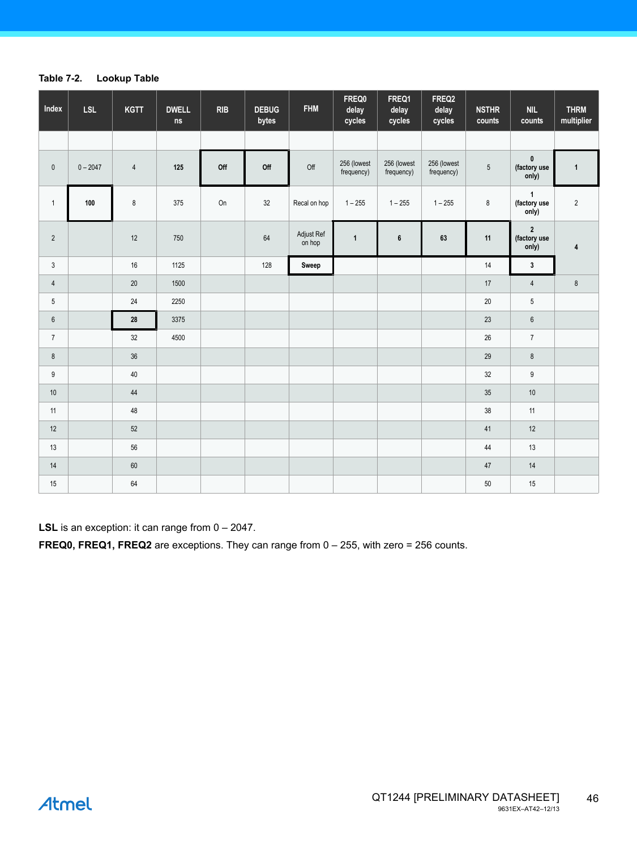#### **Table 7-2. Lookup Table**

| Index           | <b>LSL</b> | <b>KGTT</b>    | <b>DWELL</b><br>ns | <b>RIB</b> | <b>DEBUG</b><br>bytes | <b>FHM</b>           | FREQ0<br>delay<br>cycles  | FREQ1<br>delay<br>cycles  | FREQ2<br>delay<br>cycles  | <b>NSTHR</b><br>counts | NIL<br>counts                             | <b>THRM</b><br>multiplier |
|-----------------|------------|----------------|--------------------|------------|-----------------------|----------------------|---------------------------|---------------------------|---------------------------|------------------------|-------------------------------------------|---------------------------|
|                 |            |                |                    |            |                       |                      |                           |                           |                           |                        |                                           |                           |
| $\pmb{0}$       | $0 - 2047$ | $\overline{4}$ | 125                | Off        | Off                   | Off                  | 256 (lowest<br>frequency) | 256 (lowest<br>frequency) | 256 (lowest<br>frequency) | $5\phantom{.0}$        | $\pmb{0}$<br>(factory use<br>only)        | $\mathbf{1}$              |
| $\mathbf{1}$    | 100        | 8              | 375                | On         | 32                    | Recal on hop         | $1 - 255$                 | $1 - 255$                 | $1 - 255$                 | $\bf 8$                | $\overline{1}$<br>(factory use<br>only)   | $\sqrt{2}$                |
| $\overline{2}$  |            | 12             | 750                |            | 64                    | Adjust Ref<br>on hop | $\mathbf{1}$              | 6                         | 63                        | 11                     | $\boldsymbol{2}$<br>(factory use<br>only) | 4                         |
| $\mathbf{3}$    |            | 16             | 1125               |            | 128                   | Sweep                |                           |                           |                           | 14                     | $\mathbf{3}$                              |                           |
| $\overline{4}$  |            | 20             | 1500               |            |                       |                      |                           |                           |                           | 17                     | $\overline{4}$                            | $\bf 8$                   |
| $5\phantom{.0}$ |            | 24             | 2250               |            |                       |                      |                           |                           |                           | 20                     | $\sqrt{5}$                                |                           |
| $6\,$           |            | 28             | 3375               |            |                       |                      |                           |                           |                           | 23                     | $\boldsymbol{6}$                          |                           |
| $7\overline{ }$ |            | $32\,$         | 4500               |            |                       |                      |                           |                           |                           | 26                     | $\boldsymbol{7}$                          |                           |
| $\bf 8$         |            | 36             |                    |            |                       |                      |                           |                           |                           | 29                     | $\bf 8$                                   |                           |
| 9               |            | 40             |                    |            |                       |                      |                           |                           |                           | $32\,$                 | $\mathsf g$                               |                           |
| $10$            |            | 44             |                    |            |                       |                      |                           |                           |                           | 35                     | $10$                                      |                           |
| 11              |            | 48             |                    |            |                       |                      |                           |                           |                           | 38                     | 11                                        |                           |
| 12              |            | $52\,$         |                    |            |                       |                      |                           |                           |                           | $41\,$                 | $12$                                      |                           |
| 13              |            | 56             |                    |            |                       |                      |                           |                           |                           | 44                     | $13$                                      |                           |
| $14$            |            | 60             |                    |            |                       |                      |                           |                           |                           | 47                     | $14$                                      |                           |
| 15              |            | 64             |                    |            |                       |                      |                           |                           |                           | 50                     | 15                                        |                           |

**LSL** is an exception: it can range from 0 - 2047.

**FREQ0, FREQ1, FREQ2** are exceptions. They can range from 0 – 255, with zero = 256 counts.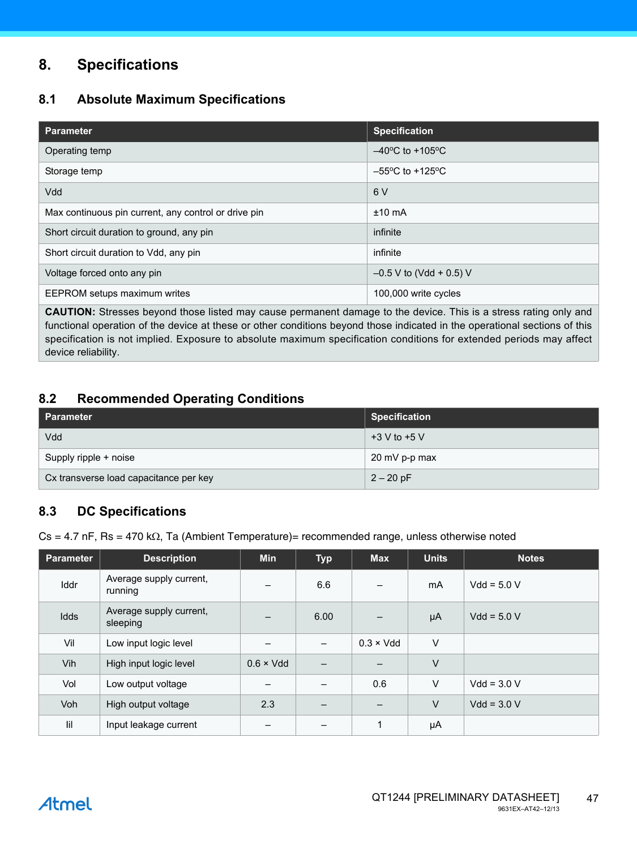### **8. Specifications**

### **8.1 Absolute Maximum Specifications**

| <b>Parameter</b>                                     | <b>Specification</b>                 |
|------------------------------------------------------|--------------------------------------|
| Operating temp                                       | $-40^{\circ}$ C to +105 $^{\circ}$ C |
| Storage temp                                         | $-55^{\circ}$ C to +125 $^{\circ}$ C |
| Vdd                                                  | 6 V                                  |
| Max continuous pin current, any control or drive pin | $±10$ mA                             |
| Short circuit duration to ground, any pin            | infinite                             |
| Short circuit duration to Vdd, any pin               | infinite                             |
| Voltage forced onto any pin                          | $-0.5$ V to (Vdd + 0.5) V            |
| EEPROM setups maximum writes                         | 100,000 write cycles                 |

**CAUTION:** Stresses beyond those listed may cause permanent damage to the device. This is a stress rating only and functional operation of the device at these or other conditions beyond those indicated in the operational sections of this specification is not implied. Exposure to absolute maximum specification conditions for extended periods may affect device reliability.

### <span id="page-46-0"></span>**8.2 Recommended Operating Conditions**

| l Parameter                            | <b>Specification</b> |
|----------------------------------------|----------------------|
| Vdd                                    | $+3$ V to $+5$ V     |
| Supply ripple + noise                  | 20 mV p-p max        |
| Cx transverse load capacitance per key | $2 - 20$ pF          |

### **8.3 DC Specifications**

 $Cs = 4.7$  nF, Rs = 470 k $\Omega$ , Ta (Ambient Temperature)= recommended range, unless otherwise noted

| <b>Parameter</b>            | <b>Description</b>                  | <b>Min</b>               | <b>Typ</b> | <b>Max</b>        | <b>Units</b> | <b>Notes</b>  |
|-----------------------------|-------------------------------------|--------------------------|------------|-------------------|--------------|---------------|
| Iddr                        | Average supply current,<br>running  | $\overline{\phantom{m}}$ | 6.6        |                   | mA           | $Vdd = 5.0 V$ |
| Idds                        | Average supply current,<br>sleeping |                          | 6.00       |                   | μA           | $Vdd = 5.0 V$ |
| Vil                         | Low input logic level               |                          |            | $0.3 \times V$ dd | $\vee$       |               |
| Vih                         | High input logic level              |                          |            |                   | V            |               |
| Vol                         | Low output voltage                  |                          |            | 0.6               | V            | $Vdd = 3.0 V$ |
| <b>Voh</b>                  | High output voltage                 | 2.3                      | -          |                   | V            | $Vdd = 3.0 V$ |
| $\mathop{\rm Hil}\nolimits$ | Input leakage current               |                          |            | $\mathbf{1}$      | μA           |               |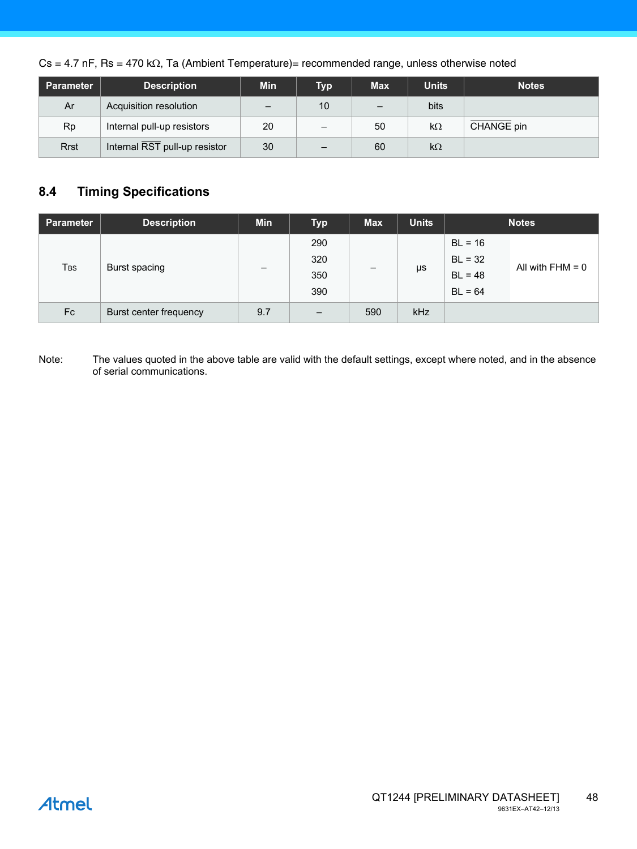$Cs = 4.7$  nF, Rs = 470 k $\Omega$ , Ta (Ambient Temperature)= recommended range, unless otherwise noted

| Parameter   | <b>Description</b>            | <b>Min</b>               | <b>Typ</b> | <b>Max</b>               | <b>Units</b> | <b>Notes</b> |
|-------------|-------------------------------|--------------------------|------------|--------------------------|--------------|--------------|
| Ar          | Acquisition resolution        | $\overline{\phantom{m}}$ | 10         | $\overline{\phantom{0}}$ | bits         |              |
| Rp          | Internal pull-up resistors    | 20                       |            | 50                       | $k\Omega$    | CHANGE pin   |
| <b>Rrst</b> | Internal RST pull-up resistor | 30                       | -          | 60                       | $k\Omega$    |              |

### <span id="page-47-0"></span>**8.4 Timing Specifications**

| <b>Parameter</b> | <b>Description</b>          | <b>Min</b>               | <b>Typ</b>        | <b>Max</b>               | <b>Units</b> |           | <b>Notes</b>       |
|------------------|-----------------------------|--------------------------|-------------------|--------------------------|--------------|-----------|--------------------|
|                  |                             |                          | 290               |                          |              | $BL = 16$ |                    |
|                  |                             | $\overline{\phantom{0}}$ | 320               | $\overline{\phantom{m}}$ |              | $BL = 32$ | All with $FHM = 0$ |
|                  | <b>TBS</b><br>Burst spacing |                          |                   | 350                      |              | μs        | $BL = 48$          |
|                  |                             |                          | 390               |                          |              | $BL = 64$ |                    |
| Fc               | Burst center frequency      | 9.7                      | $\qquad \qquad -$ | 590                      | kHz          |           |                    |

Note: The values quoted in the above table are valid with the default settings, except where noted, and in the absence of serial communications.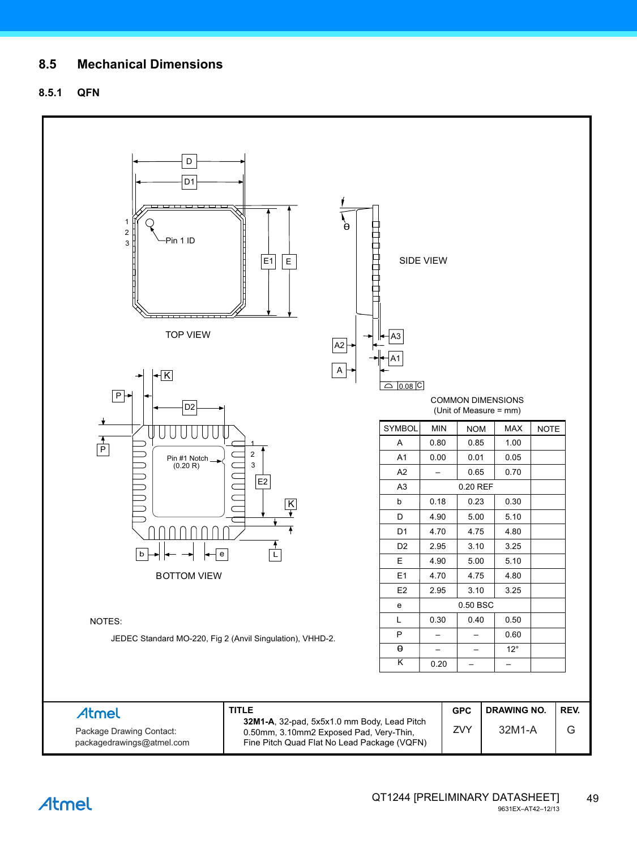### **8.5 Mechanical Dimensions**

### **8.5.1 QFN**

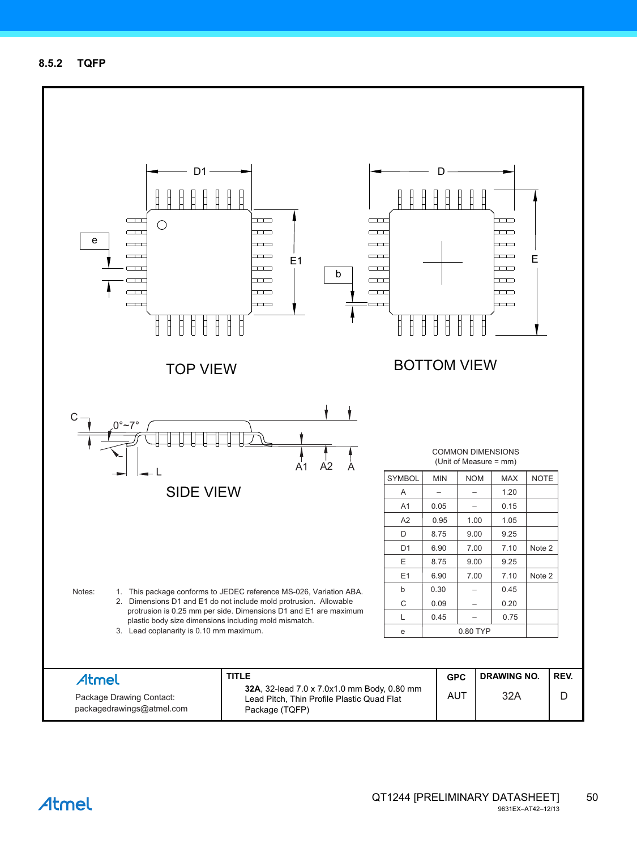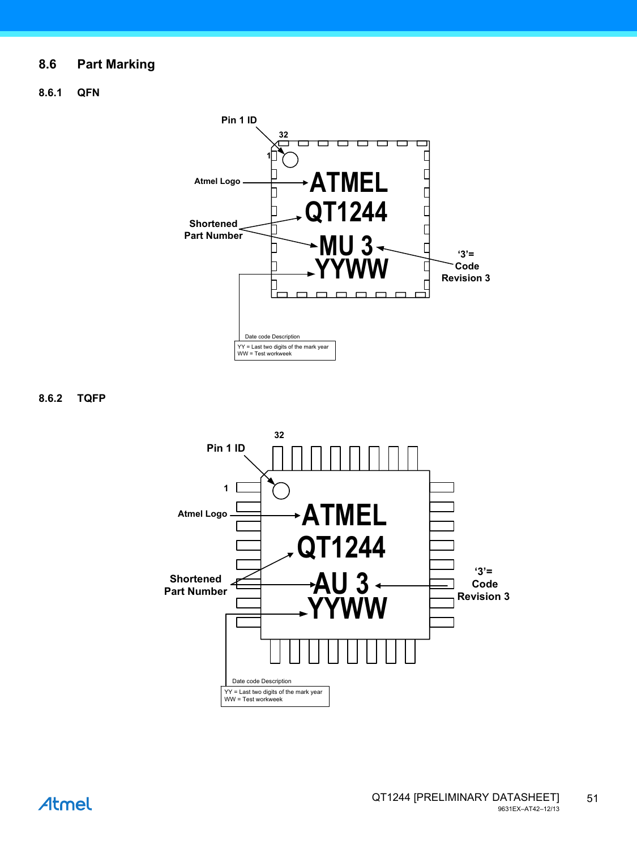### **8.6 Part Marking**

### **8.6.1 QFN**



**8.6.2 TQFP**

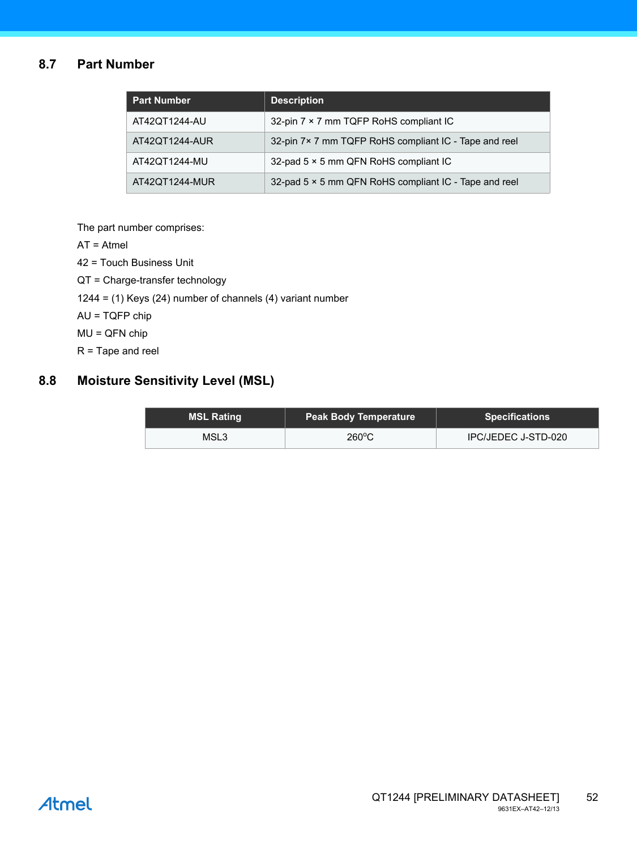### **8.7 Part Number**

| <b>Part Number</b> | <b>Description</b>                                    |
|--------------------|-------------------------------------------------------|
| AT42QT1244-AU      | 32-pin 7 × 7 mm TQFP RoHS compliant IC                |
| AT42QT1244-AUR     | 32-pin 7×7 mm TQFP RoHS compliant IC - Tape and reel  |
| AT42QT1244-MU      | 32-pad 5 × 5 mm QFN RoHS compliant IC                 |
| AT42QT1244-MUR     | 32-pad 5 × 5 mm QFN RoHS compliant IC - Tape and reel |

The part number comprises:

AT = Atmel

42 = Touch Business Unit

QT = Charge-transfer technology

1244 = (1) Keys (24) number of channels (4) variant number

AU = TQFP chip

MU = QFN chip

R = Tape and reel

### **8.8 Moisture Sensitivity Level (MSL)**

| MSL Rating | <b>Peak Body Temperature</b> | <b>Specifications</b> |
|------------|------------------------------|-----------------------|
| MSL3       | $260^{\circ}$ C              | IPC/JEDEC J-STD-020   |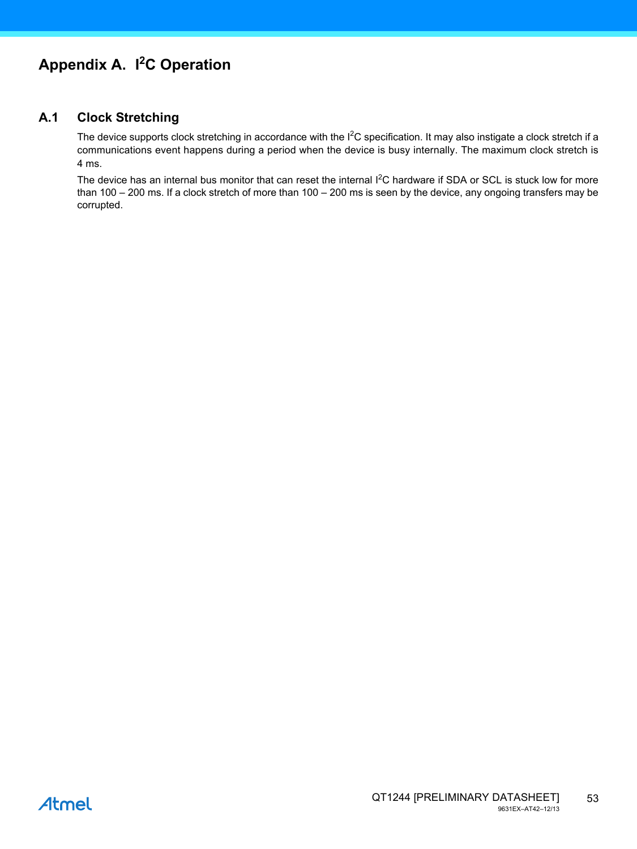### **A.1 Clock Stretching**

The device supports clock stretching in accordance with the I<sup>2</sup>C specification. It may also instigate a clock stretch if a communications event happens during a period when the device is busy internally. The maximum clock stretch is 4 ms.

The device has an internal bus monitor that can reset the internal I<sup>2</sup>C hardware if SDA or SCL is stuck low for more than 100 – 200 ms. If a clock stretch of more than 100 – 200 ms is seen by the device, any ongoing transfers may be corrupted.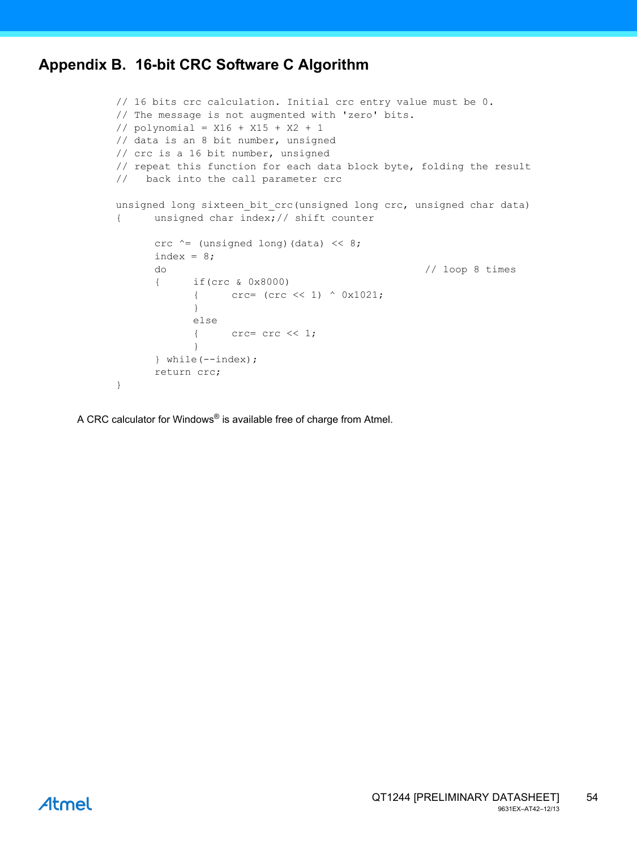### <span id="page-53-0"></span>**Appendix B. 16-bit CRC Software C Algorithm**

```
// 16 bits crc calculation. Initial crc entry value must be 0.
// The message is not augmented with 'zero' bits.
// polynomial = X16 + X15 + X2 + 1
// data is an 8 bit number, unsigned
// crc is a 16 bit number, unsigned
// repeat this function for each data block byte, folding the result
// back into the call parameter crc
unsigned long sixteen_bit_crc(unsigned long crc, unsigned char data)
{ unsigned char index;// shift counter
      crc \uparrow (unsigned long) (data) \langle \cdot \rangle 8;
      index = 8;do // loop 8 times
      { if(crc & 0x8000)
            { crc= (crc << 1) ^ 0x1021;
            }
            else
            { \csc = \csc \ll 1;}
      } while(--index);
      return crc;
}
```
A CRC calculator for Windows® is available free of charge from Atmel.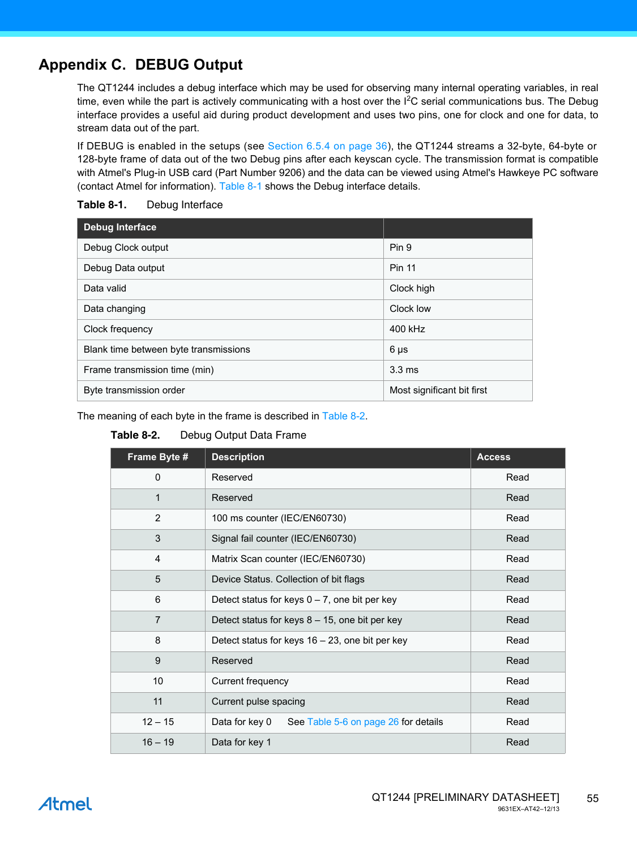## <span id="page-54-0"></span>**Appendix C. DEBUG Output**

The QT1244 includes a debug interface which may be used for observing many internal operating variables, in real time, even while the part is actively communicating with a host over the I<sup>2</sup>C serial communications bus. The Debug interface provides a useful aid during product development and uses two pins, one for clock and one for data, to stream data out of the part.

If DEBUG is enabled in the setups (see [Section 6.5.4 on page 36](#page-35-0)), the QT1244 streams a 32-byte, 64-byte or 128-byte frame of data out of the two Debug pins after each keyscan cycle. The transmission format is compatible with Atmel's Plug-in USB card (Part Number 9206) and the data can be viewed using Atmel's Hawkeye PC software (contact Atmel for information). [Table 8-1](#page-54-1) shows the Debug interface details.

| <b>Debug Interface</b>                |                            |
|---------------------------------------|----------------------------|
| Debug Clock output                    | Pin 9                      |
| Debug Data output                     | <b>Pin 11</b>              |
| Data valid                            | Clock high                 |
| Data changing                         | Clock low                  |
| Clock frequency                       | 400 kHz                    |
| Blank time between byte transmissions | $6 \mu s$                  |
| Frame transmission time (min)         | $3.3 \text{ ms}$           |
| Byte transmission order               | Most significant bit first |

#### <span id="page-54-1"></span>**Table 8-1.** Debug Interface

The meaning of each byte in the frame is described in [Table 8-2.](#page-54-2)

#### <span id="page-54-2"></span>**Table 8-2.** Debug Output Data Frame

| Frame Byte #   | <b>Description</b>                                     | <b>Access</b> |
|----------------|--------------------------------------------------------|---------------|
| $\Omega$       | Reserved                                               | Read          |
| 1              | Reserved                                               | Read          |
| 2              | 100 ms counter (IEC/EN60730)                           | Read          |
| 3              | Signal fail counter (IEC/EN60730)                      | Read          |
| $\overline{4}$ | Matrix Scan counter (IEC/EN60730)                      | Read          |
| 5              | Device Status. Collection of bit flags                 | Read          |
| 6              | Detect status for keys $0 - 7$ , one bit per key       | Read          |
| $\overline{7}$ | Detect status for keys $8 - 15$ , one bit per key      | Read          |
| 8              | Detect status for keys 16 - 23, one bit per key        | Read          |
| 9              | Reserved                                               | Read          |
| 10             | Current frequency                                      | Read          |
| 11             | Current pulse spacing                                  | Read          |
| $12 - 15$      | Data for key 0<br>See Table 5-6 on page 26 for details | Read          |
| $16 - 19$      | Data for key 1                                         | Read          |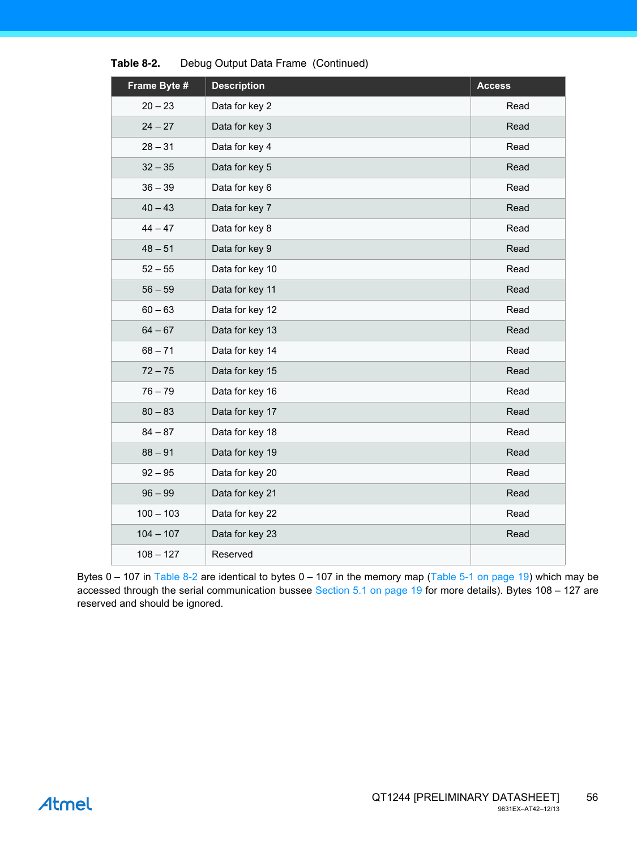| Frame Byte # | <b>Description</b> | <b>Access</b> |
|--------------|--------------------|---------------|
| $20 - 23$    | Data for key 2     | Read          |
| $24 - 27$    | Data for key 3     | Read          |
| $28 - 31$    | Data for key 4     | Read          |
| $32 - 35$    | Data for key 5     | Read          |
| $36 - 39$    | Data for key 6     | Read          |
| $40 - 43$    | Data for key 7     | Read          |
| $44 - 47$    | Data for key 8     | Read          |
| $48 - 51$    | Data for key 9     | Read          |
| $52 - 55$    | Data for key 10    | Read          |
| $56 - 59$    | Data for key 11    | Read          |
| $60 - 63$    | Data for key 12    | Read          |
| $64 - 67$    | Data for key 13    | Read          |
| $68 - 71$    | Data for key 14    | Read          |
| $72 - 75$    | Data for key 15    | Read          |
| $76 - 79$    | Data for key 16    | Read          |
| $80 - 83$    | Data for key 17    | Read          |
| $84 - 87$    | Data for key 18    | Read          |
| $88 - 91$    | Data for key 19    | Read          |
| $92 - 95$    | Data for key 20    | Read          |
| $96 - 99$    | Data for key 21    | Read          |
| $100 - 103$  | Data for key 22    | Read          |
| $104 - 107$  | Data for key 23    | Read          |
| $108 - 127$  | Reserved           |               |

**Table 8-2.** Debug Output Data Frame (Continued)

Bytes  $0 - 107$  in [Table 8-2](#page-54-2) are identical to bytes  $0 - 107$  in the memory map ([Table 5-1 on page 19](#page-18-0)) which may be accessed through the serial communication bussee [Section 5.1 on page 19](#page-18-1) for more details). Bytes 108 – 127 are reserved and should be ignored.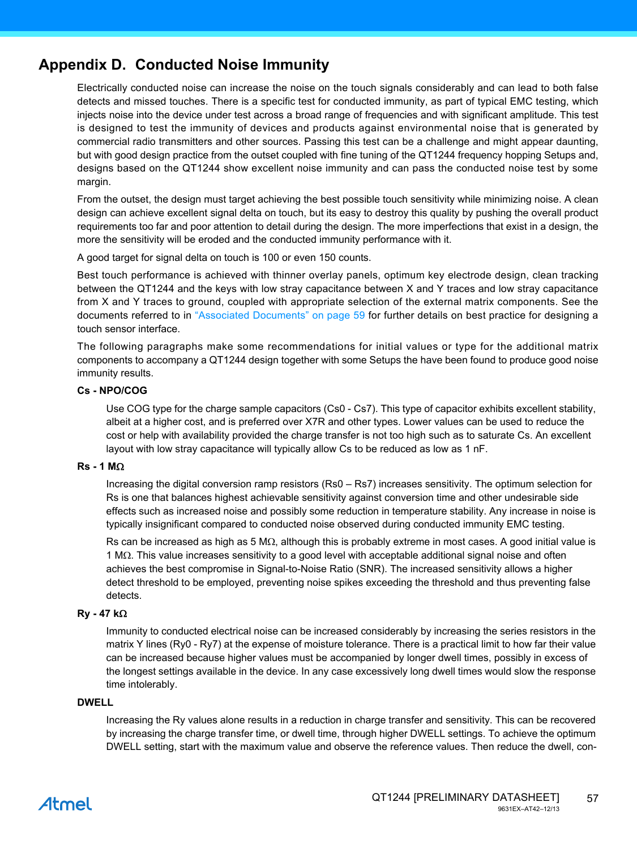### **Appendix D. Conducted Noise Immunity**

Electrically conducted noise can increase the noise on the touch signals considerably and can lead to both false detects and missed touches. There is a specific test for conducted immunity, as part of typical EMC testing, which injects noise into the device under test across a broad range of frequencies and with significant amplitude. This test is designed to test the immunity of devices and products against environmental noise that is generated by commercial radio transmitters and other sources. Passing this test can be a challenge and might appear daunting, but with good design practice from the outset coupled with fine tuning of the QT1244 frequency hopping Setups and, designs based on the QT1244 show excellent noise immunity and can pass the conducted noise test by some margin.

From the outset, the design must target achieving the best possible touch sensitivity while minimizing noise. A clean design can achieve excellent signal delta on touch, but its easy to destroy this quality by pushing the overall product requirements too far and poor attention to detail during the design. The more imperfections that exist in a design, the more the sensitivity will be eroded and the conducted immunity performance with it.

A good target for signal delta on touch is 100 or even 150 counts.

Best touch performance is achieved with thinner overlay panels, optimum key electrode design, clean tracking between the QT1244 and the keys with low stray capacitance between X and Y traces and low stray capacitance from X and Y traces to ground, coupled with appropriate selection of the external matrix components. See the documents referred to in ["Associated Documents" on page 59](#page-58-0) for further details on best practice for designing a touch sensor interface.

The following paragraphs make some recommendations for initial values or type for the additional matrix components to accompany a QT1244 design together with some Setups the have been found to produce good noise immunity results.

#### **Cs - NPO/COG**

Use COG type for the charge sample capacitors (Cs0 - Cs7). This type of capacitor exhibits excellent stability, albeit at a higher cost, and is preferred over X7R and other types. Lower values can be used to reduce the cost or help with availability provided the charge transfer is not too high such as to saturate Cs. An excellent layout with low stray capacitance will typically allow Cs to be reduced as low as 1 nF.

#### $Rs - 1 M<sub>\Omega</sub>$

Increasing the digital conversion ramp resistors (Rs0 – Rs7) increases sensitivity. The optimum selection for Rs is one that balances highest achievable sensitivity against conversion time and other undesirable side effects such as increased noise and possibly some reduction in temperature stability. Any increase in noise is typically insignificant compared to conducted noise observed during conducted immunity EMC testing.

Rs can be increased as high as 5 M $\Omega$ , although this is probably extreme in most cases. A good initial value is  $1 \text{ M}\Omega$ . This value increases sensitivity to a good level with acceptable additional signal noise and often achieves the best compromise in Signal-to-Noise Ratio (SNR). The increased sensitivity allows a higher detect threshold to be employed, preventing noise spikes exceeding the threshold and thus preventing false detects.

#### **Ry - 47 k**

Immunity to conducted electrical noise can be increased considerably by increasing the series resistors in the matrix Y lines (Ry0 - Ry7) at the expense of moisture tolerance. There is a practical limit to how far their value can be increased because higher values must be accompanied by longer dwell times, possibly in excess of the longest settings available in the device. In any case excessively long dwell times would slow the response time intolerably.

#### **DWELL**

Increasing the Ry values alone results in a reduction in charge transfer and sensitivity. This can be recovered by increasing the charge transfer time, or dwell time, through higher DWELL settings. To achieve the optimum DWELL setting, start with the maximum value and observe the reference values. Then reduce the dwell, con-

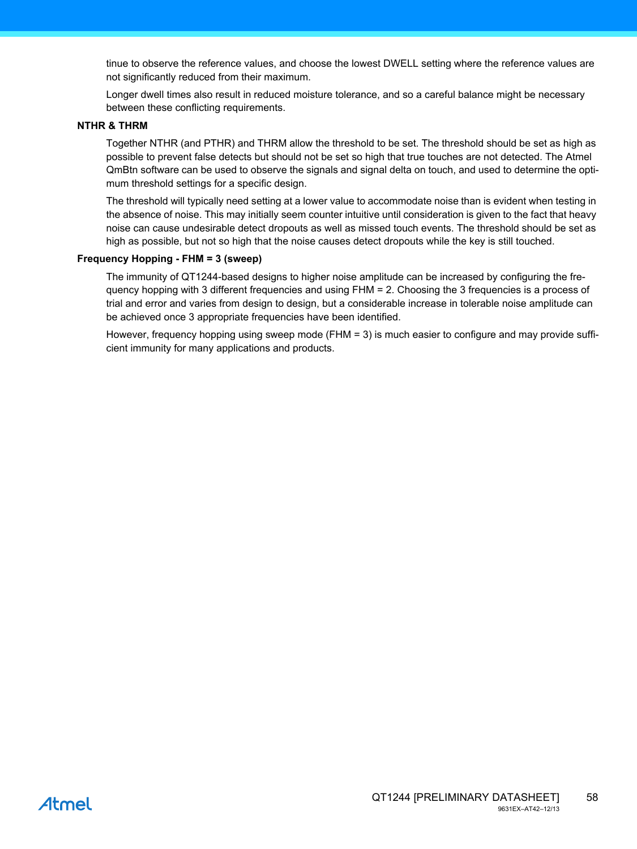tinue to observe the reference values, and choose the lowest DWELL setting where the reference values are not significantly reduced from their maximum.

Longer dwell times also result in reduced moisture tolerance, and so a careful balance might be necessary between these conflicting requirements.

#### **NTHR & THRM**

Together NTHR (and PTHR) and THRM allow the threshold to be set. The threshold should be set as high as possible to prevent false detects but should not be set so high that true touches are not detected. The Atmel QmBtn software can be used to observe the signals and signal delta on touch, and used to determine the optimum threshold settings for a specific design.

The threshold will typically need setting at a lower value to accommodate noise than is evident when testing in the absence of noise. This may initially seem counter intuitive until consideration is given to the fact that heavy noise can cause undesirable detect dropouts as well as missed touch events. The threshold should be set as high as possible, but not so high that the noise causes detect dropouts while the key is still touched.

#### **Frequency Hopping - FHM = 3 (sweep)**

The immunity of QT1244-based designs to higher noise amplitude can be increased by configuring the frequency hopping with 3 different frequencies and using FHM = 2. Choosing the 3 frequencies is a process of trial and error and varies from design to design, but a considerable increase in tolerable noise amplitude can be achieved once 3 appropriate frequencies have been identified.

However, frequency hopping using sweep mode (FHM = 3) is much easier to configure and may provide sufficient immunity for many applications and products.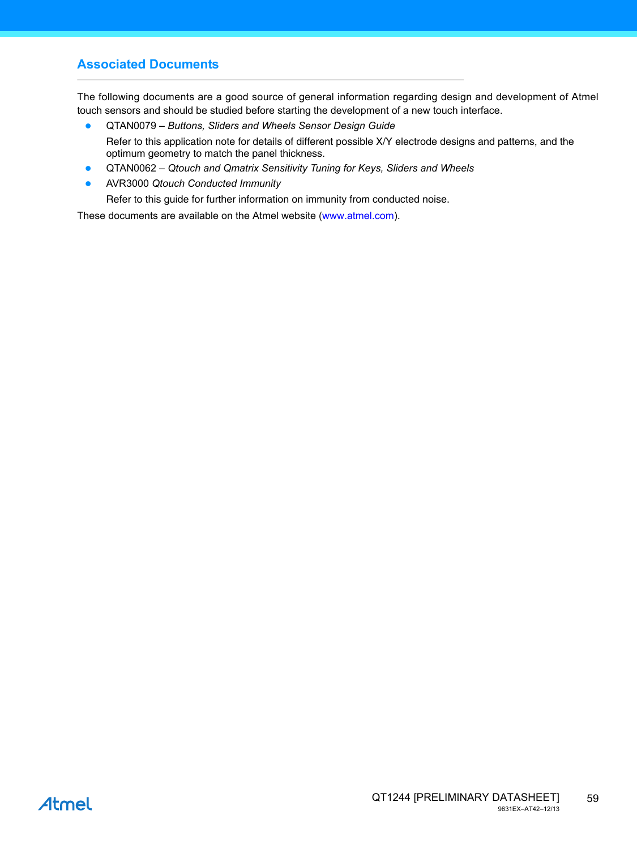### <span id="page-58-0"></span>**Associated Documents**

The following documents are a good source of general information regarding design and development of Atmel touch sensors and should be studied before starting the development of a new touch interface.

- QTAN0079 *Buttons, Sliders and Wheels Sensor Design Guide* Refer to this application note for details of different possible X/Y electrode designs and patterns, and the optimum geometry to match the panel thickness.
- QTAN0062 *Qtouch and Qmatrix Sensitivity Tuning for Keys, Sliders and Wheels*
- AVR3000 *Qtouch Conducted Immunity*

Refer to this guide for further information on immunity from conducted noise.

[These documents are available on the Atmel website \(](http://www.atmel.com)www.atmel.com).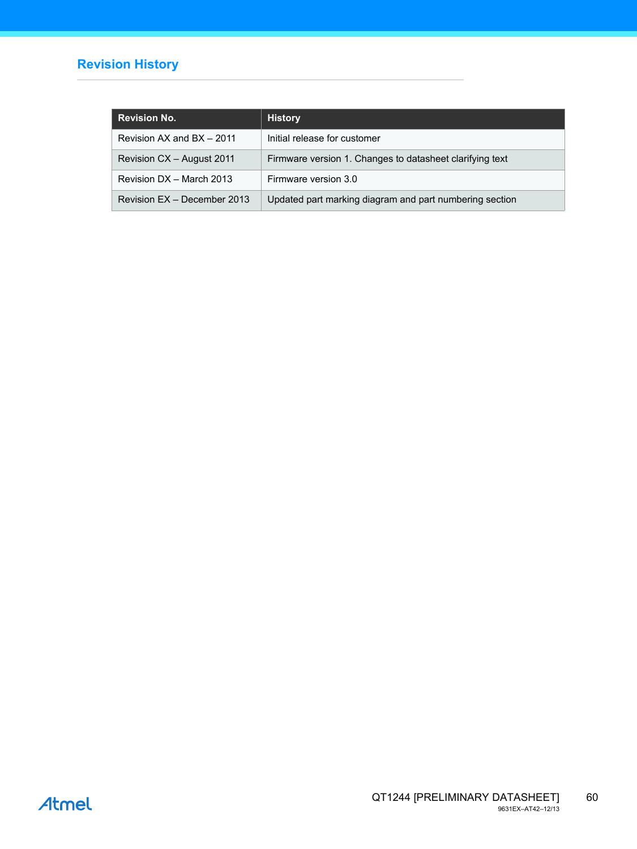### **Revision History**

| <b>Revision No.</b>         | <b>History</b>                                           |
|-----------------------------|----------------------------------------------------------|
| Revision AX and BX - 2011   | Initial release for customer                             |
| Revision CX - August 2011   | Firmware version 1. Changes to datasheet clarifying text |
| Revision DX - March 2013    | Firmware version 3.0                                     |
| Revision EX - December 2013 | Updated part marking diagram and part numbering section  |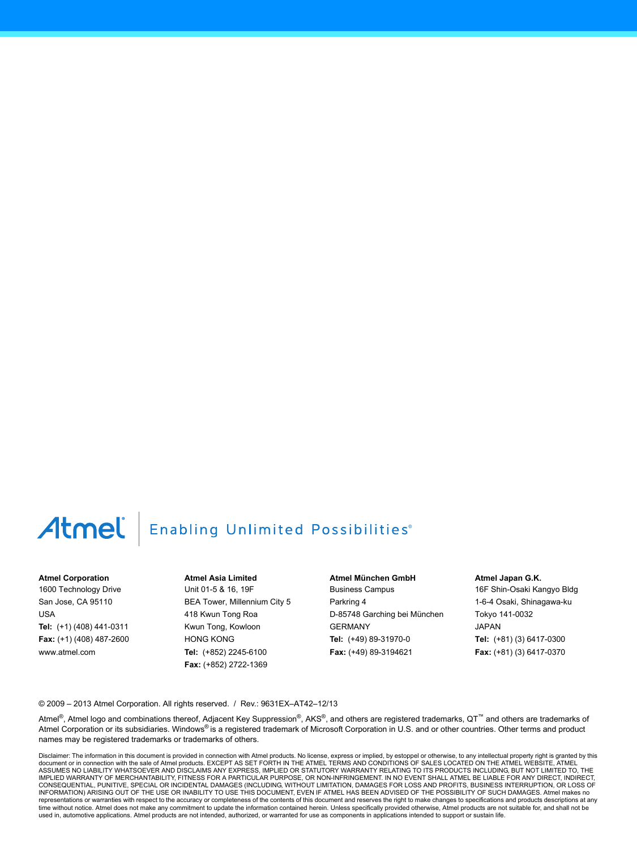# Atmel | Enabling Unlimited Possibilities®

#### **Atmel Corporation**

1600 Technology Drive San Jose, CA 95110 USA **Tel:** (+1) (408) 441-0311 **Fax:** (+1) (408) 487-2600 www.atmel.com

**Atmel Asia Limited** Unit 01-5 & 16, 19F BEA Tower, Millennium City 5 418 Kwun Tong Roa Kwun Tong, Kowloon HONG KONG **Tel:** (+852) 2245-6100 **Fax:** (+852) 2722-1369

**Atmel München GmbH** Business Campus Parkring 4 D-85748 Garching bei München GERMANY **Tel:** (+49) 89-31970-0 **Fax:** (+49) 89-3194621

**Atmel Japan G.K.**

16F Shin-Osaki Kangyo Bldg 1-6-4 Osaki, Shinagawa-ku Tokyo 141-0032 JAPAN **Tel:** (+81) (3) 6417-0300 **Fax:** (+81) (3) 6417-0370

© 2009 – 2013 Atmel Corporation. All rights reserved. / Rev.: 9631EX–AT42–12/13

Atmel®, Atmel logo and combinations thereof, Adjacent Key Suppression®, AKS®, and others are registered trademarks, QT™ and others are trademarks of Atmel Corporation or its subsidiaries. Windows® is a registered trademark of Microsoft Corporation in U.S. and or other countries. Other terms and product names may be registered trademarks or trademarks of others.

Disclaimer: The information in this document is provided in connection with Atmel products. No license, express or implied, by estoppel or otherwise, to any intellectual property right is granted by this<br>document or in con IMPLIED WARRANTY OF MERCHANTABILITY, FITNESS FOR A PARTICULAR PURPOSE, OR NON-INFRINGEMENT. IN NO EVENT SHALL ATMEL BE LIABLE FOR ANY DIRECT, INDIRECT, CONSEQUENTIAL, PUNITIVE, SPECIAL OR INCIDENTAL DAMAGES (INCLUDING, WITHOUT LIMITATION, DAMAGES FOR LOSS AND PROFITS, BUSINESS INTERRUPTION, OR LOSS OF INFORMATION) ARISING OUT OF THE USE OR INABILITY TO USE THIS DOCUMENT, EVEN IF ATMEL HAS BEEN ADVISED OF THE POSSIBILITY OF SUCH DAMAGES. Atmel makes no representations or warranties with respect to the accuracy or completeness of the contents of this document and reserves the right to make changes to specifications and products descriptions at any<br>time without notice. Atm used in, automotive applications. Atmel products are not intended, authorized, or warranted for use as components in applications intended to support or sustain life.